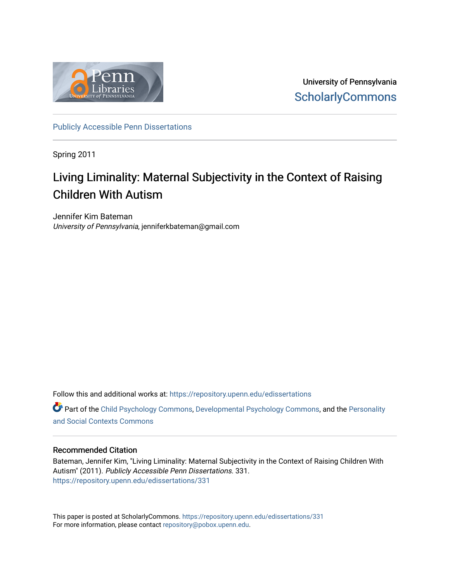

University of Pennsylvania **ScholarlyCommons** 

[Publicly Accessible Penn Dissertations](https://repository.upenn.edu/edissertations)

Spring 2011

# Living Liminality: Maternal Subjectivity in the Context of Raising Children With Autism

Jennifer Kim Bateman University of Pennsylvania, jenniferkbateman@gmail.com

Follow this and additional works at: [https://repository.upenn.edu/edissertations](https://repository.upenn.edu/edissertations?utm_source=repository.upenn.edu%2Fedissertations%2F331&utm_medium=PDF&utm_campaign=PDFCoverPages) 

Part of the [Child Psychology Commons,](http://network.bepress.com/hgg/discipline/1023?utm_source=repository.upenn.edu%2Fedissertations%2F331&utm_medium=PDF&utm_campaign=PDFCoverPages) [Developmental Psychology Commons,](http://network.bepress.com/hgg/discipline/410?utm_source=repository.upenn.edu%2Fedissertations%2F331&utm_medium=PDF&utm_campaign=PDFCoverPages) and the [Personality](http://network.bepress.com/hgg/discipline/413?utm_source=repository.upenn.edu%2Fedissertations%2F331&utm_medium=PDF&utm_campaign=PDFCoverPages) [and Social Contexts Commons](http://network.bepress.com/hgg/discipline/413?utm_source=repository.upenn.edu%2Fedissertations%2F331&utm_medium=PDF&utm_campaign=PDFCoverPages) 

#### Recommended Citation

Bateman, Jennifer Kim, "Living Liminality: Maternal Subjectivity in the Context of Raising Children With Autism" (2011). Publicly Accessible Penn Dissertations. 331. [https://repository.upenn.edu/edissertations/331](https://repository.upenn.edu/edissertations/331?utm_source=repository.upenn.edu%2Fedissertations%2F331&utm_medium=PDF&utm_campaign=PDFCoverPages) 

This paper is posted at ScholarlyCommons.<https://repository.upenn.edu/edissertations/331> For more information, please contact [repository@pobox.upenn.edu.](mailto:repository@pobox.upenn.edu)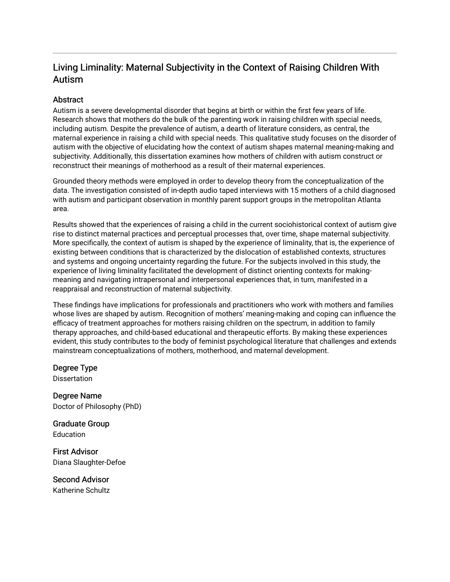# Living Liminality: Maternal Subjectivity in the Context of Raising Children With Autism

### **Abstract**

Autism is a severe developmental disorder that begins at birth or within the first few years of life. Research shows that mothers do the bulk of the parenting work in raising children with special needs, including autism. Despite the prevalence of autism, a dearth of literature considers, as central, the maternal experience in raising a child with special needs. This qualitative study focuses on the disorder of autism with the objective of elucidating how the context of autism shapes maternal meaning-making and subjectivity. Additionally, this dissertation examines how mothers of children with autism construct or reconstruct their meanings of motherhood as a result of their maternal experiences.

Grounded theory methods were employed in order to develop theory from the conceptualization of the data. The investigation consisted of in-depth audio taped interviews with 15 mothers of a child diagnosed with autism and participant observation in monthly parent support groups in the metropolitan Atlanta area.

Results showed that the experiences of raising a child in the current sociohistorical context of autism give rise to distinct maternal practices and perceptual processes that, over time, shape maternal subjectivity. More specifically, the context of autism is shaped by the experience of liminality, that is, the experience of existing between conditions that is characterized by the dislocation of established contexts, structures and systems and ongoing uncertainty regarding the future. For the subjects involved in this study, the experience of living liminality facilitated the development of distinct orienting contexts for makingmeaning and navigating intrapersonal and interpersonal experiences that, in turn, manifested in a reappraisal and reconstruction of maternal subjectivity.

These findings have implications for professionals and practitioners who work with mothers and families whose lives are shaped by autism. Recognition of mothers' meaning-making and coping can influence the efficacy of treatment approaches for mothers raising children on the spectrum, in addition to family therapy approaches, and child-based educational and therapeutic efforts. By making these experiences evident, this study contributes to the body of feminist psychological literature that challenges and extends mainstream conceptualizations of mothers, motherhood, and maternal development.

Degree Type **Dissertation** 

Degree Name Doctor of Philosophy (PhD)

Graduate Group **Education** 

First Advisor Diana Slaughter-Defoe

Second Advisor Katherine Schultz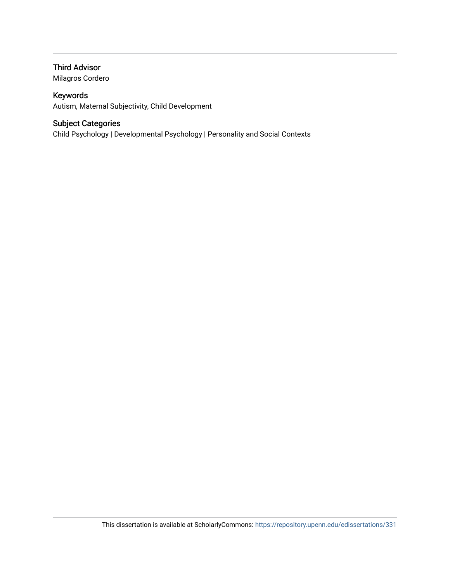### Third Advisor

Milagros Cordero

### Keywords

Autism, Maternal Subjectivity, Child Development

### Subject Categories

Child Psychology | Developmental Psychology | Personality and Social Contexts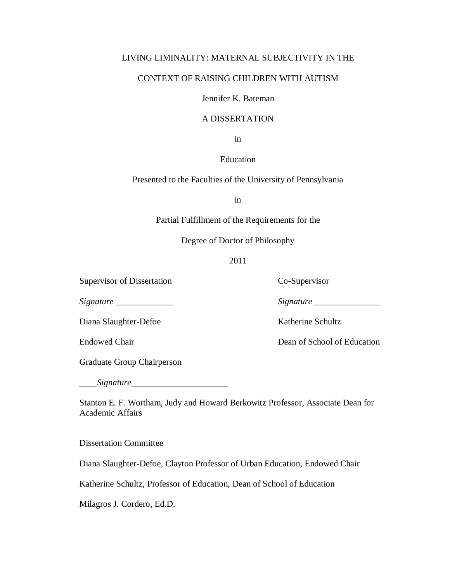### LIVING LIMINALITY: MATERNAL SUBJECTIVITY IN THE

### CONTEXT OF RAISING CHILDREN WITH AUTISM

Jennifer K. Bateman

#### A DISSERTATION

in

Education

Presented to the Faculties of the University of Pennsylvania

in

Partial Fulfillment of the Requirements for the

Degree of Doctor of Philosophy

### 2011

Supervisor of Dissertation Co-Supervisor

*Signature \_\_\_\_\_\_\_\_\_\_\_\_\_ Signature \_\_\_\_\_\_\_\_\_\_\_\_\_\_*\_

Diana Slaughter-Defoe Katherine Schultz

Graduate Group Chairperson

*\_\_\_\_Signature\_\_\_\_\_\_\_\_\_\_\_\_\_\_\_\_\_\_\_\_\_\_* 

Stanton E. F. Wortham, Judy and Howard Berkowitz Professor, Associate Dean for Academic Affairs

Dissertation Committee

Diana Slaughter-Defoe, Clayton Professor of Urban Education, Endowed Chair

Katherine Schultz, Professor of Education, Dean of School of Education

Milagros J. Cordero, Ed.D.

Endowed Chair Dean of School of Education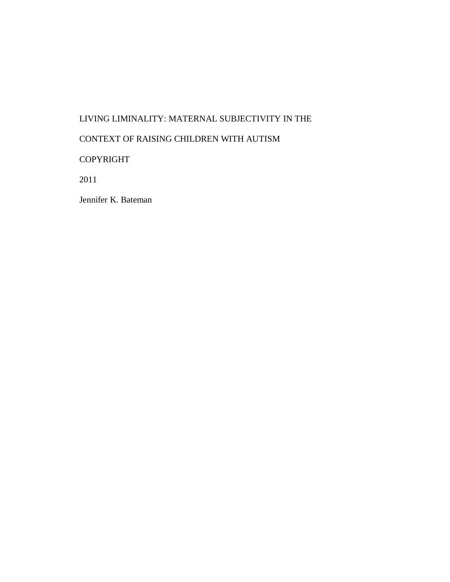# LIVING LIMINALITY: MATERNAL SUBJECTIVITY IN THE

# CONTEXT OF RAISING CHILDREN WITH AUTISM

# COPYRIGHT

2011

Jennifer K. Bateman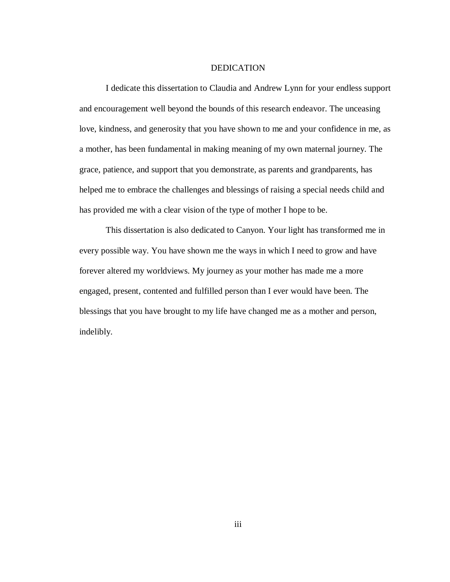#### DEDICATION

I dedicate this dissertation to Claudia and Andrew Lynn for your endless support and encouragement well beyond the bounds of this research endeavor. The unceasing love, kindness, and generosity that you have shown to me and your confidence in me, as a mother, has been fundamental in making meaning of my own maternal journey. The grace, patience, and support that you demonstrate, as parents and grandparents, has helped me to embrace the challenges and blessings of raising a special needs child and has provided me with a clear vision of the type of mother I hope to be.

This dissertation is also dedicated to Canyon. Your light has transformed me in every possible way. You have shown me the ways in which I need to grow and have forever altered my worldviews. My journey as your mother has made me a more engaged, present, contented and fulfilled person than I ever would have been. The blessings that you have brought to my life have changed me as a mother and person, indelibly.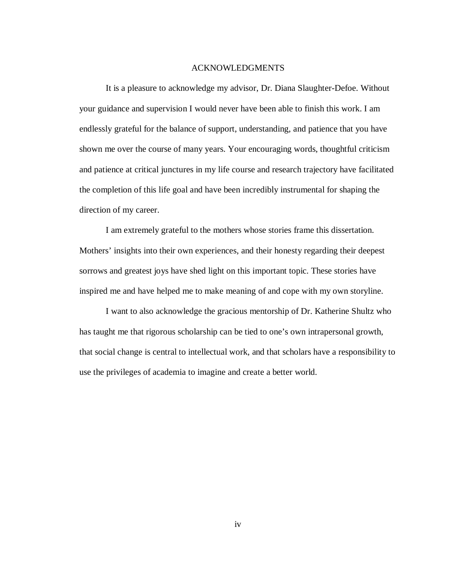#### ACKNOWLEDGMENTS

It is a pleasure to acknowledge my advisor, Dr. Diana Slaughter-Defoe. Without your guidance and supervision I would never have been able to finish this work. I am endlessly grateful for the balance of support, understanding, and patience that you have shown me over the course of many years. Your encouraging words, thoughtful criticism and patience at critical junctures in my life course and research trajectory have facilitated the completion of this life goal and have been incredibly instrumental for shaping the direction of my career.

I am extremely grateful to the mothers whose stories frame this dissertation. Mothers' insights into their own experiences, and their honesty regarding their deepest sorrows and greatest joys have shed light on this important topic. These stories have inspired me and have helped me to make meaning of and cope with my own storyline.

I want to also acknowledge the gracious mentorship of Dr. Katherine Shultz who has taught me that rigorous scholarship can be tied to one's own intrapersonal growth, that social change is central to intellectual work, and that scholars have a responsibility to use the privileges of academia to imagine and create a better world.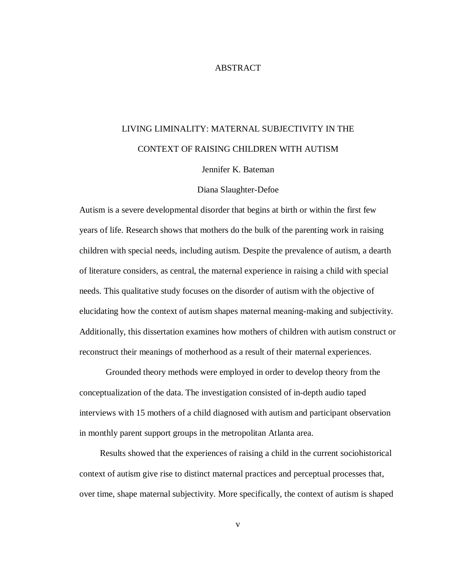#### ABSTRACT

# LIVING LIMINALITY: MATERNAL SUBJECTIVITY IN THE CONTEXT OF RAISING CHILDREN WITH AUTISM

Jennifer K. Bateman

#### Diana Slaughter-Defoe

Autism is a severe developmental disorder that begins at birth or within the first few years of life. Research shows that mothers do the bulk of the parenting work in raising children with special needs, including autism. Despite the prevalence of autism, a dearth of literature considers, as central, the maternal experience in raising a child with special needs. This qualitative study focuses on the disorder of autism with the objective of elucidating how the context of autism shapes maternal meaning-making and subjectivity. Additionally, this dissertation examines how mothers of children with autism construct or reconstruct their meanings of motherhood as a result of their maternal experiences.

Grounded theory methods were employed in order to develop theory from the conceptualization of the data. The investigation consisted of in-depth audio taped interviews with 15 mothers of a child diagnosed with autism and participant observation in monthly parent support groups in the metropolitan Atlanta area.

 Results showed that the experiences of raising a child in the current sociohistorical context of autism give rise to distinct maternal practices and perceptual processes that, over time, shape maternal subjectivity. More specifically, the context of autism is shaped

v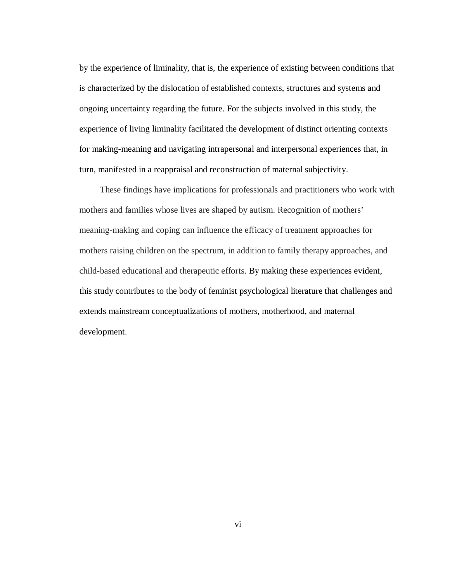by the experience of liminality, that is, the experience of existing between conditions that is characterized by the dislocation of established contexts, structures and systems and ongoing uncertainty regarding the future. For the subjects involved in this study, the experience of living liminality facilitated the development of distinct orienting contexts for making-meaning and navigating intrapersonal and interpersonal experiences that, in turn, manifested in a reappraisal and reconstruction of maternal subjectivity.

These findings have implications for professionals and practitioners who work with mothers and families whose lives are shaped by autism. Recognition of mothers' meaning-making and coping can influence the efficacy of treatment approaches for mothers raising children on the spectrum, in addition to family therapy approaches, and child-based educational and therapeutic efforts. By making these experiences evident, this study contributes to the body of feminist psychological literature that challenges and extends mainstream conceptualizations of mothers, motherhood, and maternal development.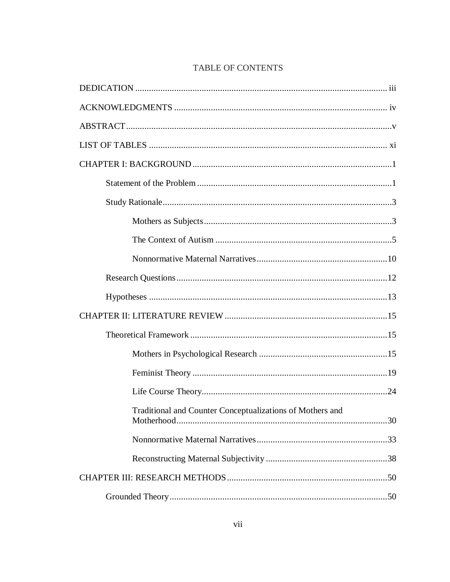| Traditional and Counter Conceptualizations of Mothers and |  |
|-----------------------------------------------------------|--|
|                                                           |  |
|                                                           |  |
|                                                           |  |
|                                                           |  |

## TABLE OF CONTENTS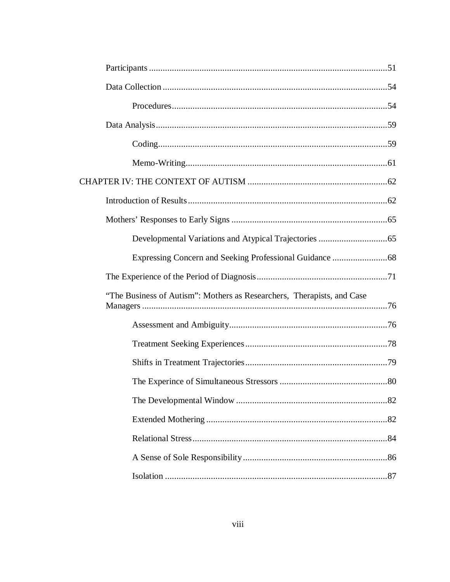| "The Business of Autism": Mothers as Researchers, Therapists, and Case |  |
|------------------------------------------------------------------------|--|
|                                                                        |  |
|                                                                        |  |
|                                                                        |  |
|                                                                        |  |
|                                                                        |  |
|                                                                        |  |
|                                                                        |  |
|                                                                        |  |
|                                                                        |  |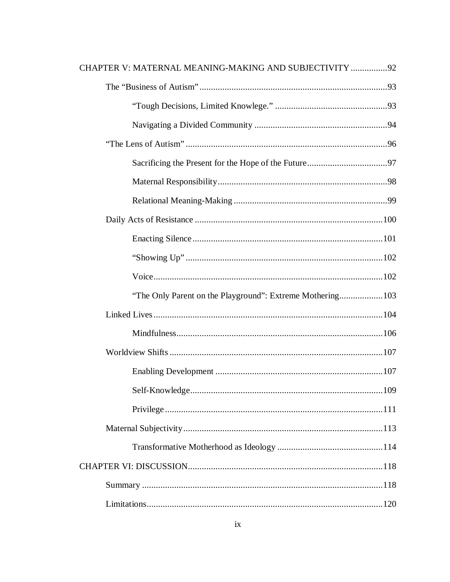| CHAPTER V: MATERNAL MEANING-MAKING AND SUBJECTIVITY 92     |  |
|------------------------------------------------------------|--|
|                                                            |  |
|                                                            |  |
|                                                            |  |
|                                                            |  |
|                                                            |  |
|                                                            |  |
|                                                            |  |
|                                                            |  |
|                                                            |  |
|                                                            |  |
|                                                            |  |
| "The Only Parent on the Playground": Extreme Mothering 103 |  |
|                                                            |  |
|                                                            |  |
|                                                            |  |
|                                                            |  |
|                                                            |  |
|                                                            |  |
|                                                            |  |
|                                                            |  |
|                                                            |  |
|                                                            |  |
|                                                            |  |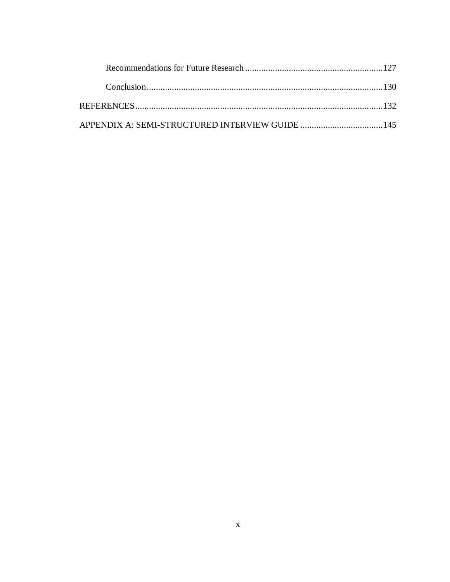| APPENDIX A: SEMI-STRUCTURED INTERVIEW GUIDE 145 |  |
|-------------------------------------------------|--|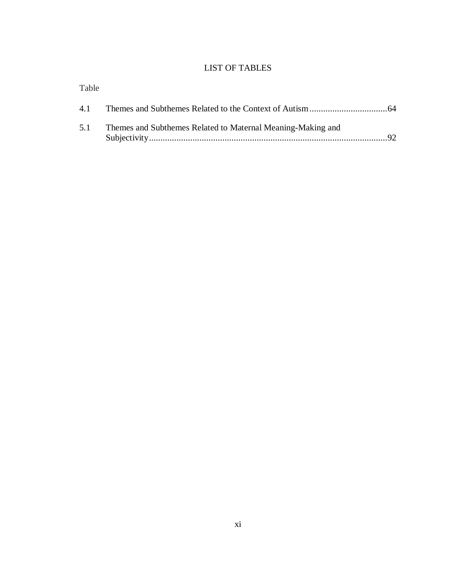# LIST OF TABLES

| Table |                                                             |       |
|-------|-------------------------------------------------------------|-------|
|       |                                                             |       |
| 5.1   | Themes and Subthemes Related to Maternal Meaning-Making and | $-92$ |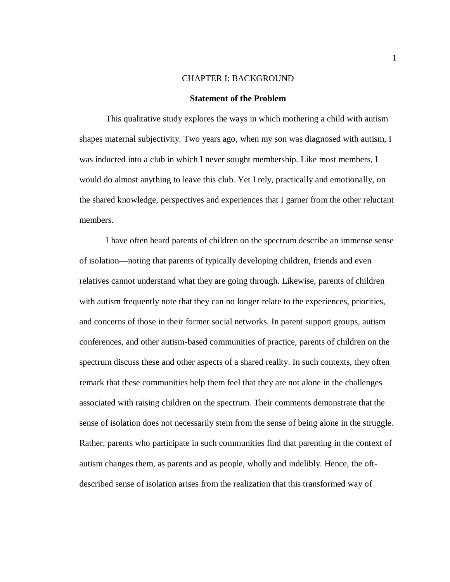#### CHAPTER I: BACKGROUND

#### **Statement of the Problem**

This qualitative study explores the ways in which mothering a child with autism shapes maternal subjectivity. Two years ago, when my son was diagnosed with autism, I was inducted into a club in which I never sought membership. Like most members, I would do almost anything to leave this club. Yet I rely, practically and emotionally, on the shared knowledge, perspectives and experiences that I garner from the other reluctant members.

I have often heard parents of children on the spectrum describe an immense sense of isolation—noting that parents of typically developing children, friends and even relatives cannot understand what they are going through. Likewise, parents of children with autism frequently note that they can no longer relate to the experiences, priorities, and concerns of those in their former social networks. In parent support groups, autism conferences, and other autism-based communities of practice, parents of children on the spectrum discuss these and other aspects of a shared reality. In such contexts, they often remark that these communities help them feel that they are not alone in the challenges associated with raising children on the spectrum. Their comments demonstrate that the sense of isolation does not necessarily stem from the sense of being alone in the struggle. Rather, parents who participate in such communities find that parenting in the context of autism changes them, as parents and as people, wholly and indelibly. Hence, the oftdescribed sense of isolation arises from the realization that this transformed way of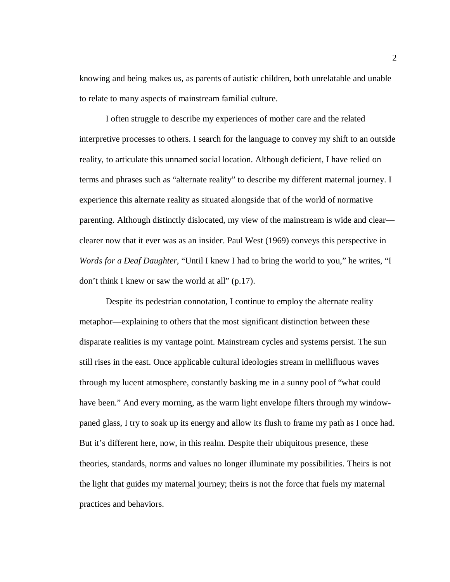knowing and being makes us, as parents of autistic children, both unrelatable and unable to relate to many aspects of mainstream familial culture.

I often struggle to describe my experiences of mother care and the related interpretive processes to others. I search for the language to convey my shift to an outside reality, to articulate this unnamed social location. Although deficient, I have relied on terms and phrases such as "alternate reality" to describe my different maternal journey. I experience this alternate reality as situated alongside that of the world of normative parenting. Although distinctly dislocated, my view of the mainstream is wide and clear clearer now that it ever was as an insider. Paul West (1969) conveys this perspective in *Words for a Deaf Daughter*, "Until I knew I had to bring the world to you," he writes, "I don't think I knew or saw the world at all" (p.17).

Despite its pedestrian connotation, I continue to employ the alternate reality metaphor—explaining to others that the most significant distinction between these disparate realities is my vantage point. Mainstream cycles and systems persist. The sun still rises in the east. Once applicable cultural ideologies stream in mellifluous waves through my lucent atmosphere, constantly basking me in a sunny pool of "what could have been." And every morning, as the warm light envelope filters through my windowpaned glass, I try to soak up its energy and allow its flush to frame my path as I once had. But it's different here, now, in this realm. Despite their ubiquitous presence, these theories, standards, norms and values no longer illuminate my possibilities. Theirs is not the light that guides my maternal journey; theirs is not the force that fuels my maternal practices and behaviors.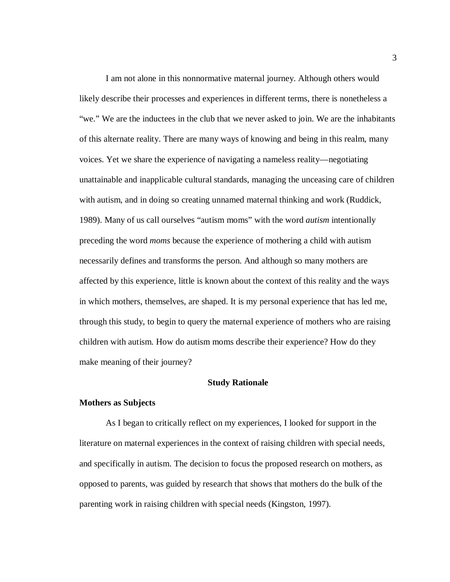I am not alone in this nonnormative maternal journey. Although others would likely describe their processes and experiences in different terms, there is nonetheless a "we." We are the inductees in the club that we never asked to join. We are the inhabitants of this alternate reality. There are many ways of knowing and being in this realm, many voices. Yet we share the experience of navigating a nameless reality—negotiating unattainable and inapplicable cultural standards, managing the unceasing care of children with autism, and in doing so creating unnamed maternal thinking and work (Ruddick, 1989). Many of us call ourselves "autism moms" with the word *autism* intentionally preceding the word *moms* because the experience of mothering a child with autism necessarily defines and transforms the person. And although so many mothers are affected by this experience, little is known about the context of this reality and the ways in which mothers, themselves, are shaped. It is my personal experience that has led me, through this study, to begin to query the maternal experience of mothers who are raising children with autism. How do autism moms describe their experience? How do they make meaning of their journey?

#### **Study Rationale**

#### **Mothers as Subjects**

As I began to critically reflect on my experiences, I looked for support in the literature on maternal experiences in the context of raising children with special needs, and specifically in autism. The decision to focus the proposed research on mothers, as opposed to parents, was guided by research that shows that mothers do the bulk of the parenting work in raising children with special needs (Kingston, 1997).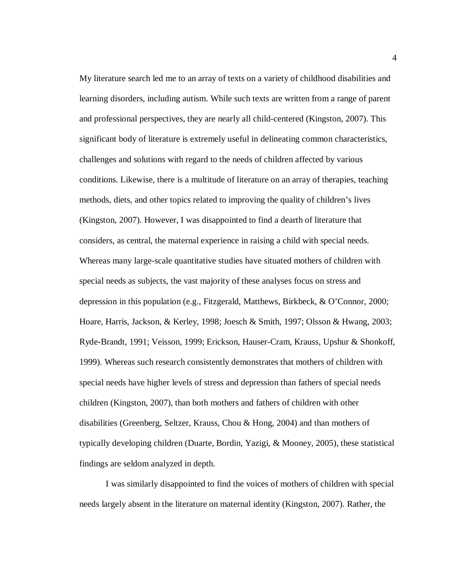My literature search led me to an array of texts on a variety of childhood disabilities and learning disorders, including autism. While such texts are written from a range of parent and professional perspectives, they are nearly all child-centered (Kingston, 2007). This significant body of literature is extremely useful in delineating common characteristics, challenges and solutions with regard to the needs of children affected by various conditions. Likewise, there is a multitude of literature on an array of therapies, teaching methods, diets, and other topics related to improving the quality of children's lives (Kingston, 2007). However, I was disappointed to find a dearth of literature that considers, as central, the maternal experience in raising a child with special needs. Whereas many large-scale quantitative studies have situated mothers of children with special needs as subjects, the vast majority of these analyses focus on stress and depression in this population (e.g., Fitzgerald, Matthews, Birkbeck, & O'Connor, 2000; Hoare, Harris, Jackson, & Kerley, 1998; Joesch & Smith, 1997; Olsson & Hwang, 2003; Ryde-Brandt, 1991; Veisson, 1999; Erickson, Hauser-Cram, Krauss, Upshur & Shonkoff, 1999). Whereas such research consistently demonstrates that mothers of children with special needs have higher levels of stress and depression than fathers of special needs children (Kingston, 2007), than both mothers and fathers of children with other disabilities (Greenberg, Seltzer, Krauss, Chou & Hong, 2004) and than mothers of typically developing children (Duarte, Bordin, Yazigi, & Mooney, 2005), these statistical findings are seldom analyzed in depth.

I was similarly disappointed to find the voices of mothers of children with special needs largely absent in the literature on maternal identity (Kingston, 2007). Rather, the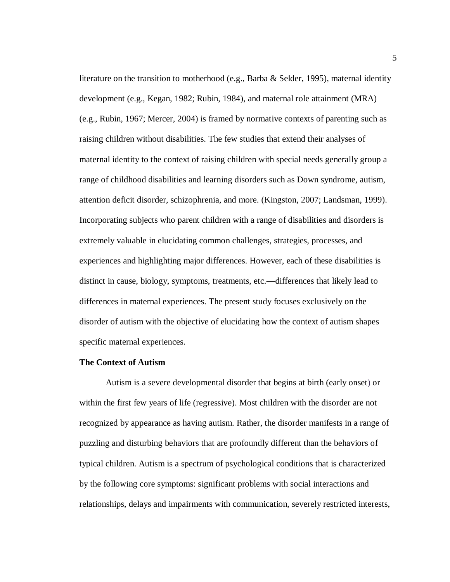literature on the transition to motherhood (e.g., Barba & Selder, 1995), maternal identity development (e.g., Kegan, 1982; Rubin, 1984), and maternal role attainment (MRA) (e.g., Rubin, 1967; Mercer, 2004) is framed by normative contexts of parenting such as raising children without disabilities. The few studies that extend their analyses of maternal identity to the context of raising children with special needs generally group a range of childhood disabilities and learning disorders such as Down syndrome, autism, attention deficit disorder, schizophrenia, and more. (Kingston, 2007; Landsman, 1999). Incorporating subjects who parent children with a range of disabilities and disorders is extremely valuable in elucidating common challenges, strategies, processes, and experiences and highlighting major differences. However, each of these disabilities is distinct in cause, biology, symptoms, treatments, etc.—differences that likely lead to differences in maternal experiences. The present study focuses exclusively on the disorder of autism with the objective of elucidating how the context of autism shapes specific maternal experiences.

#### **The Context of Autism**

Autism is a severe developmental disorder that begins at birth (early onset) or within the first few years of life (regressive). Most children with the disorder are not recognized by appearance as having autism. Rather, the disorder manifests in a range of puzzling and disturbing behaviors that are profoundly different than the behaviors of typical children. Autism is a spectrum of psychological conditions that is characterized by the following core symptoms: significant problems with social interactions and relationships, delays and impairments with communication, severely restricted interests,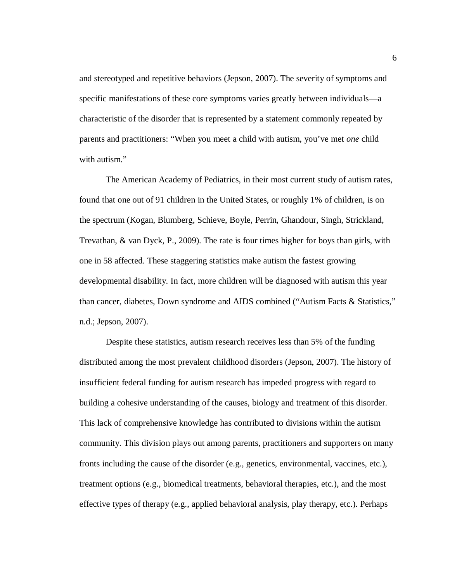and stereotyped and repetitive behaviors (Jepson, 2007). The severity of symptoms and specific manifestations of these core symptoms varies greatly between individuals—a characteristic of the disorder that is represented by a statement commonly repeated by parents and practitioners: "When you meet a child with autism, you've met *one* child with autism."

 The American Academy of Pediatrics, in their most current study of autism rates, found that one out of 91 children in the United States, or roughly 1% of children, is on the spectrum (Kogan, Blumberg, Schieve, Boyle, Perrin, Ghandour, Singh, Strickland, Trevathan, & van Dyck, P., 2009). The rate is four times higher for boys than girls, with one in 58 affected. These staggering statistics make autism the fastest growing developmental disability. In fact, more children will be diagnosed with autism this year than cancer, diabetes, Down syndrome and AIDS combined ("Autism Facts & Statistics," n.d.; Jepson, 2007).

 Despite these statistics, autism research receives less than 5% of the funding distributed among the most prevalent childhood disorders (Jepson, 2007). The history of insufficient federal funding for autism research has impeded progress with regard to building a cohesive understanding of the causes, biology and treatment of this disorder. This lack of comprehensive knowledge has contributed to divisions within the autism community. This division plays out among parents, practitioners and supporters on many fronts including the cause of the disorder (e.g., genetics, environmental, vaccines, etc.), treatment options (e.g., biomedical treatments, behavioral therapies, etc.), and the most effective types of therapy (e.g., applied behavioral analysis, play therapy, etc.). Perhaps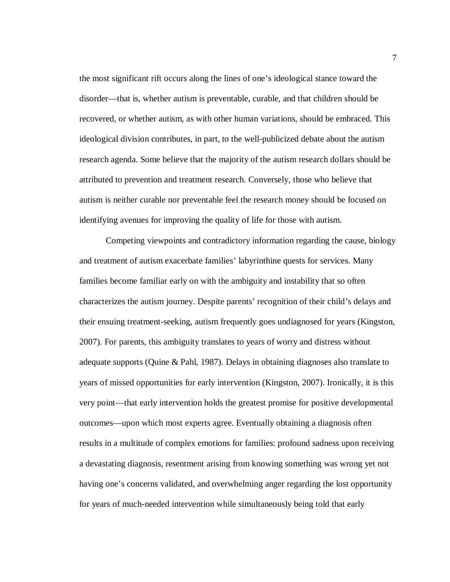the most significant rift occurs along the lines of one's ideological stance toward the disorder—that is, whether autism is preventable, curable, and that children should be recovered, or whether autism, as with other human variations, should be embraced. This ideological division contributes, in part, to the well-publicized debate about the autism research agenda. Some believe that the majority of the autism research dollars should be attributed to prevention and treatment research. Conversely, those who believe that autism is neither curable nor preventable feel the research money should be focused on identifying avenues for improving the quality of life for those with autism.

Competing viewpoints and contradictory information regarding the cause, biology and treatment of autism exacerbate families' labyrinthine quests for services. Many families become familiar early on with the ambiguity and instability that so often characterizes the autism journey. Despite parents' recognition of their child's delays and their ensuing treatment-seeking, autism frequently goes undiagnosed for years (Kingston, 2007). For parents, this ambiguity translates to years of worry and distress without adequate supports (Quine & Pahl, 1987). Delays in obtaining diagnoses also translate to years of missed opportunities for early intervention (Kingston, 2007). Ironically, it is this very point—that early intervention holds the greatest promise for positive developmental outcomes—upon which most experts agree. Eventually obtaining a diagnosis often results in a multitude of complex emotions for families: profound sadness upon receiving a devastating diagnosis, resentment arising from knowing something was wrong yet not having one's concerns validated, and overwhelming anger regarding the lost opportunity for years of much-needed intervention while simultaneously being told that early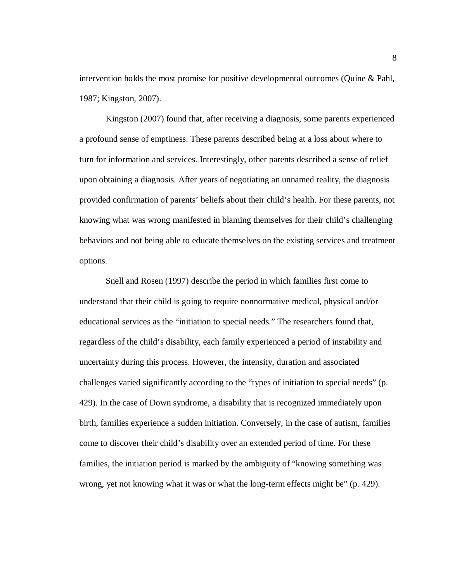intervention holds the most promise for positive developmental outcomes (Quine & Pahl, 1987; Kingston, 2007).

Kingston (2007) found that, after receiving a diagnosis, some parents experienced a profound sense of emptiness. These parents described being at a loss about where to turn for information and services. Interestingly, other parents described a sense of relief upon obtaining a diagnosis. After years of negotiating an unnamed reality, the diagnosis provided confirmation of parents' beliefs about their child's health. For these parents, not knowing what was wrong manifested in blaming themselves for their child's challenging behaviors and not being able to educate themselves on the existing services and treatment options.

Snell and Rosen (1997) describe the period in which families first come to understand that their child is going to require nonnormative medical, physical and/or educational services as the "initiation to special needs." The researchers found that, regardless of the child's disability, each family experienced a period of instability and uncertainty during this process. However, the intensity, duration and associated challenges varied significantly according to the "types of initiation to special needs" (p. 429). In the case of Down syndrome, a disability that is recognized immediately upon birth, families experience a sudden initiation. Conversely, in the case of autism, families come to discover their child's disability over an extended period of time. For these families, the initiation period is marked by the ambiguity of "knowing something was wrong, yet not knowing what it was or what the long-term effects might be" (p. 429).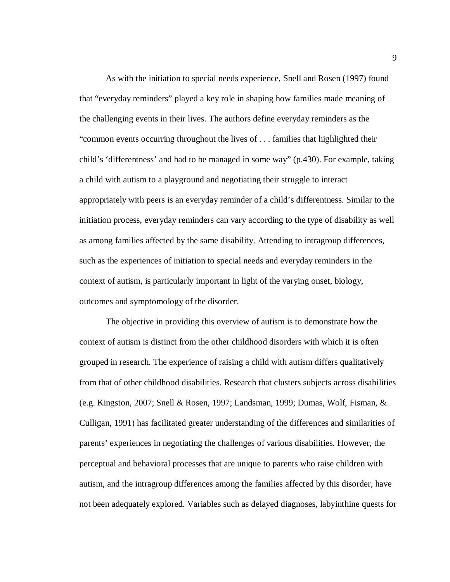As with the initiation to special needs experience, Snell and Rosen (1997) found that "everyday reminders" played a key role in shaping how families made meaning of the challenging events in their lives. The authors define everyday reminders as the "common events occurring throughout the lives of . . . families that highlighted their child's 'differentness' and had to be managed in some way" (p.430). For example, taking a child with autism to a playground and negotiating their struggle to interact appropriately with peers is an everyday reminder of a child's differentness. Similar to the initiation process, everyday reminders can vary according to the type of disability as well as among families affected by the same disability. Attending to intragroup differences, such as the experiences of initiation to special needs and everyday reminders in the context of autism, is particularly important in light of the varying onset, biology, outcomes and symptomology of the disorder.

The objective in providing this overview of autism is to demonstrate how the context of autism is distinct from the other childhood disorders with which it is often grouped in research. The experience of raising a child with autism differs qualitatively from that of other childhood disabilities. Research that clusters subjects across disabilities (e.g. Kingston, 2007; Snell & Rosen, 1997; Landsman, 1999; Dumas, Wolf, Fisman, & Culligan, 1991) has facilitated greater understanding of the differences and similarities of parents' experiences in negotiating the challenges of various disabilities. However, the perceptual and behavioral processes that are unique to parents who raise children with autism, and the intragroup differences among the families affected by this disorder, have not been adequately explored. Variables such as delayed diagnoses, labyinthine quests for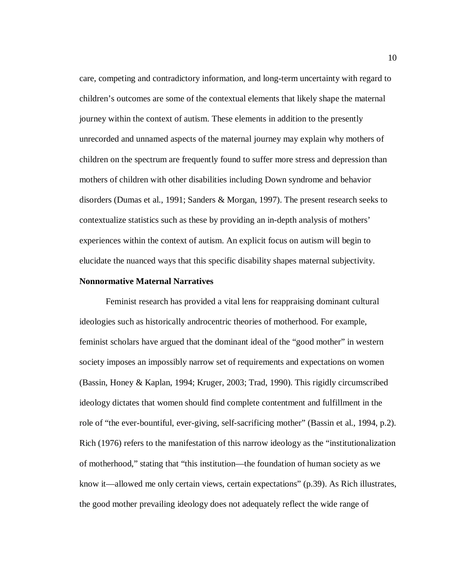care, competing and contradictory information, and long-term uncertainty with regard to children's outcomes are some of the contextual elements that likely shape the maternal journey within the context of autism. These elements in addition to the presently unrecorded and unnamed aspects of the maternal journey may explain why mothers of children on the spectrum are frequently found to suffer more stress and depression than mothers of children with other disabilities including Down syndrome and behavior disorders (Dumas et al., 1991; Sanders & Morgan, 1997). The present research seeks to contextualize statistics such as these by providing an in-depth analysis of mothers' experiences within the context of autism. An explicit focus on autism will begin to elucidate the nuanced ways that this specific disability shapes maternal subjectivity.

#### **Nonnormative Maternal Narratives**

Feminist research has provided a vital lens for reappraising dominant cultural ideologies such as historically androcentric theories of motherhood. For example, feminist scholars have argued that the dominant ideal of the "good mother" in western society imposes an impossibly narrow set of requirements and expectations on women (Bassin, Honey & Kaplan, 1994; Kruger, 2003; Trad, 1990). This rigidly circumscribed ideology dictates that women should find complete contentment and fulfillment in the role of "the ever-bountiful, ever-giving, self-sacrificing mother" (Bassin et al., 1994, p.2). Rich (1976) refers to the manifestation of this narrow ideology as the "institutionalization of motherhood," stating that "this institution—the foundation of human society as we know it—allowed me only certain views, certain expectations" (p.39). As Rich illustrates, the good mother prevailing ideology does not adequately reflect the wide range of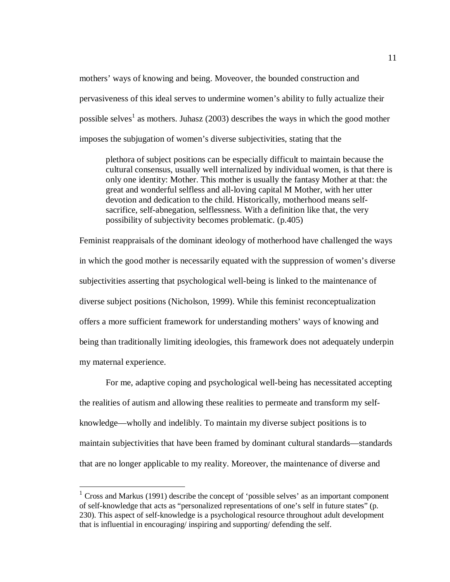mothers' ways of knowing and being. Moveover, the bounded construction and pervasiveness of this ideal serves to undermine women's ability to fully actualize their possible selves<sup>1</sup> as mothers. Juhasz (2003) describes the ways in which the good mother imposes the subjugation of women's diverse subjectivities, stating that the

plethora of subject positions can be especially difficult to maintain because the cultural consensus, usually well internalized by individual women, is that there is only one identity: Mother. This mother is usually the fantasy Mother at that: the great and wonderful selfless and all-loving capital M Mother, with her utter devotion and dedication to the child. Historically, motherhood means selfsacrifice, self-abnegation, selflessness. With a definition like that, the very possibility of subjectivity becomes problematic. (p.405)

Feminist reappraisals of the dominant ideology of motherhood have challenged the ways in which the good mother is necessarily equated with the suppression of women's diverse subjectivities asserting that psychological well-being is linked to the maintenance of diverse subject positions (Nicholson, 1999). While this feminist reconceptualization offers a more sufficient framework for understanding mothers' ways of knowing and being than traditionally limiting ideologies, this framework does not adequately underpin my maternal experience.

For me, adaptive coping and psychological well-being has necessitated accepting the realities of autism and allowing these realities to permeate and transform my selfknowledge—wholly and indelibly. To maintain my diverse subject positions is to maintain subjectivities that have been framed by dominant cultural standards—standards that are no longer applicable to my reality. Moreover, the maintenance of diverse and

 $\overline{a}$ 

 $1 \text{ Cross}$  and Markus (1991) describe the concept of 'possible selves' as an important component of self-knowledge that acts as "personalized representations of one's self in future states" (p. 230). This aspect of self-knowledge is a psychological resource throughout adult development that is influential in encouraging/ inspiring and supporting/ defending the self.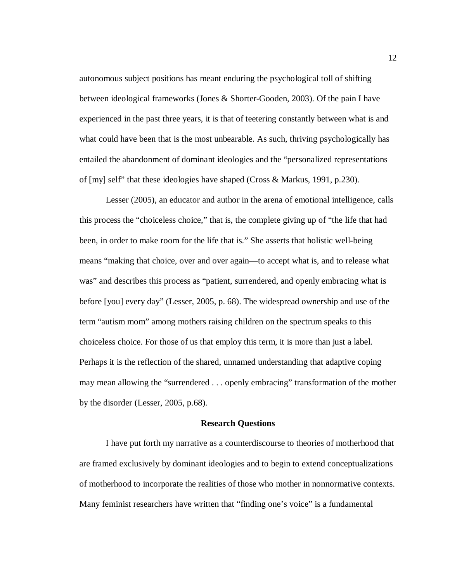autonomous subject positions has meant enduring the psychological toll of shifting between ideological frameworks (Jones & Shorter-Gooden, 2003). Of the pain I have experienced in the past three years, it is that of teetering constantly between what is and what could have been that is the most unbearable. As such, thriving psychologically has entailed the abandonment of dominant ideologies and the "personalized representations of [my] self" that these ideologies have shaped (Cross & Markus, 1991, p.230).

Lesser (2005), an educator and author in the arena of emotional intelligence, calls this process the "choiceless choice," that is, the complete giving up of "the life that had been, in order to make room for the life that is." She asserts that holistic well-being means "making that choice, over and over again—to accept what is, and to release what was" and describes this process as "patient, surrendered, and openly embracing what is before [you] every day" (Lesser, 2005, p. 68). The widespread ownership and use of the term "autism mom" among mothers raising children on the spectrum speaks to this choiceless choice. For those of us that employ this term, it is more than just a label. Perhaps it is the reflection of the shared, unnamed understanding that adaptive coping may mean allowing the "surrendered . . . openly embracing" transformation of the mother by the disorder (Lesser, 2005, p.68).

#### **Research Questions**

I have put forth my narrative as a counterdiscourse to theories of motherhood that are framed exclusively by dominant ideologies and to begin to extend conceptualizations of motherhood to incorporate the realities of those who mother in nonnormative contexts. Many feminist researchers have written that "finding one's voice" is a fundamental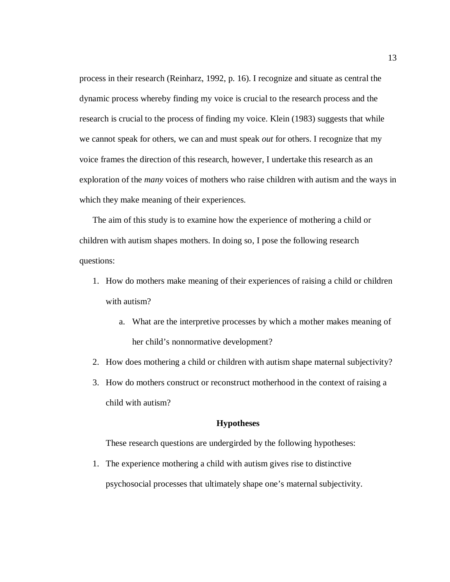process in their research (Reinharz, 1992, p. 16). I recognize and situate as central the dynamic process whereby finding my voice is crucial to the research process and the research is crucial to the process of finding my voice. Klein (1983) suggests that while we cannot speak for others, we can and must speak *out* for others. I recognize that my voice frames the direction of this research, however, I undertake this research as an exploration of the *many* voices of mothers who raise children with autism and the ways in which they make meaning of their experiences.

The aim of this study is to examine how the experience of mothering a child or children with autism shapes mothers. In doing so, I pose the following research questions:

- 1. How do mothers make meaning of their experiences of raising a child or children with autism?
	- a. What are the interpretive processes by which a mother makes meaning of her child's nonnormative development?
- 2. How does mothering a child or children with autism shape maternal subjectivity?
- 3. How do mothers construct or reconstruct motherhood in the context of raising a child with autism?

#### **Hypotheses**

These research questions are undergirded by the following hypotheses:

1. The experience mothering a child with autism gives rise to distinctive psychosocial processes that ultimately shape one's maternal subjectivity.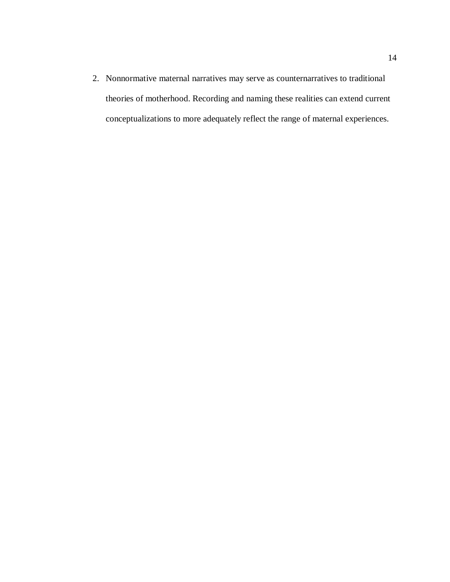2. Nonnormative maternal narratives may serve as counternarratives to traditional theories of motherhood. Recording and naming these realities can extend current conceptualizations to more adequately reflect the range of maternal experiences.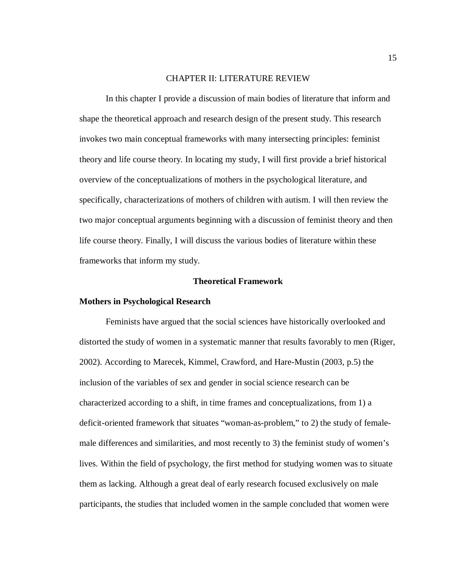#### CHAPTER II: LITERATURE REVIEW

In this chapter I provide a discussion of main bodies of literature that inform and shape the theoretical approach and research design of the present study. This research invokes two main conceptual frameworks with many intersecting principles: feminist theory and life course theory. In locating my study, I will first provide a brief historical overview of the conceptualizations of mothers in the psychological literature, and specifically, characterizations of mothers of children with autism. I will then review the two major conceptual arguments beginning with a discussion of feminist theory and then life course theory. Finally, I will discuss the various bodies of literature within these frameworks that inform my study.

#### **Theoretical Framework**

#### **Mothers in Psychological Research**

Feminists have argued that the social sciences have historically overlooked and distorted the study of women in a systematic manner that results favorably to men (Riger, 2002). According to Marecek, Kimmel, Crawford, and Hare-Mustin (2003, p.5) the inclusion of the variables of sex and gender in social science research can be characterized according to a shift, in time frames and conceptualizations, from 1) a deficit-oriented framework that situates "woman-as-problem," to 2) the study of femalemale differences and similarities, and most recently to 3) the feminist study of women's lives. Within the field of psychology, the first method for studying women was to situate them as lacking. Although a great deal of early research focused exclusively on male participants, the studies that included women in the sample concluded that women were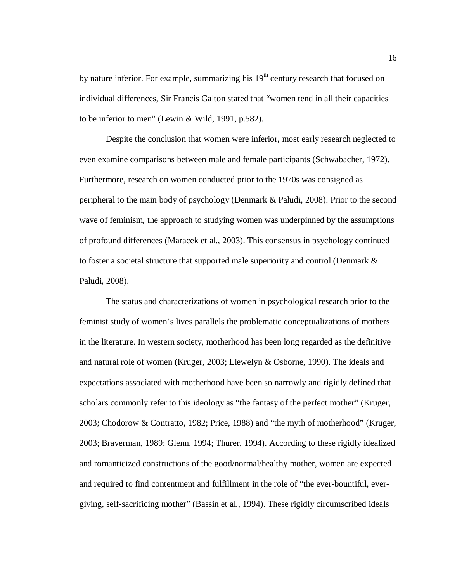by nature inferior. For example, summarizing his  $19<sup>th</sup>$  century research that focused on individual differences, Sir Francis Galton stated that "women tend in all their capacities to be inferior to men" (Lewin & Wild, 1991, p.582).

Despite the conclusion that women were inferior, most early research neglected to even examine comparisons between male and female participants (Schwabacher, 1972). Furthermore, research on women conducted prior to the 1970s was consigned as peripheral to the main body of psychology (Denmark & Paludi, 2008). Prior to the second wave of feminism, the approach to studying women was underpinned by the assumptions of profound differences (Maracek et al., 2003). This consensus in psychology continued to foster a societal structure that supported male superiority and control (Denmark & Paludi, 2008).

The status and characterizations of women in psychological research prior to the feminist study of women's lives parallels the problematic conceptualizations of mothers in the literature. In western society, motherhood has been long regarded as the definitive and natural role of women (Kruger, 2003; Llewelyn & Osborne, 1990). The ideals and expectations associated with motherhood have been so narrowly and rigidly defined that scholars commonly refer to this ideology as "the fantasy of the perfect mother" (Kruger, 2003; Chodorow & Contratto, 1982; Price, 1988) and "the myth of motherhood" (Kruger, 2003; Braverman, 1989; Glenn, 1994; Thurer, 1994). According to these rigidly idealized and romanticized constructions of the good/normal/healthy mother, women are expected and required to find contentment and fulfillment in the role of "the ever-bountiful, evergiving, self-sacrificing mother" (Bassin et al., 1994). These rigidly circumscribed ideals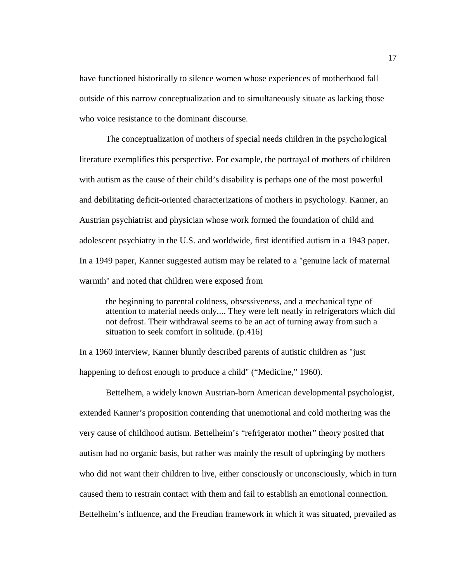have functioned historically to silence women whose experiences of motherhood fall outside of this narrow conceptualization and to simultaneously situate as lacking those who voice resistance to the dominant discourse.

The conceptualization of mothers of special needs children in the psychological literature exemplifies this perspective. For example, the portrayal of mothers of children with autism as the cause of their child's disability is perhaps one of the most powerful and debilitating deficit-oriented characterizations of mothers in psychology. Kanner, an Austrian psychiatrist and physician whose work formed the foundation of child and adolescent psychiatry in the U.S. and worldwide, first identified autism in a 1943 paper. In a 1949 paper, Kanner suggested autism may be related to a "genuine lack of maternal warmth" and noted that children were exposed from

the beginning to parental coldness, obsessiveness, and a mechanical type of attention to material needs only.... They were left neatly in refrigerators which did not defrost. Their withdrawal seems to be an act of turning away from such a situation to seek comfort in solitude. (p.416)

In a 1960 interview, Kanner bluntly described parents of autistic children as "just happening to defrost enough to produce a child" ("Medicine," 1960).

Bettelhem, a widely known Austrian-born American developmental psychologist, extended Kanner's proposition contending that unemotional and cold mothering was the very cause of childhood autism. Bettelheim's "refrigerator mother" theory posited that autism had no organic basis, but rather was mainly the result of upbringing by mothers who did not want their children to live, either consciously or unconsciously, which in turn caused them to restrain contact with them and fail to establish an emotional connection. Bettelheim's influence, and the Freudian framework in which it was situated, prevailed as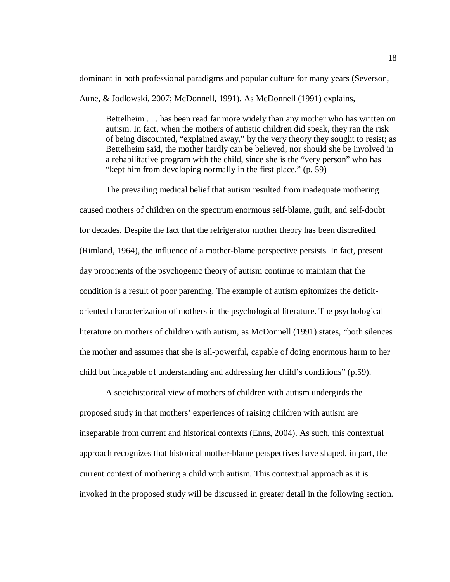dominant in both professional paradigms and popular culture for many years (Severson,

Aune, & Jodlowski, 2007; McDonnell, 1991). As McDonnell (1991) explains,

Bettelheim . . . has been read far more widely than any mother who has written on autism. In fact, when the mothers of autistic children did speak, they ran the risk of being discounted, "explained away," by the very theory they sought to resist; as Bettelheim said, the mother hardly can be believed, nor should she be involved in a rehabilitative program with the child, since she is the "very person" who has "kept him from developing normally in the first place." (p. 59)

The prevailing medical belief that autism resulted from inadequate mothering caused mothers of children on the spectrum enormous self-blame, guilt, and self-doubt for decades. Despite the fact that the refrigerator mother theory has been discredited (Rimland, 1964), the influence of a mother-blame perspective persists. In fact, present day proponents of the psychogenic theory of autism continue to maintain that the condition is a result of poor parenting. The example of autism epitomizes the deficitoriented characterization of mothers in the psychological literature. The psychological literature on mothers of children with autism, as McDonnell (1991) states, "both silences the mother and assumes that she is all-powerful, capable of doing enormous harm to her child but incapable of understanding and addressing her child's conditions" (p.59).

A sociohistorical view of mothers of children with autism undergirds the proposed study in that mothers' experiences of raising children with autism are inseparable from current and historical contexts (Enns, 2004). As such, this contextual approach recognizes that historical mother-blame perspectives have shaped, in part, the current context of mothering a child with autism. This contextual approach as it is invoked in the proposed study will be discussed in greater detail in the following section.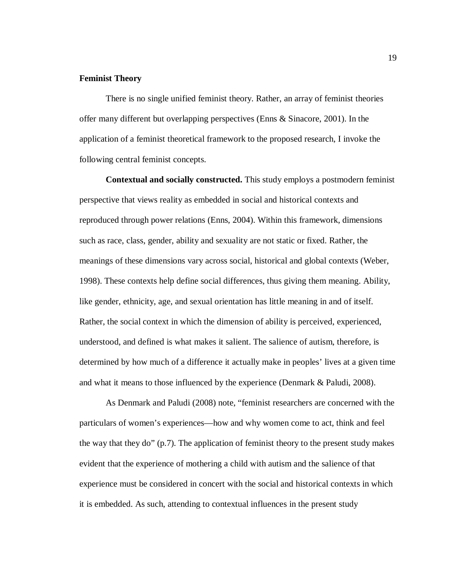#### **Feminist Theory**

There is no single unified feminist theory. Rather, an array of feminist theories offer many different but overlapping perspectives (Enns & Sinacore, 2001). In the application of a feminist theoretical framework to the proposed research, I invoke the following central feminist concepts.

**Contextual and socially constructed.** This study employs a postmodern feminist perspective that views reality as embedded in social and historical contexts and reproduced through power relations (Enns, 2004). Within this framework, dimensions such as race, class, gender, ability and sexuality are not static or fixed. Rather, the meanings of these dimensions vary across social, historical and global contexts (Weber, 1998). These contexts help define social differences, thus giving them meaning. Ability, like gender, ethnicity, age, and sexual orientation has little meaning in and of itself. Rather, the social context in which the dimension of ability is perceived, experienced, understood, and defined is what makes it salient. The salience of autism, therefore, is determined by how much of a difference it actually make in peoples' lives at a given time and what it means to those influenced by the experience (Denmark & Paludi, 2008).

As Denmark and Paludi (2008) note, "feminist researchers are concerned with the particulars of women's experiences—how and why women come to act, think and feel the way that they do" (p.7). The application of feminist theory to the present study makes evident that the experience of mothering a child with autism and the salience of that experience must be considered in concert with the social and historical contexts in which it is embedded. As such, attending to contextual influences in the present study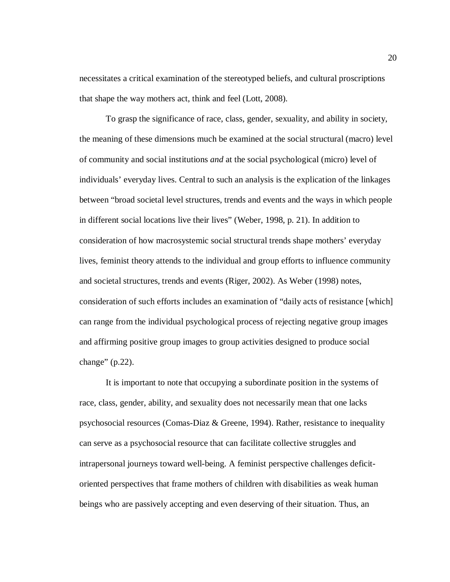necessitates a critical examination of the stereotyped beliefs, and cultural proscriptions that shape the way mothers act, think and feel (Lott, 2008).

To grasp the significance of race, class, gender, sexuality, and ability in society, the meaning of these dimensions much be examined at the social structural (macro) level of community and social institutions *and* at the social psychological (micro) level of individuals' everyday lives. Central to such an analysis is the explication of the linkages between "broad societal level structures, trends and events and the ways in which people in different social locations live their lives" (Weber, 1998, p. 21). In addition to consideration of how macrosystemic social structural trends shape mothers' everyday lives, feminist theory attends to the individual and group efforts to influence community and societal structures, trends and events (Riger, 2002). As Weber (1998) notes, consideration of such efforts includes an examination of "daily acts of resistance [which] can range from the individual psychological process of rejecting negative group images and affirming positive group images to group activities designed to produce social change"  $(p.22)$ .

It is important to note that occupying a subordinate position in the systems of race, class, gender, ability, and sexuality does not necessarily mean that one lacks psychosocial resources (Comas-Diaz & Greene, 1994). Rather, resistance to inequality can serve as a psychosocial resource that can facilitate collective struggles and intrapersonal journeys toward well-being. A feminist perspective challenges deficitoriented perspectives that frame mothers of children with disabilities as weak human beings who are passively accepting and even deserving of their situation. Thus, an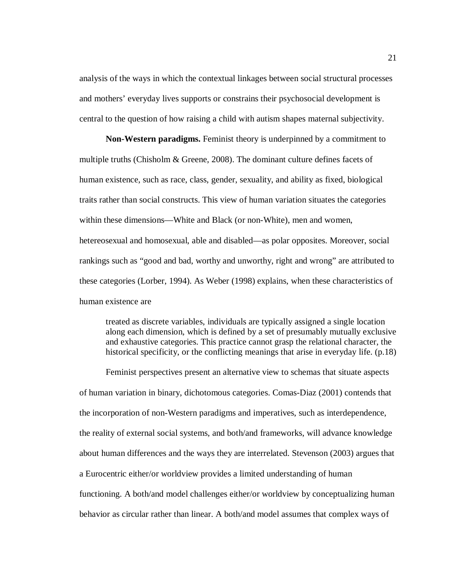analysis of the ways in which the contextual linkages between social structural processes and mothers' everyday lives supports or constrains their psychosocial development is central to the question of how raising a child with autism shapes maternal subjectivity.

**Non-Western paradigms.** Feminist theory is underpinned by a commitment to multiple truths (Chisholm & Greene, 2008). The dominant culture defines facets of human existence, such as race, class, gender, sexuality, and ability as fixed, biological traits rather than social constructs. This view of human variation situates the categories within these dimensions—White and Black (or non-White), men and women, hetereosexual and homosexual, able and disabled—as polar opposites. Moreover, social rankings such as "good and bad, worthy and unworthy, right and wrong" are attributed to these categories (Lorber, 1994). As Weber (1998) explains, when these characteristics of human existence are

treated as discrete variables, individuals are typically assigned a single location along each dimension, which is defined by a set of presumably mutually exclusive and exhaustive categories. This practice cannot grasp the relational character, the historical specificity, or the conflicting meanings that arise in everyday life. (p.18)

Feminist perspectives present an alternative view to schemas that situate aspects of human variation in binary, dichotomous categories. Comas-Diaz (2001) contends that the incorporation of non-Western paradigms and imperatives, such as interdependence, the reality of external social systems, and both/and frameworks, will advance knowledge about human differences and the ways they are interrelated. Stevenson (2003) argues that a Eurocentric either/or worldview provides a limited understanding of human functioning. A both/and model challenges either/or worldview by conceptualizing human behavior as circular rather than linear. A both/and model assumes that complex ways of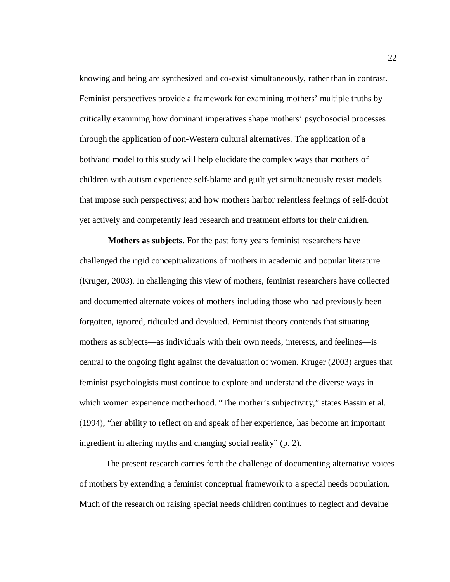knowing and being are synthesized and co-exist simultaneously, rather than in contrast. Feminist perspectives provide a framework for examining mothers' multiple truths by critically examining how dominant imperatives shape mothers' psychosocial processes through the application of non-Western cultural alternatives. The application of a both/and model to this study will help elucidate the complex ways that mothers of children with autism experience self-blame and guilt yet simultaneously resist models that impose such perspectives; and how mothers harbor relentless feelings of self-doubt yet actively and competently lead research and treatment efforts for their children.

 **Mothers as subjects.** For the past forty years feminist researchers have challenged the rigid conceptualizations of mothers in academic and popular literature (Kruger, 2003). In challenging this view of mothers, feminist researchers have collected and documented alternate voices of mothers including those who had previously been forgotten, ignored, ridiculed and devalued. Feminist theory contends that situating mothers as subjects—as individuals with their own needs, interests, and feelings—is central to the ongoing fight against the devaluation of women. Kruger (2003) argues that feminist psychologists must continue to explore and understand the diverse ways in which women experience motherhood. "The mother's subjectivity," states Bassin et al. (1994), "her ability to reflect on and speak of her experience, has become an important ingredient in altering myths and changing social reality" (p. 2).

The present research carries forth the challenge of documenting alternative voices of mothers by extending a feminist conceptual framework to a special needs population. Much of the research on raising special needs children continues to neglect and devalue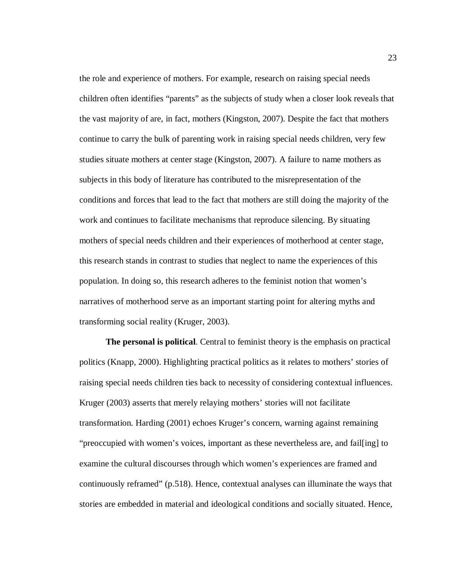the role and experience of mothers. For example, research on raising special needs children often identifies "parents" as the subjects of study when a closer look reveals that the vast majority of are, in fact, mothers (Kingston, 2007). Despite the fact that mothers continue to carry the bulk of parenting work in raising special needs children, very few studies situate mothers at center stage (Kingston, 2007). A failure to name mothers as subjects in this body of literature has contributed to the misrepresentation of the conditions and forces that lead to the fact that mothers are still doing the majority of the work and continues to facilitate mechanisms that reproduce silencing. By situating mothers of special needs children and their experiences of motherhood at center stage, this research stands in contrast to studies that neglect to name the experiences of this population. In doing so, this research adheres to the feminist notion that women's narratives of motherhood serve as an important starting point for altering myths and transforming social reality (Kruger, 2003).

**The personal is political**. Central to feminist theory is the emphasis on practical politics (Knapp, 2000). Highlighting practical politics as it relates to mothers' stories of raising special needs children ties back to necessity of considering contextual influences. Kruger (2003) asserts that merely relaying mothers' stories will not facilitate transformation. Harding (2001) echoes Kruger's concern, warning against remaining "preoccupied with women's voices, important as these nevertheless are, and fail[ing] to examine the cultural discourses through which women's experiences are framed and continuously reframed" (p.518). Hence, contextual analyses can illuminate the ways that stories are embedded in material and ideological conditions and socially situated. Hence,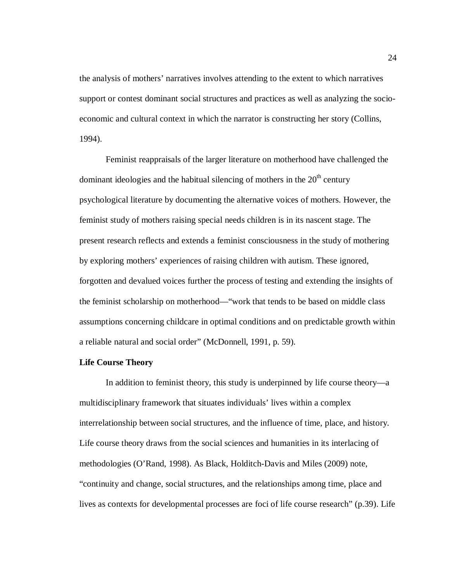the analysis of mothers' narratives involves attending to the extent to which narratives support or contest dominant social structures and practices as well as analyzing the socioeconomic and cultural context in which the narrator is constructing her story (Collins, 1994).

Feminist reappraisals of the larger literature on motherhood have challenged the dominant ideologies and the habitual silencing of mothers in the  $20<sup>th</sup>$  century psychological literature by documenting the alternative voices of mothers. However, the feminist study of mothers raising special needs children is in its nascent stage. The present research reflects and extends a feminist consciousness in the study of mothering by exploring mothers' experiences of raising children with autism. These ignored, forgotten and devalued voices further the process of testing and extending the insights of the feminist scholarship on motherhood—"work that tends to be based on middle class assumptions concerning childcare in optimal conditions and on predictable growth within a reliable natural and social order" (McDonnell, 1991, p. 59).

## **Life Course Theory**

In addition to feminist theory, this study is underpinned by life course theory—a multidisciplinary framework that situates individuals' lives within a complex interrelationship between social structures, and the influence of time, place, and history. Life course theory draws from the social sciences and humanities in its interlacing of methodologies (O'Rand, 1998). As Black, Holditch-Davis and Miles (2009) note, "continuity and change, social structures, and the relationships among time, place and lives as contexts for developmental processes are foci of life course research" (p.39). Life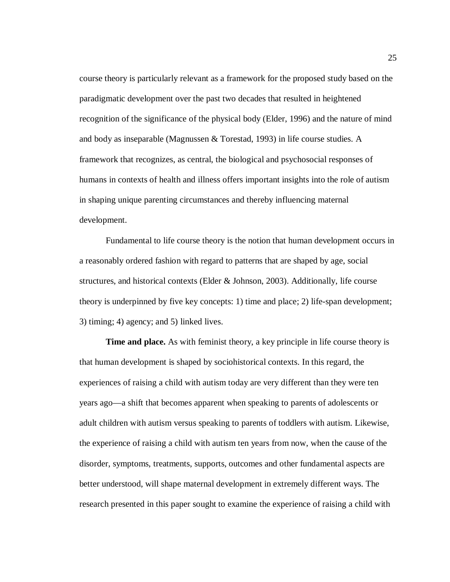course theory is particularly relevant as a framework for the proposed study based on the paradigmatic development over the past two decades that resulted in heightened recognition of the significance of the physical body (Elder, 1996) and the nature of mind and body as inseparable (Magnussen & Torestad, 1993) in life course studies. A framework that recognizes, as central, the biological and psychosocial responses of humans in contexts of health and illness offers important insights into the role of autism in shaping unique parenting circumstances and thereby influencing maternal development.

Fundamental to life course theory is the notion that human development occurs in a reasonably ordered fashion with regard to patterns that are shaped by age, social structures, and historical contexts (Elder  $\&$  Johnson, 2003). Additionally, life course theory is underpinned by five key concepts: 1) time and place; 2) life-span development; 3) timing; 4) agency; and 5) linked lives.

**Time and place.** As with feminist theory, a key principle in life course theory is that human development is shaped by sociohistorical contexts. In this regard, the experiences of raising a child with autism today are very different than they were ten years ago—a shift that becomes apparent when speaking to parents of adolescents or adult children with autism versus speaking to parents of toddlers with autism. Likewise, the experience of raising a child with autism ten years from now, when the cause of the disorder, symptoms, treatments, supports, outcomes and other fundamental aspects are better understood, will shape maternal development in extremely different ways. The research presented in this paper sought to examine the experience of raising a child with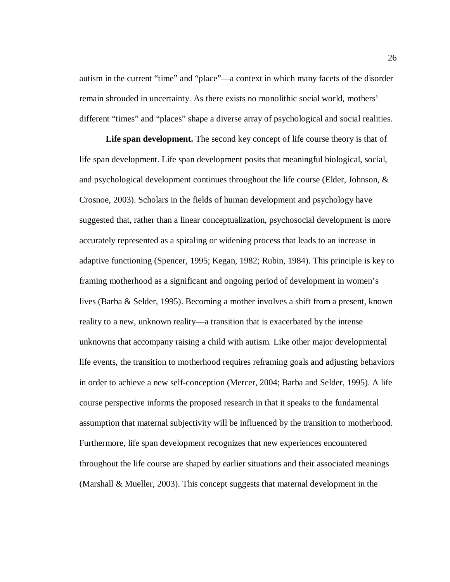autism in the current "time" and "place"—a context in which many facets of the disorder remain shrouded in uncertainty. As there exists no monolithic social world, mothers' different "times" and "places" shape a diverse array of psychological and social realities.

**Life span development.** The second key concept of life course theory is that of life span development. Life span development posits that meaningful biological, social, and psychological development continues throughout the life course (Elder, Johnson, & Crosnoe, 2003). Scholars in the fields of human development and psychology have suggested that, rather than a linear conceptualization, psychosocial development is more accurately represented as a spiraling or widening process that leads to an increase in adaptive functioning (Spencer, 1995; Kegan, 1982; Rubin, 1984). This principle is key to framing motherhood as a significant and ongoing period of development in women's lives (Barba & Selder, 1995). Becoming a mother involves a shift from a present, known reality to a new, unknown reality—a transition that is exacerbated by the intense unknowns that accompany raising a child with autism. Like other major developmental life events, the transition to motherhood requires reframing goals and adjusting behaviors in order to achieve a new self-conception (Mercer, 2004; Barba and Selder, 1995). A life course perspective informs the proposed research in that it speaks to the fundamental assumption that maternal subjectivity will be influenced by the transition to motherhood. Furthermore, life span development recognizes that new experiences encountered throughout the life course are shaped by earlier situations and their associated meanings (Marshall & Mueller, 2003). This concept suggests that maternal development in the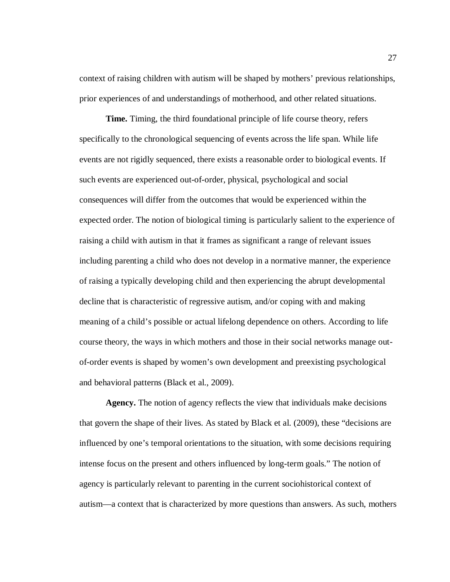context of raising children with autism will be shaped by mothers' previous relationships, prior experiences of and understandings of motherhood, and other related situations.

**Time.** Timing, the third foundational principle of life course theory, refers specifically to the chronological sequencing of events across the life span. While life events are not rigidly sequenced, there exists a reasonable order to biological events. If such events are experienced out-of-order, physical, psychological and social consequences will differ from the outcomes that would be experienced within the expected order. The notion of biological timing is particularly salient to the experience of raising a child with autism in that it frames as significant a range of relevant issues including parenting a child who does not develop in a normative manner, the experience of raising a typically developing child and then experiencing the abrupt developmental decline that is characteristic of regressive autism, and/or coping with and making meaning of a child's possible or actual lifelong dependence on others. According to life course theory, the ways in which mothers and those in their social networks manage outof-order events is shaped by women's own development and preexisting psychological and behavioral patterns (Black et al., 2009).

**Agency.** The notion of agency reflects the view that individuals make decisions that govern the shape of their lives. As stated by Black et al. (2009), these "decisions are influenced by one's temporal orientations to the situation, with some decisions requiring intense focus on the present and others influenced by long-term goals." The notion of agency is particularly relevant to parenting in the current sociohistorical context of autism—a context that is characterized by more questions than answers. As such, mothers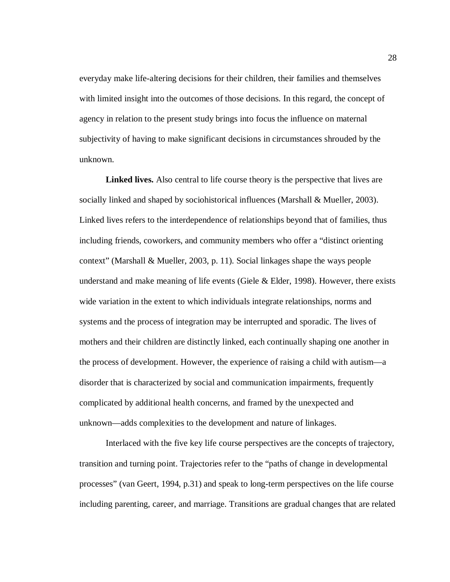everyday make life-altering decisions for their children, their families and themselves with limited insight into the outcomes of those decisions. In this regard, the concept of agency in relation to the present study brings into focus the influence on maternal subjectivity of having to make significant decisions in circumstances shrouded by the unknown.

**Linked lives.** Also central to life course theory is the perspective that lives are socially linked and shaped by sociohistorical influences (Marshall & Mueller, 2003). Linked lives refers to the interdependence of relationships beyond that of families, thus including friends, coworkers, and community members who offer a "distinct orienting context" (Marshall & Mueller, 2003, p. 11). Social linkages shape the ways people understand and make meaning of life events (Giele  $\&$  Elder, 1998). However, there exists wide variation in the extent to which individuals integrate relationships, norms and systems and the process of integration may be interrupted and sporadic. The lives of mothers and their children are distinctly linked, each continually shaping one another in the process of development. However, the experience of raising a child with autism—a disorder that is characterized by social and communication impairments, frequently complicated by additional health concerns, and framed by the unexpected and unknown—adds complexities to the development and nature of linkages.

Interlaced with the five key life course perspectives are the concepts of trajectory, transition and turning point. Trajectories refer to the "paths of change in developmental processes" (van Geert, 1994, p.31) and speak to long-term perspectives on the life course including parenting, career, and marriage. Transitions are gradual changes that are related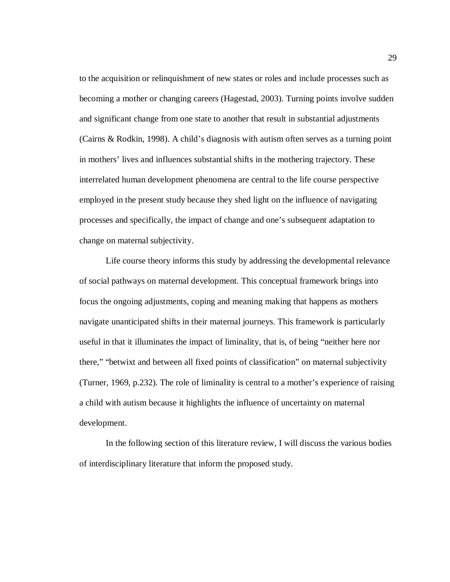to the acquisition or relinquishment of new states or roles and include processes such as becoming a mother or changing careers (Hagestad, 2003). Turning points involve sudden and significant change from one state to another that result in substantial adjustments (Cairns & Rodkin, 1998). A child's diagnosis with autism often serves as a turning point in mothers' lives and influences substantial shifts in the mothering trajectory. These interrelated human development phenomena are central to the life course perspective employed in the present study because they shed light on the influence of navigating processes and specifically, the impact of change and one's subsequent adaptation to change on maternal subjectivity.

Life course theory informs this study by addressing the developmental relevance of social pathways on maternal development. This conceptual framework brings into focus the ongoing adjustments, coping and meaning making that happens as mothers navigate unanticipated shifts in their maternal journeys. This framework is particularly useful in that it illuminates the impact of liminality, that is, of being "neither here nor there," "betwixt and between all fixed points of classification" on maternal subjectivity (Turner, 1969, p.232). The role of liminality is central to a mother's experience of raising a child with autism because it highlights the influence of uncertainty on maternal development.

In the following section of this literature review, I will discuss the various bodies of interdisciplinary literature that inform the proposed study.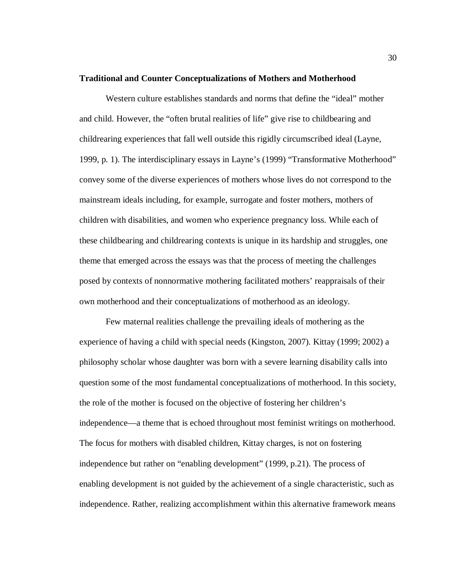#### **Traditional and Counter Conceptualizations of Mothers and Motherhood**

Western culture establishes standards and norms that define the "ideal" mother and child. However, the "often brutal realities of life" give rise to childbearing and childrearing experiences that fall well outside this rigidly circumscribed ideal (Layne, 1999, p. 1). The interdisciplinary essays in Layne's (1999) "Transformative Motherhood" convey some of the diverse experiences of mothers whose lives do not correspond to the mainstream ideals including, for example, surrogate and foster mothers, mothers of children with disabilities, and women who experience pregnancy loss. While each of these childbearing and childrearing contexts is unique in its hardship and struggles, one theme that emerged across the essays was that the process of meeting the challenges posed by contexts of nonnormative mothering facilitated mothers' reappraisals of their own motherhood and their conceptualizations of motherhood as an ideology.

Few maternal realities challenge the prevailing ideals of mothering as the experience of having a child with special needs (Kingston, 2007). Kittay (1999; 2002) a philosophy scholar whose daughter was born with a severe learning disability calls into question some of the most fundamental conceptualizations of motherhood. In this society, the role of the mother is focused on the objective of fostering her children's independence—a theme that is echoed throughout most feminist writings on motherhood. The focus for mothers with disabled children, Kittay charges, is not on fostering independence but rather on "enabling development" (1999, p.21). The process of enabling development is not guided by the achievement of a single characteristic, such as independence. Rather, realizing accomplishment within this alternative framework means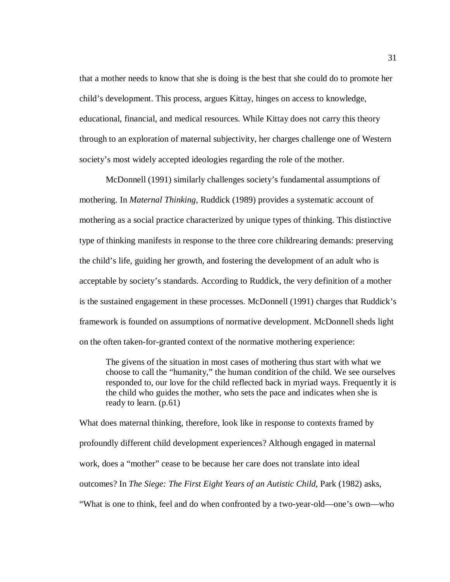that a mother needs to know that she is doing is the best that she could do to promote her child's development. This process, argues Kittay, hinges on access to knowledge, educational, financial, and medical resources. While Kittay does not carry this theory through to an exploration of maternal subjectivity, her charges challenge one of Western society's most widely accepted ideologies regarding the role of the mother.

McDonnell (1991) similarly challenges society's fundamental assumptions of mothering. In *Maternal Thinking,* Ruddick (1989) provides a systematic account of mothering as a social practice characterized by unique types of thinking. This distinctive type of thinking manifests in response to the three core childrearing demands: preserving the child's life, guiding her growth, and fostering the development of an adult who is acceptable by society's standards. According to Ruddick, the very definition of a mother is the sustained engagement in these processes. McDonnell (1991) charges that Ruddick's framework is founded on assumptions of normative development. McDonnell sheds light on the often taken-for-granted context of the normative mothering experience:

The givens of the situation in most cases of mothering thus start with what we choose to call the "humanity," the human condition of the child. We see ourselves responded to, our love for the child reflected back in myriad ways. Frequently it is the child who guides the mother, who sets the pace and indicates when she is ready to learn. (p.61)

What does maternal thinking, therefore, look like in response to contexts framed by profoundly different child development experiences? Although engaged in maternal work, does a "mother" cease to be because her care does not translate into ideal outcomes? In *The Siege: The First Eight Years of an Autistic Child*, Park (1982) asks, "What is one to think, feel and do when confronted by a two-year-old—one's own—who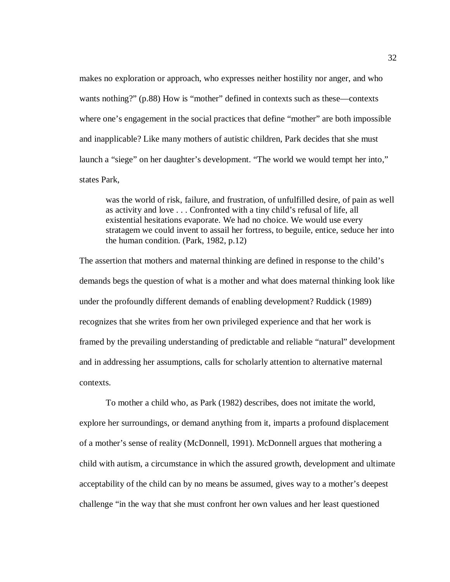makes no exploration or approach, who expresses neither hostility nor anger, and who wants nothing?" (p.88) How is "mother" defined in contexts such as these—contexts where one's engagement in the social practices that define "mother" are both impossible and inapplicable? Like many mothers of autistic children, Park decides that she must launch a "siege" on her daughter's development. "The world we would tempt her into," states Park,

was the world of risk, failure, and frustration, of unfulfilled desire, of pain as well as activity and love . . . Confronted with a tiny child's refusal of life, all existential hesitations evaporate. We had no choice. We would use every stratagem we could invent to assail her fortress, to beguile, entice, seduce her into the human condition. (Park, 1982, p.12)

The assertion that mothers and maternal thinking are defined in response to the child's demands begs the question of what is a mother and what does maternal thinking look like under the profoundly different demands of enabling development? Ruddick (1989) recognizes that she writes from her own privileged experience and that her work is framed by the prevailing understanding of predictable and reliable "natural" development and in addressing her assumptions, calls for scholarly attention to alternative maternal contexts.

To mother a child who, as Park (1982) describes, does not imitate the world, explore her surroundings, or demand anything from it, imparts a profound displacement of a mother's sense of reality (McDonnell, 1991). McDonnell argues that mothering a child with autism, a circumstance in which the assured growth, development and ultimate acceptability of the child can by no means be assumed, gives way to a mother's deepest challenge "in the way that she must confront her own values and her least questioned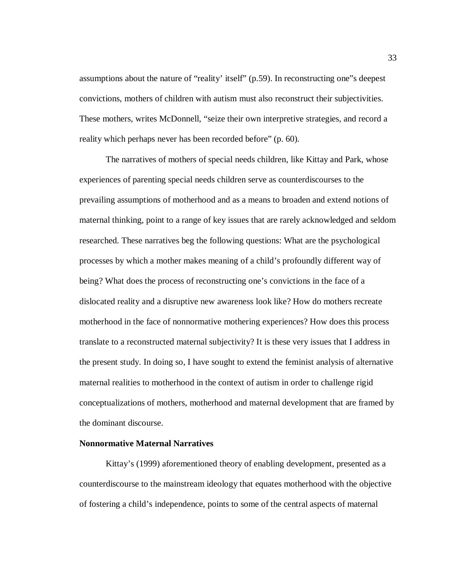assumptions about the nature of "reality' itself" (p.59). In reconstructing one"s deepest convictions, mothers of children with autism must also reconstruct their subjectivities. These mothers, writes McDonnell, "seize their own interpretive strategies, and record a reality which perhaps never has been recorded before" (p. 60).

The narratives of mothers of special needs children, like Kittay and Park, whose experiences of parenting special needs children serve as counterdiscourses to the prevailing assumptions of motherhood and as a means to broaden and extend notions of maternal thinking, point to a range of key issues that are rarely acknowledged and seldom researched. These narratives beg the following questions: What are the psychological processes by which a mother makes meaning of a child's profoundly different way of being? What does the process of reconstructing one's convictions in the face of a dislocated reality and a disruptive new awareness look like? How do mothers recreate motherhood in the face of nonnormative mothering experiences? How does this process translate to a reconstructed maternal subjectivity? It is these very issues that I address in the present study. In doing so, I have sought to extend the feminist analysis of alternative maternal realities to motherhood in the context of autism in order to challenge rigid conceptualizations of mothers, motherhood and maternal development that are framed by the dominant discourse.

## **Nonnormative Maternal Narratives**

Kittay's (1999) aforementioned theory of enabling development, presented as a counterdiscourse to the mainstream ideology that equates motherhood with the objective of fostering a child's independence, points to some of the central aspects of maternal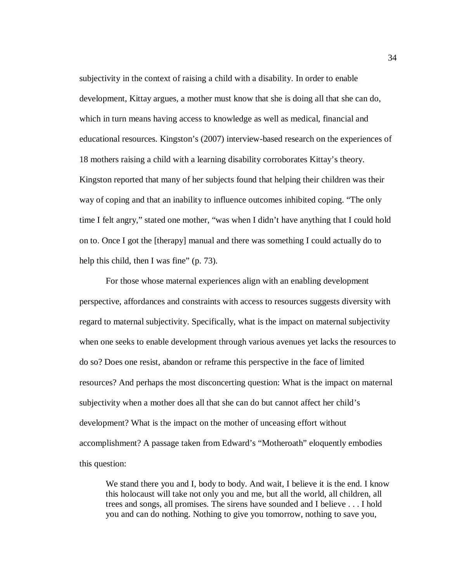subjectivity in the context of raising a child with a disability. In order to enable development, Kittay argues, a mother must know that she is doing all that she can do, which in turn means having access to knowledge as well as medical, financial and educational resources. Kingston's (2007) interview-based research on the experiences of 18 mothers raising a child with a learning disability corroborates Kittay's theory. Kingston reported that many of her subjects found that helping their children was their way of coping and that an inability to influence outcomes inhibited coping. "The only time I felt angry," stated one mother, "was when I didn't have anything that I could hold on to. Once I got the [therapy] manual and there was something I could actually do to help this child, then I was fine" (p. 73).

For those whose maternal experiences align with an enabling development perspective, affordances and constraints with access to resources suggests diversity with regard to maternal subjectivity. Specifically, what is the impact on maternal subjectivity when one seeks to enable development through various avenues yet lacks the resources to do so? Does one resist, abandon or reframe this perspective in the face of limited resources? And perhaps the most disconcerting question: What is the impact on maternal subjectivity when a mother does all that she can do but cannot affect her child's development? What is the impact on the mother of unceasing effort without accomplishment? A passage taken from Edward's "Motheroath" eloquently embodies this question:

We stand there you and I, body to body. And wait, I believe it is the end. I know this holocaust will take not only you and me, but all the world, all children, all trees and songs, all promises. The sirens have sounded and I believe . . . I hold you and can do nothing. Nothing to give you tomorrow, nothing to save you,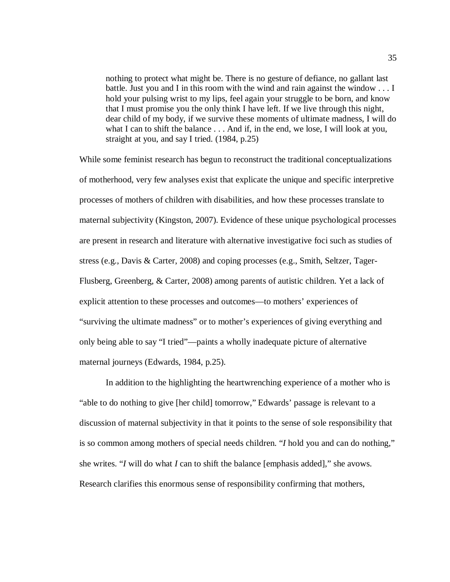nothing to protect what might be. There is no gesture of defiance, no gallant last battle. Just you and I in this room with the wind and rain against the window . . . I hold your pulsing wrist to my lips, feel again your struggle to be born, and know that I must promise you the only think I have left. If we live through this night, dear child of my body, if we survive these moments of ultimate madness, I will do what I can to shift the balance . . . And if, in the end, we lose, I will look at you, straight at you, and say I tried. (1984, p.25)

While some feminist research has begun to reconstruct the traditional conceptualizations of motherhood, very few analyses exist that explicate the unique and specific interpretive processes of mothers of children with disabilities, and how these processes translate to maternal subjectivity (Kingston, 2007). Evidence of these unique psychological processes are present in research and literature with alternative investigative foci such as studies of stress (e.g., Davis & Carter, 2008) and coping processes (e.g., Smith, Seltzer, Tager-Flusberg, Greenberg, & Carter, 2008) among parents of autistic children. Yet a lack of explicit attention to these processes and outcomes—to mothers' experiences of "surviving the ultimate madness" or to mother's experiences of giving everything and only being able to say "I tried"—paints a wholly inadequate picture of alternative maternal journeys (Edwards, 1984, p.25).

In addition to the highlighting the heartwrenching experience of a mother who is "able to do nothing to give [her child] tomorrow," Edwards' passage is relevant to a discussion of maternal subjectivity in that it points to the sense of sole responsibility that is so common among mothers of special needs children. "*I* hold you and can do nothing," she writes. "*I* will do what *I* can to shift the balance [emphasis added]," she avows. Research clarifies this enormous sense of responsibility confirming that mothers,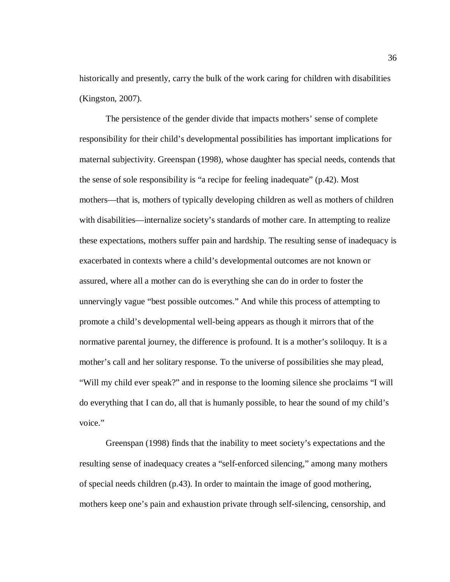historically and presently, carry the bulk of the work caring for children with disabilities (Kingston, 2007).

The persistence of the gender divide that impacts mothers' sense of complete responsibility for their child's developmental possibilities has important implications for maternal subjectivity. Greenspan (1998), whose daughter has special needs, contends that the sense of sole responsibility is "a recipe for feeling inadequate" (p.42). Most mothers—that is, mothers of typically developing children as well as mothers of children with disabilities—internalize society's standards of mother care. In attempting to realize these expectations, mothers suffer pain and hardship. The resulting sense of inadequacy is exacerbated in contexts where a child's developmental outcomes are not known or assured, where all a mother can do is everything she can do in order to foster the unnervingly vague "best possible outcomes." And while this process of attempting to promote a child's developmental well-being appears as though it mirrors that of the normative parental journey, the difference is profound. It is a mother's soliloquy. It is a mother's call and her solitary response. To the universe of possibilities she may plead, "Will my child ever speak?" and in response to the looming silence she proclaims "I will do everything that I can do, all that is humanly possible, to hear the sound of my child's voice."

Greenspan (1998) finds that the inability to meet society's expectations and the resulting sense of inadequacy creates a "self-enforced silencing," among many mothers of special needs children (p.43). In order to maintain the image of good mothering, mothers keep one's pain and exhaustion private through self-silencing, censorship, and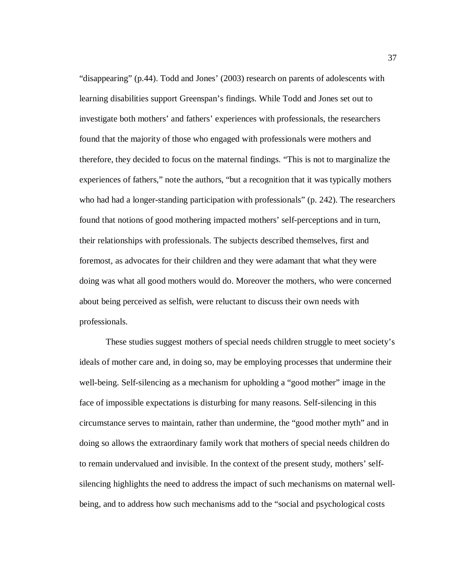"disappearing" (p.44). Todd and Jones' (2003) research on parents of adolescents with learning disabilities support Greenspan's findings. While Todd and Jones set out to investigate both mothers' and fathers' experiences with professionals, the researchers found that the majority of those who engaged with professionals were mothers and therefore, they decided to focus on the maternal findings. "This is not to marginalize the experiences of fathers," note the authors, "but a recognition that it was typically mothers who had had a longer-standing participation with professionals" (p. 242). The researchers found that notions of good mothering impacted mothers' self-perceptions and in turn, their relationships with professionals. The subjects described themselves, first and foremost, as advocates for their children and they were adamant that what they were doing was what all good mothers would do. Moreover the mothers, who were concerned about being perceived as selfish, were reluctant to discuss their own needs with professionals.

These studies suggest mothers of special needs children struggle to meet society's ideals of mother care and, in doing so, may be employing processes that undermine their well-being. Self-silencing as a mechanism for upholding a "good mother" image in the face of impossible expectations is disturbing for many reasons. Self-silencing in this circumstance serves to maintain, rather than undermine, the "good mother myth" and in doing so allows the extraordinary family work that mothers of special needs children do to remain undervalued and invisible. In the context of the present study, mothers' selfsilencing highlights the need to address the impact of such mechanisms on maternal wellbeing, and to address how such mechanisms add to the "social and psychological costs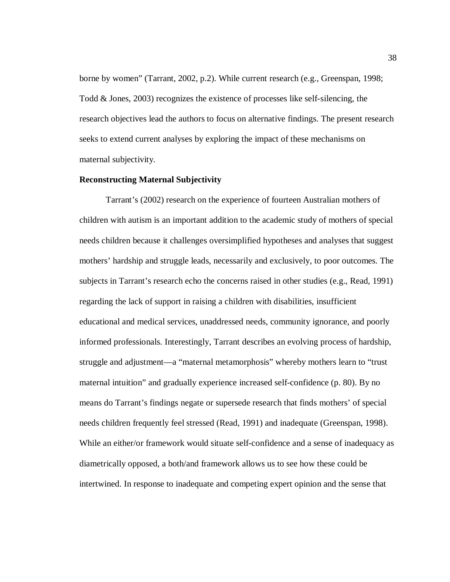borne by women" (Tarrant, 2002, p.2). While current research (e.g., Greenspan, 1998; Todd & Jones, 2003) recognizes the existence of processes like self-silencing, the research objectives lead the authors to focus on alternative findings. The present research seeks to extend current analyses by exploring the impact of these mechanisms on maternal subjectivity.

## **Reconstructing Maternal Subjectivity**

Tarrant's (2002) research on the experience of fourteen Australian mothers of children with autism is an important addition to the academic study of mothers of special needs children because it challenges oversimplified hypotheses and analyses that suggest mothers' hardship and struggle leads, necessarily and exclusively, to poor outcomes. The subjects in Tarrant's research echo the concerns raised in other studies (e.g., Read, 1991) regarding the lack of support in raising a children with disabilities, insufficient educational and medical services, unaddressed needs, community ignorance, and poorly informed professionals. Interestingly, Tarrant describes an evolving process of hardship, struggle and adjustment—a "maternal metamorphosis" whereby mothers learn to "trust maternal intuition" and gradually experience increased self-confidence (p. 80). By no means do Tarrant's findings negate or supersede research that finds mothers' of special needs children frequently feel stressed (Read, 1991) and inadequate (Greenspan, 1998). While an either/or framework would situate self-confidence and a sense of inadequacy as diametrically opposed, a both/and framework allows us to see how these could be intertwined. In response to inadequate and competing expert opinion and the sense that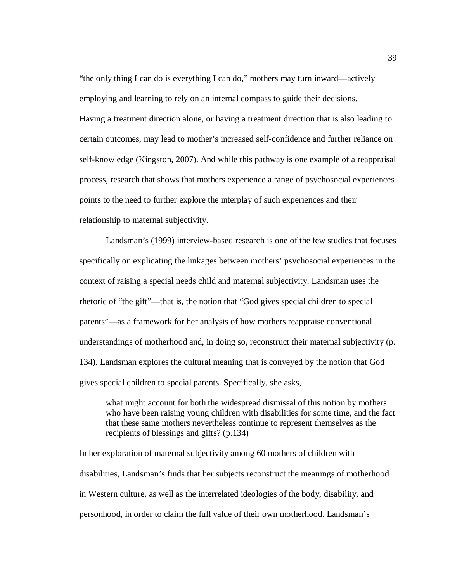"the only thing I can do is everything I can do," mothers may turn inward—actively employing and learning to rely on an internal compass to guide their decisions. Having a treatment direction alone, or having a treatment direction that is also leading to certain outcomes, may lead to mother's increased self-confidence and further reliance on self-knowledge (Kingston, 2007). And while this pathway is one example of a reappraisal process, research that shows that mothers experience a range of psychosocial experiences points to the need to further explore the interplay of such experiences and their relationship to maternal subjectivity.

Landsman's (1999) interview-based research is one of the few studies that focuses specifically on explicating the linkages between mothers' psychosocial experiences in the context of raising a special needs child and maternal subjectivity. Landsman uses the rhetoric of "the gift"—that is, the notion that "God gives special children to special parents"—as a framework for her analysis of how mothers reappraise conventional understandings of motherhood and, in doing so, reconstruct their maternal subjectivity (p. 134). Landsman explores the cultural meaning that is conveyed by the notion that God gives special children to special parents. Specifically, she asks,

what might account for both the widespread dismissal of this notion by mothers who have been raising young children with disabilities for some time, and the fact that these same mothers nevertheless continue to represent themselves as the recipients of blessings and gifts? (p.134)

In her exploration of maternal subjectivity among 60 mothers of children with disabilities, Landsman's finds that her subjects reconstruct the meanings of motherhood in Western culture, as well as the interrelated ideologies of the body, disability, and personhood, in order to claim the full value of their own motherhood. Landsman's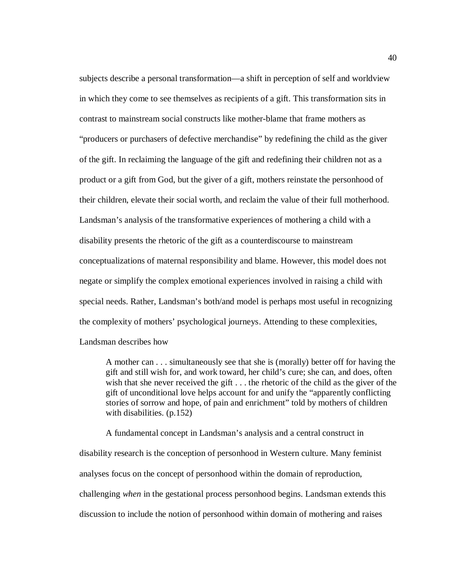subjects describe a personal transformation—a shift in perception of self and worldview in which they come to see themselves as recipients of a gift. This transformation sits in contrast to mainstream social constructs like mother-blame that frame mothers as "producers or purchasers of defective merchandise" by redefining the child as the giver of the gift. In reclaiming the language of the gift and redefining their children not as a product or a gift from God, but the giver of a gift, mothers reinstate the personhood of their children, elevate their social worth, and reclaim the value of their full motherhood. Landsman's analysis of the transformative experiences of mothering a child with a disability presents the rhetoric of the gift as a counterdiscourse to mainstream conceptualizations of maternal responsibility and blame. However, this model does not negate or simplify the complex emotional experiences involved in raising a child with special needs. Rather, Landsman's both/and model is perhaps most useful in recognizing the complexity of mothers' psychological journeys. Attending to these complexities, Landsman describes how

A mother can . . . simultaneously see that she is (morally) better off for having the gift and still wish for, and work toward, her child's cure; she can, and does, often wish that she never received the gift . . . the rhetoric of the child as the giver of the gift of unconditional love helps account for and unify the "apparently conflicting stories of sorrow and hope, of pain and enrichment" told by mothers of children with disabilities. (p.152)

A fundamental concept in Landsman's analysis and a central construct in disability research is the conception of personhood in Western culture. Many feminist analyses focus on the concept of personhood within the domain of reproduction, challenging *when* in the gestational process personhood begins. Landsman extends this discussion to include the notion of personhood within domain of mothering and raises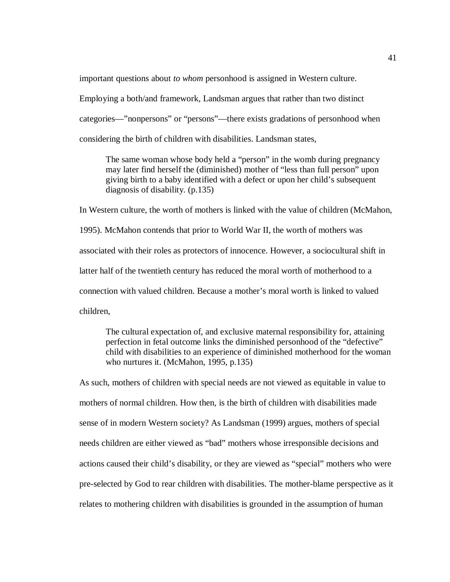important questions about *to whom* personhood is assigned in Western culture.

Employing a both/and framework, Landsman argues that rather than two distinct categories—"nonpersons" or "persons"—there exists gradations of personhood when considering the birth of children with disabilities. Landsman states,

The same woman whose body held a "person" in the womb during pregnancy may later find herself the (diminished) mother of "less than full person" upon giving birth to a baby identified with a defect or upon her child's subsequent diagnosis of disability. (p.135)

In Western culture, the worth of mothers is linked with the value of children (McMahon, 1995). McMahon contends that prior to World War II, the worth of mothers was associated with their roles as protectors of innocence. However, a sociocultural shift in latter half of the twentieth century has reduced the moral worth of motherhood to a connection with valued children. Because a mother's moral worth is linked to valued children,

The cultural expectation of, and exclusive maternal responsibility for, attaining perfection in fetal outcome links the diminished personhood of the "defective" child with disabilities to an experience of diminished motherhood for the woman who nurtures it. (McMahon, 1995, p.135)

As such, mothers of children with special needs are not viewed as equitable in value to mothers of normal children. How then, is the birth of children with disabilities made sense of in modern Western society? As Landsman (1999) argues, mothers of special needs children are either viewed as "bad" mothers whose irresponsible decisions and actions caused their child's disability, or they are viewed as "special" mothers who were pre-selected by God to rear children with disabilities. The mother-blame perspective as it relates to mothering children with disabilities is grounded in the assumption of human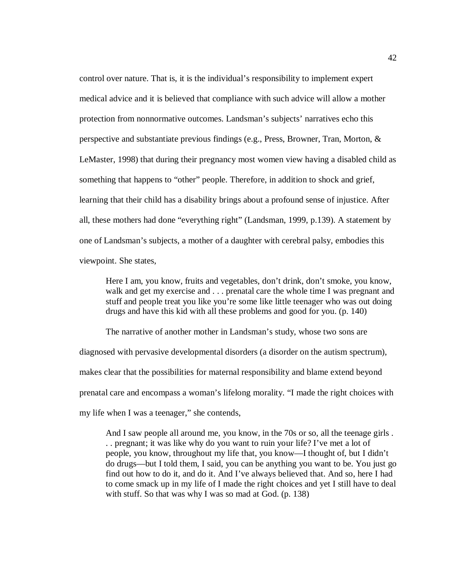control over nature. That is, it is the individual's responsibility to implement expert medical advice and it is believed that compliance with such advice will allow a mother protection from nonnormative outcomes. Landsman's subjects' narratives echo this perspective and substantiate previous findings (e.g., Press, Browner, Tran, Morton, & LeMaster, 1998) that during their pregnancy most women view having a disabled child as something that happens to "other" people. Therefore, in addition to shock and grief, learning that their child has a disability brings about a profound sense of injustice. After all, these mothers had done "everything right" (Landsman, 1999, p.139). A statement by one of Landsman's subjects, a mother of a daughter with cerebral palsy, embodies this viewpoint. She states,

Here I am, you know, fruits and vegetables, don't drink, don't smoke, you know, walk and get my exercise and . . . prenatal care the whole time I was pregnant and stuff and people treat you like you're some like little teenager who was out doing drugs and have this kid with all these problems and good for you. (p. 140)

The narrative of another mother in Landsman's study, whose two sons are diagnosed with pervasive developmental disorders (a disorder on the autism spectrum), makes clear that the possibilities for maternal responsibility and blame extend beyond prenatal care and encompass a woman's lifelong morality. "I made the right choices with my life when I was a teenager," she contends,

And I saw people all around me, you know, in the 70s or so, all the teenage girls . . . pregnant; it was like why do you want to ruin your life? I've met a lot of people, you know, throughout my life that, you know—I thought of, but I didn't do drugs—but I told them, I said, you can be anything you want to be. You just go find out how to do it, and do it. And I've always believed that. And so, here I had to come smack up in my life of I made the right choices and yet I still have to deal with stuff. So that was why I was so mad at God. (p. 138)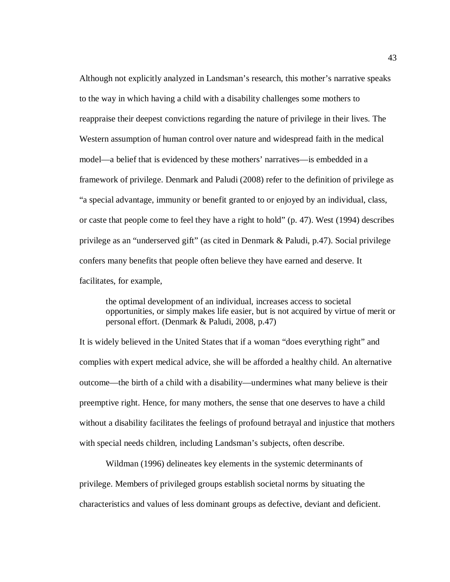Although not explicitly analyzed in Landsman's research, this mother's narrative speaks to the way in which having a child with a disability challenges some mothers to reappraise their deepest convictions regarding the nature of privilege in their lives. The Western assumption of human control over nature and widespread faith in the medical model—a belief that is evidenced by these mothers' narratives—is embedded in a framework of privilege. Denmark and Paludi (2008) refer to the definition of privilege as "a special advantage, immunity or benefit granted to or enjoyed by an individual, class, or caste that people come to feel they have a right to hold" (p. 47). West (1994) describes privilege as an "underserved gift" (as cited in Denmark & Paludi, p.47). Social privilege confers many benefits that people often believe they have earned and deserve. It facilitates, for example,

the optimal development of an individual, increases access to societal opportunities, or simply makes life easier, but is not acquired by virtue of merit or personal effort. (Denmark & Paludi, 2008, p.47)

It is widely believed in the United States that if a woman "does everything right" and complies with expert medical advice, she will be afforded a healthy child. An alternative outcome—the birth of a child with a disability—undermines what many believe is their preemptive right. Hence, for many mothers, the sense that one deserves to have a child without a disability facilitates the feelings of profound betrayal and injustice that mothers with special needs children, including Landsman's subjects, often describe.

Wildman (1996) delineates key elements in the systemic determinants of privilege. Members of privileged groups establish societal norms by situating the characteristics and values of less dominant groups as defective, deviant and deficient.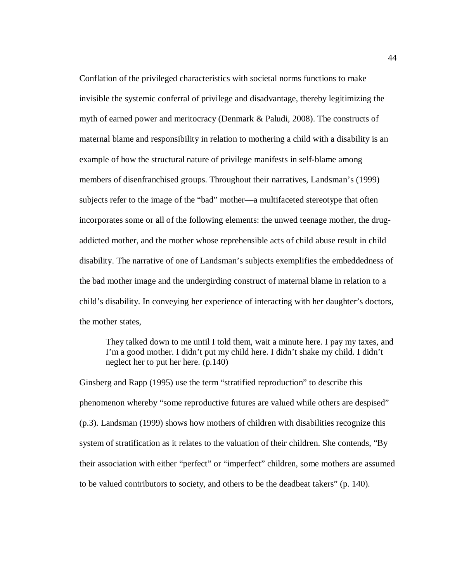Conflation of the privileged characteristics with societal norms functions to make invisible the systemic conferral of privilege and disadvantage, thereby legitimizing the myth of earned power and meritocracy (Denmark & Paludi, 2008). The constructs of maternal blame and responsibility in relation to mothering a child with a disability is an example of how the structural nature of privilege manifests in self-blame among members of disenfranchised groups. Throughout their narratives, Landsman's (1999) subjects refer to the image of the "bad" mother—a multifaceted stereotype that often incorporates some or all of the following elements: the unwed teenage mother, the drugaddicted mother, and the mother whose reprehensible acts of child abuse result in child disability. The narrative of one of Landsman's subjects exemplifies the embeddedness of the bad mother image and the undergirding construct of maternal blame in relation to a child's disability. In conveying her experience of interacting with her daughter's doctors, the mother states,

They talked down to me until I told them, wait a minute here. I pay my taxes, and I'm a good mother. I didn't put my child here. I didn't shake my child. I didn't neglect her to put her here. (p.140)

Ginsberg and Rapp (1995) use the term "stratified reproduction" to describe this phenomenon whereby "some reproductive futures are valued while others are despised" (p.3). Landsman (1999) shows how mothers of children with disabilities recognize this system of stratification as it relates to the valuation of their children. She contends, "By their association with either "perfect" or "imperfect" children, some mothers are assumed to be valued contributors to society, and others to be the deadbeat takers" (p. 140).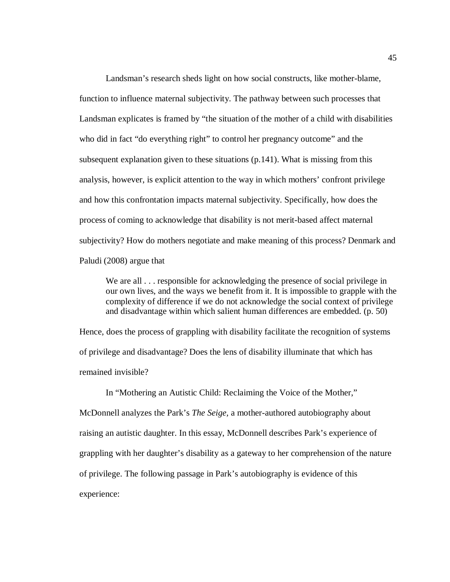Landsman's research sheds light on how social constructs, like mother-blame, function to influence maternal subjectivity. The pathway between such processes that Landsman explicates is framed by "the situation of the mother of a child with disabilities who did in fact "do everything right" to control her pregnancy outcome" and the subsequent explanation given to these situations (p.141). What is missing from this analysis, however, is explicit attention to the way in which mothers' confront privilege and how this confrontation impacts maternal subjectivity. Specifically, how does the process of coming to acknowledge that disability is not merit-based affect maternal subjectivity? How do mothers negotiate and make meaning of this process? Denmark and Paludi (2008) argue that

We are all  $\ldots$  responsible for acknowledging the presence of social privilege in our own lives, and the ways we benefit from it. It is impossible to grapple with the complexity of difference if we do not acknowledge the social context of privilege and disadvantage within which salient human differences are embedded. (p. 50)

Hence, does the process of grappling with disability facilitate the recognition of systems of privilege and disadvantage? Does the lens of disability illuminate that which has remained invisible?

In "Mothering an Autistic Child: Reclaiming the Voice of the Mother," McDonnell analyzes the Park's *The Seige,* a mother-authored autobiography about raising an autistic daughter. In this essay, McDonnell describes Park's experience of grappling with her daughter's disability as a gateway to her comprehension of the nature of privilege. The following passage in Park's autobiography is evidence of this experience: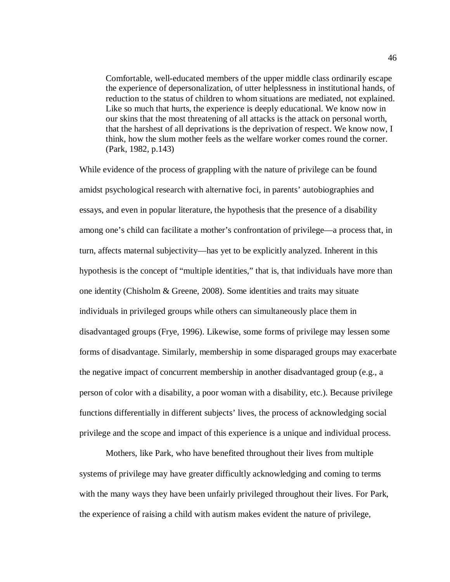Comfortable, well-educated members of the upper middle class ordinarily escape the experience of depersonalization, of utter helplessness in institutional hands, of reduction to the status of children to whom situations are mediated, not explained. Like so much that hurts, the experience is deeply educational. We know now in our skins that the most threatening of all attacks is the attack on personal worth, that the harshest of all deprivations is the deprivation of respect. We know now, I think, how the slum mother feels as the welfare worker comes round the corner. (Park, 1982, p.143)

While evidence of the process of grappling with the nature of privilege can be found amidst psychological research with alternative foci, in parents' autobiographies and essays, and even in popular literature, the hypothesis that the presence of a disability among one's child can facilitate a mother's confrontation of privilege—a process that, in turn, affects maternal subjectivity—has yet to be explicitly analyzed. Inherent in this hypothesis is the concept of "multiple identities," that is, that individuals have more than one identity (Chisholm & Greene, 2008). Some identities and traits may situate individuals in privileged groups while others can simultaneously place them in disadvantaged groups (Frye, 1996). Likewise, some forms of privilege may lessen some forms of disadvantage. Similarly, membership in some disparaged groups may exacerbate the negative impact of concurrent membership in another disadvantaged group (e.g., a person of color with a disability, a poor woman with a disability, etc.). Because privilege functions differentially in different subjects' lives, the process of acknowledging social privilege and the scope and impact of this experience is a unique and individual process.

Mothers, like Park, who have benefited throughout their lives from multiple systems of privilege may have greater difficultly acknowledging and coming to terms with the many ways they have been unfairly privileged throughout their lives. For Park, the experience of raising a child with autism makes evident the nature of privilege,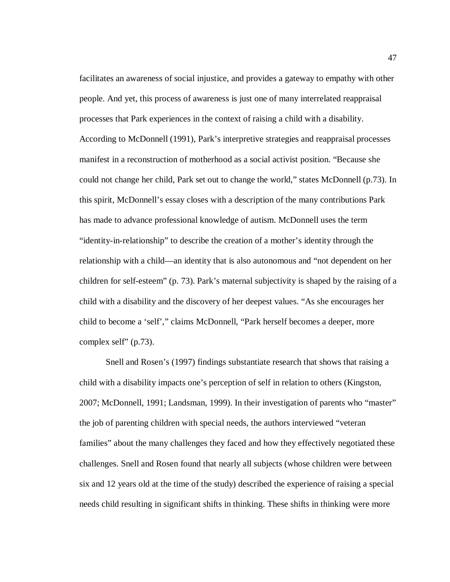facilitates an awareness of social injustice, and provides a gateway to empathy with other people. And yet, this process of awareness is just one of many interrelated reappraisal processes that Park experiences in the context of raising a child with a disability. According to McDonnell (1991), Park's interpretive strategies and reappraisal processes manifest in a reconstruction of motherhood as a social activist position. "Because she could not change her child, Park set out to change the world," states McDonnell (p.73). In this spirit, McDonnell's essay closes with a description of the many contributions Park has made to advance professional knowledge of autism. McDonnell uses the term "identity-in-relationship" to describe the creation of a mother's identity through the relationship with a child—an identity that is also autonomous and "not dependent on her children for self-esteem" (p. 73). Park's maternal subjectivity is shaped by the raising of a child with a disability and the discovery of her deepest values. "As she encourages her child to become a 'self'," claims McDonnell, "Park herself becomes a deeper, more complex self" (p.73).

Snell and Rosen's (1997) findings substantiate research that shows that raising a child with a disability impacts one's perception of self in relation to others (Kingston, 2007; McDonnell, 1991; Landsman, 1999). In their investigation of parents who "master" the job of parenting children with special needs, the authors interviewed "veteran families" about the many challenges they faced and how they effectively negotiated these challenges. Snell and Rosen found that nearly all subjects (whose children were between six and 12 years old at the time of the study) described the experience of raising a special needs child resulting in significant shifts in thinking. These shifts in thinking were more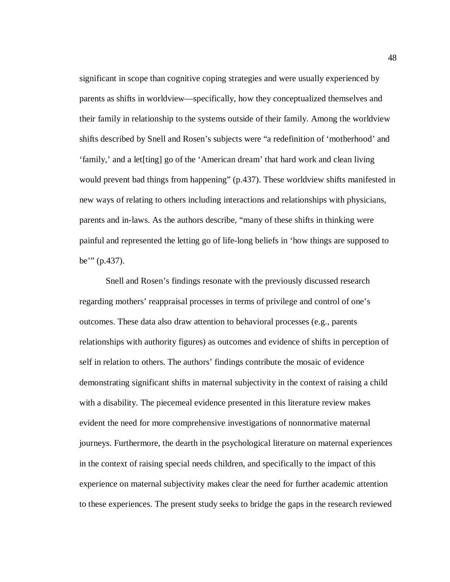significant in scope than cognitive coping strategies and were usually experienced by parents as shifts in worldview—specifically, how they conceptualized themselves and their family in relationship to the systems outside of their family. Among the worldview shifts described by Snell and Rosen's subjects were "a redefinition of 'motherhood' and 'family,' and a let[ting] go of the 'American dream' that hard work and clean living would prevent bad things from happening" (p.437). These worldview shifts manifested in new ways of relating to others including interactions and relationships with physicians, parents and in-laws. As the authors describe, "many of these shifts in thinking were painful and represented the letting go of life-long beliefs in 'how things are supposed to be'" (p.437).

Snell and Rosen's findings resonate with the previously discussed research regarding mothers' reappraisal processes in terms of privilege and control of one's outcomes. These data also draw attention to behavioral processes (e.g., parents relationships with authority figures) as outcomes and evidence of shifts in perception of self in relation to others. The authors' findings contribute the mosaic of evidence demonstrating significant shifts in maternal subjectivity in the context of raising a child with a disability. The piecemeal evidence presented in this literature review makes evident the need for more comprehensive investigations of nonnormative maternal journeys. Furthermore, the dearth in the psychological literature on maternal experiences in the context of raising special needs children, and specifically to the impact of this experience on maternal subjectivity makes clear the need for further academic attention to these experiences. The present study seeks to bridge the gaps in the research reviewed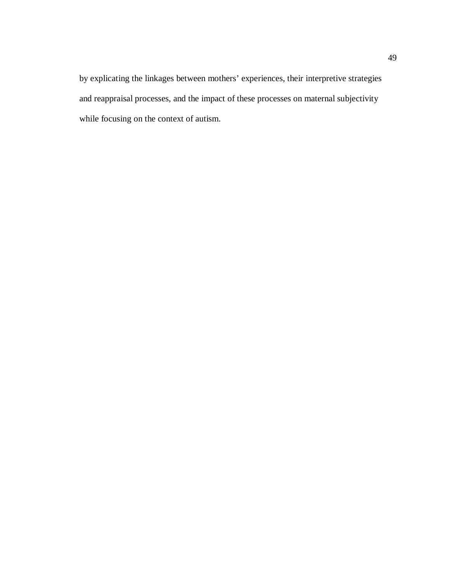by explicating the linkages between mothers' experiences, their interpretive strategies and reappraisal processes, and the impact of these processes on maternal subjectivity while focusing on the context of autism.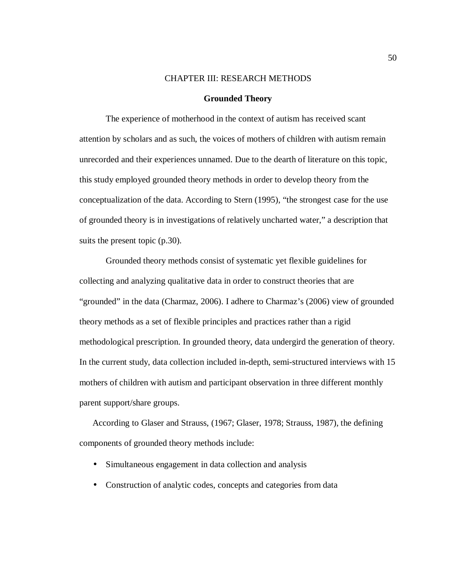#### CHAPTER III: RESEARCH METHODS

#### **Grounded Theory**

The experience of motherhood in the context of autism has received scant attention by scholars and as such, the voices of mothers of children with autism remain unrecorded and their experiences unnamed. Due to the dearth of literature on this topic, this study employed grounded theory methods in order to develop theory from the conceptualization of the data. According to Stern (1995), "the strongest case for the use of grounded theory is in investigations of relatively uncharted water," a description that suits the present topic (p.30).

Grounded theory methods consist of systematic yet flexible guidelines for collecting and analyzing qualitative data in order to construct theories that are "grounded" in the data (Charmaz, 2006). I adhere to Charmaz's (2006) view of grounded theory methods as a set of flexible principles and practices rather than a rigid methodological prescription. In grounded theory, data undergird the generation of theory. In the current study, data collection included in-depth, semi-structured interviews with 15 mothers of children with autism and participant observation in three different monthly parent support/share groups.

According to Glaser and Strauss, (1967; Glaser, 1978; Strauss, 1987), the defining components of grounded theory methods include:

- Simultaneous engagement in data collection and analysis
- Construction of analytic codes, concepts and categories from data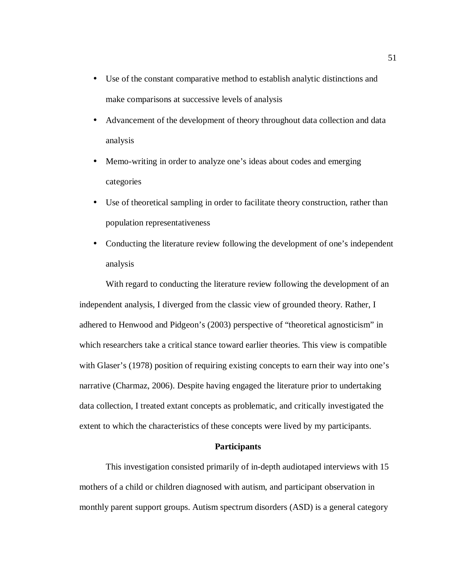- Use of the constant comparative method to establish analytic distinctions and make comparisons at successive levels of analysis
- Advancement of the development of theory throughout data collection and data analysis
- Memo-writing in order to analyze one's ideas about codes and emerging categories
- Use of theoretical sampling in order to facilitate theory construction, rather than population representativeness
- Conducting the literature review following the development of one's independent analysis

With regard to conducting the literature review following the development of an independent analysis, I diverged from the classic view of grounded theory. Rather, I adhered to Henwood and Pidgeon's (2003) perspective of "theoretical agnosticism" in which researchers take a critical stance toward earlier theories. This view is compatible with Glaser's (1978) position of requiring existing concepts to earn their way into one's narrative (Charmaz, 2006). Despite having engaged the literature prior to undertaking data collection, I treated extant concepts as problematic, and critically investigated the extent to which the characteristics of these concepts were lived by my participants.

# **Participants**

This investigation consisted primarily of in-depth audiotaped interviews with 15 mothers of a child or children diagnosed with autism, and participant observation in monthly parent support groups. Autism spectrum disorders (ASD) is a general category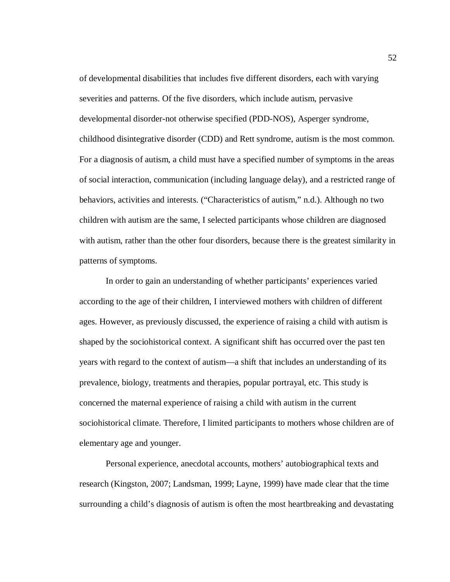of developmental disabilities that includes five different disorders, each with varying severities and patterns. Of the five disorders, which include autism, pervasive developmental disorder-not otherwise specified (PDD-NOS), Asperger syndrome, childhood disintegrative disorder (CDD) and Rett syndrome, autism is the most common. For a diagnosis of autism, a child must have a specified number of symptoms in the areas of social interaction, communication (including language delay), and a restricted range of behaviors, activities and interests. ("Characteristics of autism," n.d.). Although no two children with autism are the same, I selected participants whose children are diagnosed with autism, rather than the other four disorders, because there is the greatest similarity in patterns of symptoms.

In order to gain an understanding of whether participants' experiences varied according to the age of their children, I interviewed mothers with children of different ages. However, as previously discussed, the experience of raising a child with autism is shaped by the sociohistorical context. A significant shift has occurred over the past ten years with regard to the context of autism—a shift that includes an understanding of its prevalence, biology, treatments and therapies, popular portrayal, etc. This study is concerned the maternal experience of raising a child with autism in the current sociohistorical climate. Therefore, I limited participants to mothers whose children are of elementary age and younger.

Personal experience, anecdotal accounts, mothers' autobiographical texts and research (Kingston, 2007; Landsman, 1999; Layne, 1999) have made clear that the time surrounding a child's diagnosis of autism is often the most heartbreaking and devastating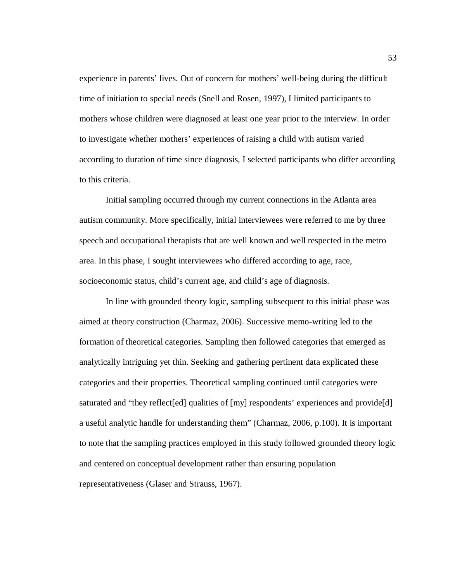experience in parents' lives. Out of concern for mothers' well-being during the difficult time of initiation to special needs (Snell and Rosen, 1997), I limited participants to mothers whose children were diagnosed at least one year prior to the interview. In order to investigate whether mothers' experiences of raising a child with autism varied according to duration of time since diagnosis, I selected participants who differ according to this criteria.

Initial sampling occurred through my current connections in the Atlanta area autism community. More specifically, initial interviewees were referred to me by three speech and occupational therapists that are well known and well respected in the metro area. In this phase, I sought interviewees who differed according to age, race, socioeconomic status, child's current age, and child's age of diagnosis.

In line with grounded theory logic, sampling subsequent to this initial phase was aimed at theory construction (Charmaz, 2006). Successive memo-writing led to the formation of theoretical categories. Sampling then followed categories that emerged as analytically intriguing yet thin. Seeking and gathering pertinent data explicated these categories and their properties. Theoretical sampling continued until categories were saturated and "they reflect [ed] qualities of [my] respondents' experiences and provide [d] a useful analytic handle for understanding them" (Charmaz, 2006, p.100). It is important to note that the sampling practices employed in this study followed grounded theory logic and centered on conceptual development rather than ensuring population representativeness (Glaser and Strauss, 1967).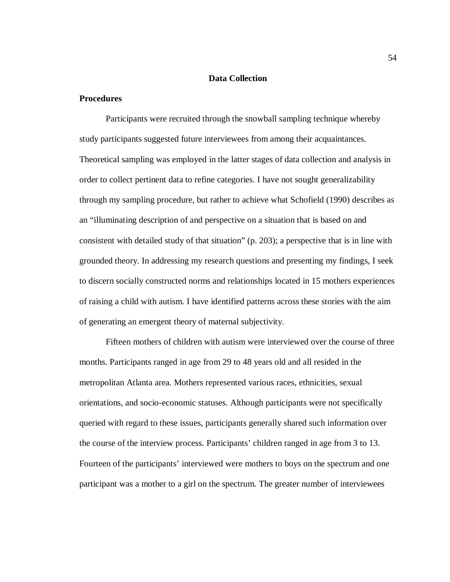## **Data Collection**

# **Procedures**

Participants were recruited through the snowball sampling technique whereby study participants suggested future interviewees from among their acquaintances. Theoretical sampling was employed in the latter stages of data collection and analysis in order to collect pertinent data to refine categories. I have not sought generalizability through my sampling procedure, but rather to achieve what Schofield (1990) describes as an "illuminating description of and perspective on a situation that is based on and consistent with detailed study of that situation" (p. 203); a perspective that is in line with grounded theory. In addressing my research questions and presenting my findings, I seek to discern socially constructed norms and relationships located in 15 mothers experiences of raising a child with autism. I have identified patterns across these stories with the aim of generating an emergent theory of maternal subjectivity.

 Fifteen mothers of children with autism were interviewed over the course of three months. Participants ranged in age from 29 to 48 years old and all resided in the metropolitan Atlanta area. Mothers represented various races, ethnicities, sexual orientations, and socio-economic statuses. Although participants were not specifically queried with regard to these issues, participants generally shared such information over the course of the interview process. Participants' children ranged in age from 3 to 13. Fourteen of the participants' interviewed were mothers to boys on the spectrum and one participant was a mother to a girl on the spectrum. The greater number of interviewees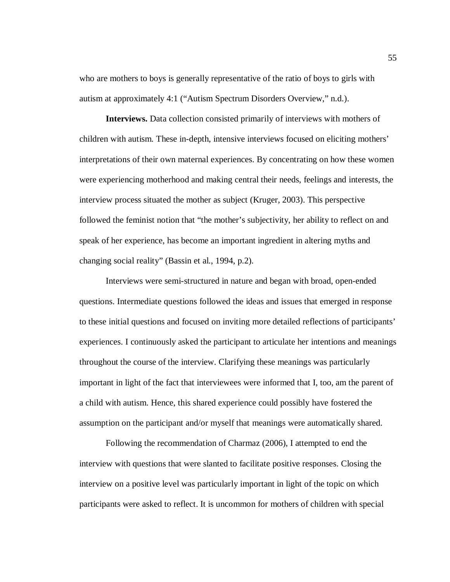who are mothers to boys is generally representative of the ratio of boys to girls with autism at approximately 4:1 ("Autism Spectrum Disorders Overview," n.d.).

**Interviews.** Data collection consisted primarily of interviews with mothers of children with autism. These in-depth, intensive interviews focused on eliciting mothers' interpretations of their own maternal experiences. By concentrating on how these women were experiencing motherhood and making central their needs, feelings and interests, the interview process situated the mother as subject (Kruger, 2003). This perspective followed the feminist notion that "the mother's subjectivity, her ability to reflect on and speak of her experience, has become an important ingredient in altering myths and changing social reality" (Bassin et al., 1994, p.2).

Interviews were semi-structured in nature and began with broad, open-ended questions. Intermediate questions followed the ideas and issues that emerged in response to these initial questions and focused on inviting more detailed reflections of participants' experiences. I continuously asked the participant to articulate her intentions and meanings throughout the course of the interview. Clarifying these meanings was particularly important in light of the fact that interviewees were informed that I, too, am the parent of a child with autism. Hence, this shared experience could possibly have fostered the assumption on the participant and/or myself that meanings were automatically shared.

Following the recommendation of Charmaz (2006), I attempted to end the interview with questions that were slanted to facilitate positive responses. Closing the interview on a positive level was particularly important in light of the topic on which participants were asked to reflect. It is uncommon for mothers of children with special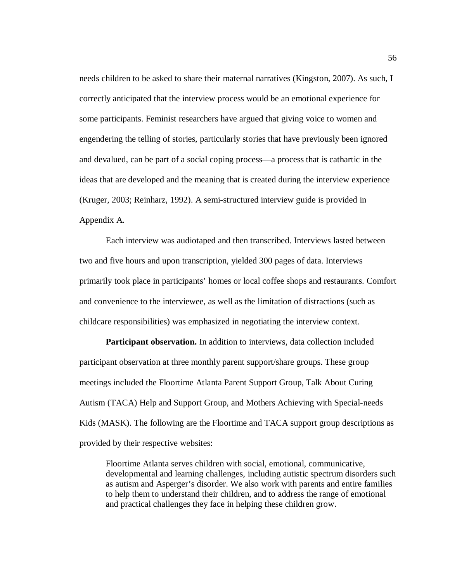needs children to be asked to share their maternal narratives (Kingston, 2007). As such, I correctly anticipated that the interview process would be an emotional experience for some participants. Feminist researchers have argued that giving voice to women and engendering the telling of stories, particularly stories that have previously been ignored and devalued, can be part of a social coping process—a process that is cathartic in the ideas that are developed and the meaning that is created during the interview experience (Kruger, 2003; Reinharz, 1992). A semi-structured interview guide is provided in Appendix A.

Each interview was audiotaped and then transcribed. Interviews lasted between two and five hours and upon transcription, yielded 300 pages of data. Interviews primarily took place in participants' homes or local coffee shops and restaurants. Comfort and convenience to the interviewee, as well as the limitation of distractions (such as childcare responsibilities) was emphasized in negotiating the interview context.

**Participant observation.** In addition to interviews, data collection included participant observation at three monthly parent support/share groups. These group meetings included the Floortime Atlanta Parent Support Group, Talk About Curing Autism (TACA) Help and Support Group, and Mothers Achieving with Special-needs Kids (MASK). The following are the Floortime and TACA support group descriptions as provided by their respective websites:

Floortime Atlanta serves children with social, emotional, communicative, developmental and learning challenges, including autistic spectrum disorders such as autism and Asperger's disorder. We also work with parents and entire families to help them to understand their children, and to address the range of emotional and practical challenges they face in helping these children grow.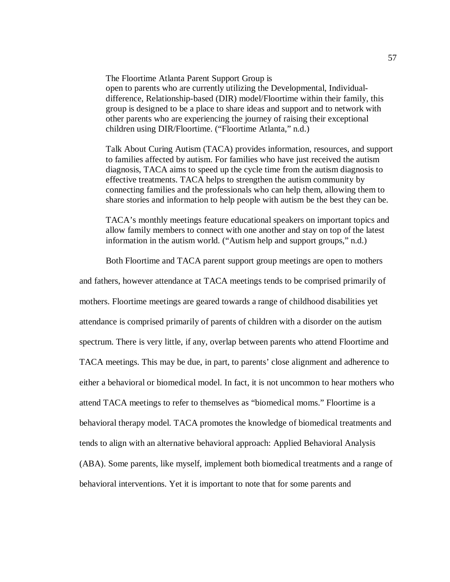The Floortime Atlanta Parent Support Group is open to parents who are currently utilizing the Developmental, Individualdifference, Relationship-based (DIR) model/Floortime within their family, this group is designed to be a place to share ideas and support and to network with other parents who are experiencing the journey of raising their exceptional children using DIR/Floortime. ("Floortime Atlanta," n.d.)

Talk About Curing Autism (TACA) provides information, resources, and support to families affected by autism. For families who have just received the autism diagnosis, TACA aims to speed up the cycle time from the autism diagnosis to effective treatments. TACA helps to strengthen the autism community by connecting families and the professionals who can help them, allowing them to share stories and information to help people with autism be the best they can be.

TACA's monthly meetings feature educational speakers on important topics and allow family members to connect with one another and stay on top of the latest information in the autism world. ("Autism help and support groups," n.d.)

Both Floortime and TACA parent support group meetings are open to mothers

and fathers, however attendance at TACA meetings tends to be comprised primarily of mothers. Floortime meetings are geared towards a range of childhood disabilities yet attendance is comprised primarily of parents of children with a disorder on the autism spectrum. There is very little, if any, overlap between parents who attend Floortime and TACA meetings. This may be due, in part, to parents' close alignment and adherence to either a behavioral or biomedical model. In fact, it is not uncommon to hear mothers who attend TACA meetings to refer to themselves as "biomedical moms." Floortime is a behavioral therapy model. TACA promotes the knowledge of biomedical treatments and tends to align with an alternative behavioral approach: Applied Behavioral Analysis (ABA). Some parents, like myself, implement both biomedical treatments and a range of behavioral interventions. Yet it is important to note that for some parents and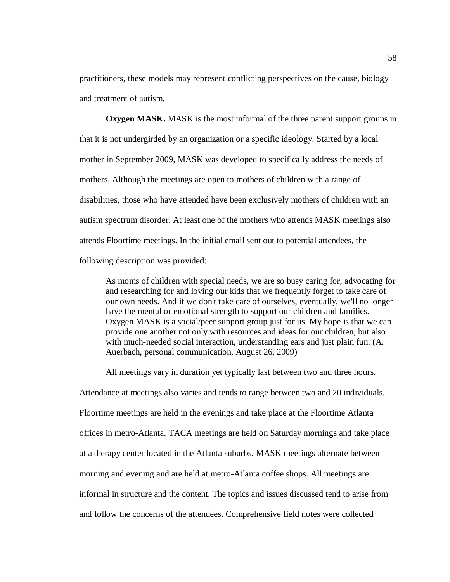practitioners, these models may represent conflicting perspectives on the cause, biology and treatment of autism.

**Oxygen MASK.** MASK is the most informal of the three parent support groups in that it is not undergirded by an organization or a specific ideology. Started by a local mother in September 2009, MASK was developed to specifically address the needs of mothers. Although the meetings are open to mothers of children with a range of disabilities, those who have attended have been exclusively mothers of children with an autism spectrum disorder. At least one of the mothers who attends MASK meetings also attends Floortime meetings. In the initial email sent out to potential attendees, the following description was provided:

As moms of children with special needs, we are so busy caring for, advocating for and researching for and loving our kids that we frequently forget to take care of our own needs. And if we don't take care of ourselves, eventually, we'll no longer have the mental or emotional strength to support our children and families. Oxygen MASK is a social/peer support group just for us. My hope is that we can provide one another not only with resources and ideas for our children, but also with much-needed social interaction, understanding ears and just plain fun. (A. Auerbach, personal communication, August 26, 2009)

All meetings vary in duration yet typically last between two and three hours. Attendance at meetings also varies and tends to range between two and 20 individuals. Floortime meetings are held in the evenings and take place at the Floortime Atlanta offices in metro-Atlanta. TACA meetings are held on Saturday mornings and take place at a therapy center located in the Atlanta suburbs. MASK meetings alternate between morning and evening and are held at metro-Atlanta coffee shops. All meetings are informal in structure and the content. The topics and issues discussed tend to arise from and follow the concerns of the attendees. Comprehensive field notes were collected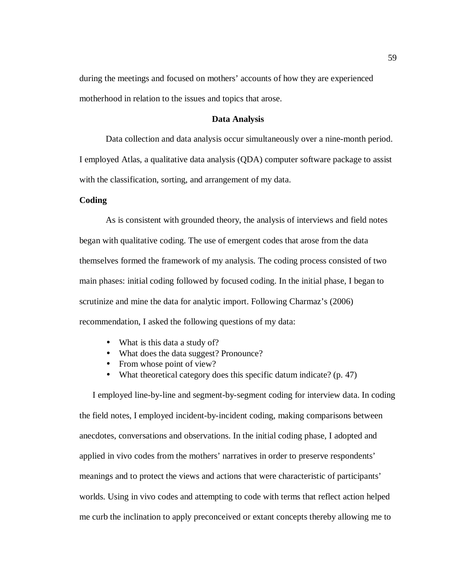during the meetings and focused on mothers' accounts of how they are experienced motherhood in relation to the issues and topics that arose.

# **Data Analysis**

Data collection and data analysis occur simultaneously over a nine-month period. I employed Atlas, a qualitative data analysis (QDA) computer software package to assist with the classification, sorting, and arrangement of my data.

# **Coding**

As is consistent with grounded theory, the analysis of interviews and field notes began with qualitative coding. The use of emergent codes that arose from the data themselves formed the framework of my analysis. The coding process consisted of two main phases: initial coding followed by focused coding. In the initial phase, I began to scrutinize and mine the data for analytic import. Following Charmaz's (2006) recommendation, I asked the following questions of my data:

- What is this data a study of?
- What does the data suggest? Pronounce?
- From whose point of view?
- What theoretical category does this specific datum indicate? (p. 47)

I employed line-by-line and segment-by-segment coding for interview data. In coding the field notes, I employed incident-by-incident coding, making comparisons between anecdotes, conversations and observations. In the initial coding phase, I adopted and applied in vivo codes from the mothers' narratives in order to preserve respondents' meanings and to protect the views and actions that were characteristic of participants' worlds. Using in vivo codes and attempting to code with terms that reflect action helped me curb the inclination to apply preconceived or extant concepts thereby allowing me to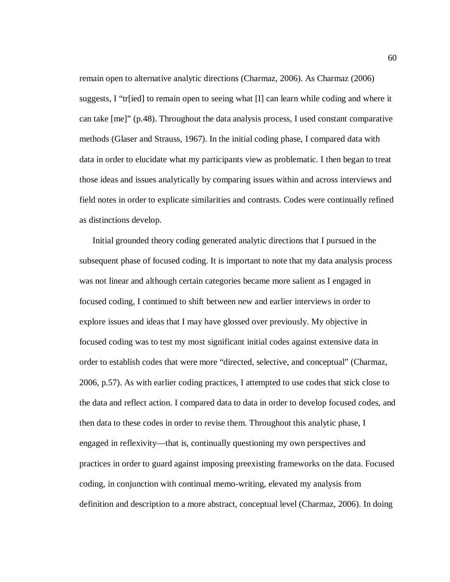remain open to alternative analytic directions (Charmaz, 2006). As Charmaz (2006) suggests, I "tr[ied] to remain open to seeing what  $[I]$  can learn while coding and where it can take [me]" (p.48). Throughout the data analysis process, I used constant comparative methods (Glaser and Strauss, 1967). In the initial coding phase, I compared data with data in order to elucidate what my participants view as problematic. I then began to treat those ideas and issues analytically by comparing issues within and across interviews and field notes in order to explicate similarities and contrasts. Codes were continually refined as distinctions develop.

Initial grounded theory coding generated analytic directions that I pursued in the subsequent phase of focused coding. It is important to note that my data analysis process was not linear and although certain categories became more salient as I engaged in focused coding, I continued to shift between new and earlier interviews in order to explore issues and ideas that I may have glossed over previously. My objective in focused coding was to test my most significant initial codes against extensive data in order to establish codes that were more "directed, selective, and conceptual" (Charmaz, 2006, p.57). As with earlier coding practices, I attempted to use codes that stick close to the data and reflect action. I compared data to data in order to develop focused codes, and then data to these codes in order to revise them. Throughout this analytic phase, I engaged in reflexivity—that is, continually questioning my own perspectives and practices in order to guard against imposing preexisting frameworks on the data. Focused coding, in conjunction with continual memo-writing, elevated my analysis from definition and description to a more abstract, conceptual level (Charmaz, 2006). In doing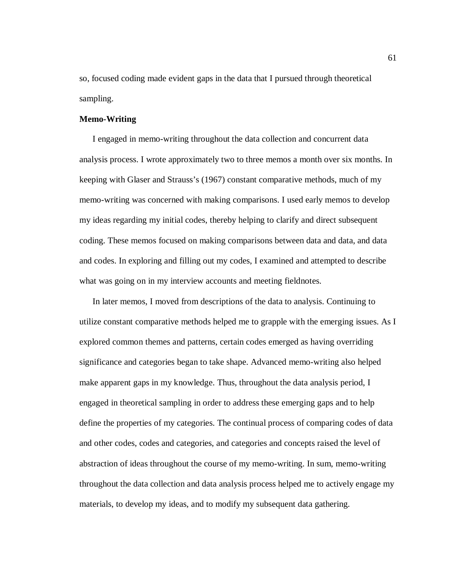so, focused coding made evident gaps in the data that I pursued through theoretical sampling.

# **Memo-Writing**

I engaged in memo-writing throughout the data collection and concurrent data analysis process. I wrote approximately two to three memos a month over six months. In keeping with Glaser and Strauss's (1967) constant comparative methods, much of my memo-writing was concerned with making comparisons. I used early memos to develop my ideas regarding my initial codes, thereby helping to clarify and direct subsequent coding. These memos focused on making comparisons between data and data, and data and codes. In exploring and filling out my codes, I examined and attempted to describe what was going on in my interview accounts and meeting fieldnotes.

In later memos, I moved from descriptions of the data to analysis. Continuing to utilize constant comparative methods helped me to grapple with the emerging issues. As I explored common themes and patterns, certain codes emerged as having overriding significance and categories began to take shape. Advanced memo-writing also helped make apparent gaps in my knowledge. Thus, throughout the data analysis period, I engaged in theoretical sampling in order to address these emerging gaps and to help define the properties of my categories. The continual process of comparing codes of data and other codes, codes and categories, and categories and concepts raised the level of abstraction of ideas throughout the course of my memo-writing. In sum, memo-writing throughout the data collection and data analysis process helped me to actively engage my materials, to develop my ideas, and to modify my subsequent data gathering.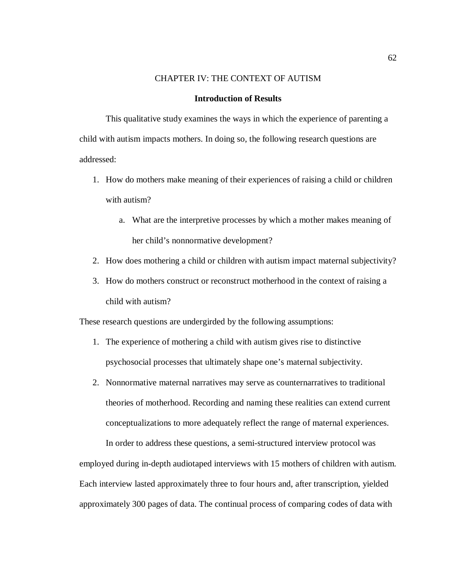# CHAPTER IV: THE CONTEXT OF AUTISM

## **Introduction of Results**

This qualitative study examines the ways in which the experience of parenting a child with autism impacts mothers. In doing so, the following research questions are addressed:

- 1. How do mothers make meaning of their experiences of raising a child or children with autism?
	- a. What are the interpretive processes by which a mother makes meaning of her child's nonnormative development?
- 2. How does mothering a child or children with autism impact maternal subjectivity?
- 3. How do mothers construct or reconstruct motherhood in the context of raising a child with autism?

These research questions are undergirded by the following assumptions:

- 1. The experience of mothering a child with autism gives rise to distinctive psychosocial processes that ultimately shape one's maternal subjectivity.
- 2. Nonnormative maternal narratives may serve as counternarratives to traditional theories of motherhood. Recording and naming these realities can extend current conceptualizations to more adequately reflect the range of maternal experiences.

In order to address these questions, a semi-structured interview protocol was employed during in-depth audiotaped interviews with 15 mothers of children with autism. Each interview lasted approximately three to four hours and, after transcription, yielded approximately 300 pages of data. The continual process of comparing codes of data with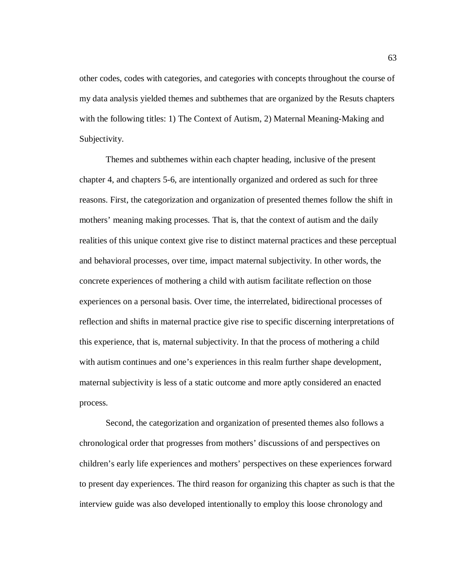other codes, codes with categories, and categories with concepts throughout the course of my data analysis yielded themes and subthemes that are organized by the Resuts chapters with the following titles: 1) The Context of Autism, 2) Maternal Meaning-Making and Subjectivity.

Themes and subthemes within each chapter heading, inclusive of the present chapter 4, and chapters 5-6, are intentionally organized and ordered as such for three reasons. First, the categorization and organization of presented themes follow the shift in mothers' meaning making processes. That is, that the context of autism and the daily realities of this unique context give rise to distinct maternal practices and these perceptual and behavioral processes, over time, impact maternal subjectivity. In other words, the concrete experiences of mothering a child with autism facilitate reflection on those experiences on a personal basis. Over time, the interrelated, bidirectional processes of reflection and shifts in maternal practice give rise to specific discerning interpretations of this experience, that is, maternal subjectivity. In that the process of mothering a child with autism continues and one's experiences in this realm further shape development, maternal subjectivity is less of a static outcome and more aptly considered an enacted process.

Second, the categorization and organization of presented themes also follows a chronological order that progresses from mothers' discussions of and perspectives on children's early life experiences and mothers' perspectives on these experiences forward to present day experiences. The third reason for organizing this chapter as such is that the interview guide was also developed intentionally to employ this loose chronology and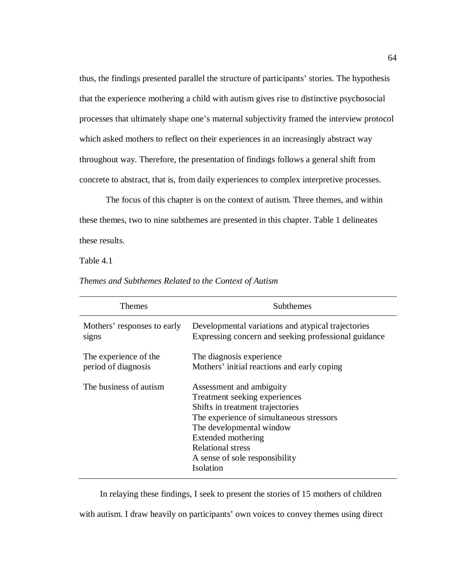thus, the findings presented parallel the structure of participants' stories. The hypothesis that the experience mothering a child with autism gives rise to distinctive psychosocial processes that ultimately shape one's maternal subjectivity framed the interview protocol which asked mothers to reflect on their experiences in an increasingly abstract way throughout way. Therefore, the presentation of findings follows a general shift from concrete to abstract, that is, from daily experiences to complex interpretive processes.

 The focus of this chapter is on the context of autism. Three themes, and within these themes, two to nine subthemes are presented in this chapter. Table 1 delineates these results.

Table 4.1

| <b>Themes</b>               | Subthemes                                                                                                                                                                                                                                                              |
|-----------------------------|------------------------------------------------------------------------------------------------------------------------------------------------------------------------------------------------------------------------------------------------------------------------|
| Mothers' responses to early | Developmental variations and atypical trajectories                                                                                                                                                                                                                     |
| signs                       | Expressing concern and seeking professional guidance                                                                                                                                                                                                                   |
| The experience of the       | The diagnosis experience.                                                                                                                                                                                                                                              |
| period of diagnosis         | Mothers' initial reactions and early coping                                                                                                                                                                                                                            |
| The business of autism      | Assessment and ambiguity<br>Treatment seeking experiences<br>Shifts in treatment trajectories<br>The experience of simultaneous stressors<br>The developmental window<br>Extended mothering<br><b>Relational stress</b><br>A sense of sole responsibility<br>Isolation |

*Themes and Subthemes Related to the Context of Autism* 

 In relaying these findings, I seek to present the stories of 15 mothers of children with autism. I draw heavily on participants' own voices to convey themes using direct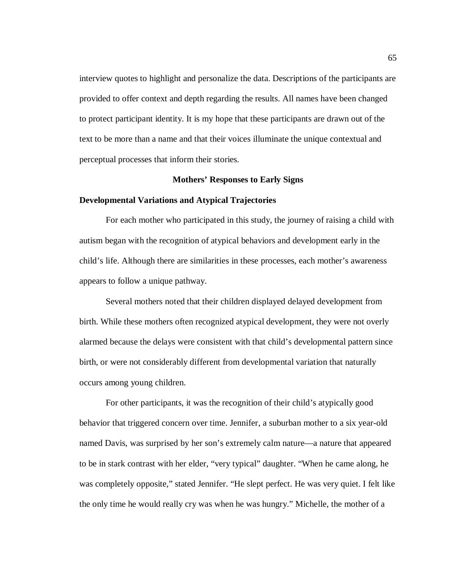interview quotes to highlight and personalize the data. Descriptions of the participants are provided to offer context and depth regarding the results. All names have been changed to protect participant identity. It is my hope that these participants are drawn out of the text to be more than a name and that their voices illuminate the unique contextual and perceptual processes that inform their stories.

### **Mothers' Responses to Early Signs**

#### **Developmental Variations and Atypical Trajectories**

For each mother who participated in this study, the journey of raising a child with autism began with the recognition of atypical behaviors and development early in the child's life. Although there are similarities in these processes, each mother's awareness appears to follow a unique pathway.

Several mothers noted that their children displayed delayed development from birth. While these mothers often recognized atypical development, they were not overly alarmed because the delays were consistent with that child's developmental pattern since birth, or were not considerably different from developmental variation that naturally occurs among young children.

For other participants, it was the recognition of their child's atypically good behavior that triggered concern over time. Jennifer, a suburban mother to a six year-old named Davis, was surprised by her son's extremely calm nature—a nature that appeared to be in stark contrast with her elder, "very typical" daughter. "When he came along, he was completely opposite," stated Jennifer. "He slept perfect. He was very quiet. I felt like the only time he would really cry was when he was hungry." Michelle, the mother of a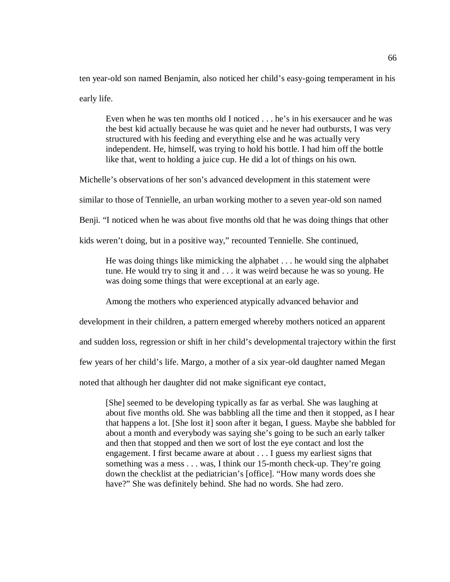ten year-old son named Benjamin, also noticed her child's easy-going temperament in his early life.

Even when he was ten months old I noticed . . . he's in his exersaucer and he was the best kid actually because he was quiet and he never had outbursts, I was very structured with his feeding and everything else and he was actually very independent. He, himself, was trying to hold his bottle. I had him off the bottle like that, went to holding a juice cup. He did a lot of things on his own.

Michelle's observations of her son's advanced development in this statement were

similar to those of Tennielle, an urban working mother to a seven year-old son named

Benji. "I noticed when he was about five months old that he was doing things that other

kids weren't doing, but in a positive way," recounted Tennielle. She continued,

He was doing things like mimicking the alphabet . . . he would sing the alphabet tune. He would try to sing it and . . . it was weird because he was so young. He was doing some things that were exceptional at an early age.

Among the mothers who experienced atypically advanced behavior and

development in their children, a pattern emerged whereby mothers noticed an apparent

and sudden loss, regression or shift in her child's developmental trajectory within the first

few years of her child's life. Margo, a mother of a six year-old daughter named Megan

noted that although her daughter did not make significant eye contact,

[She] seemed to be developing typically as far as verbal. She was laughing at about five months old. She was babbling all the time and then it stopped, as I hear that happens a lot. [She lost it] soon after it began, I guess. Maybe she babbled for about a month and everybody was saying she's going to be such an early talker and then that stopped and then we sort of lost the eye contact and lost the engagement. I first became aware at about . . . I guess my earliest signs that something was a mess . . . was, I think our 15-month check-up. They're going down the checklist at the pediatrician's [office]. "How many words does she have?" She was definitely behind. She had no words. She had zero.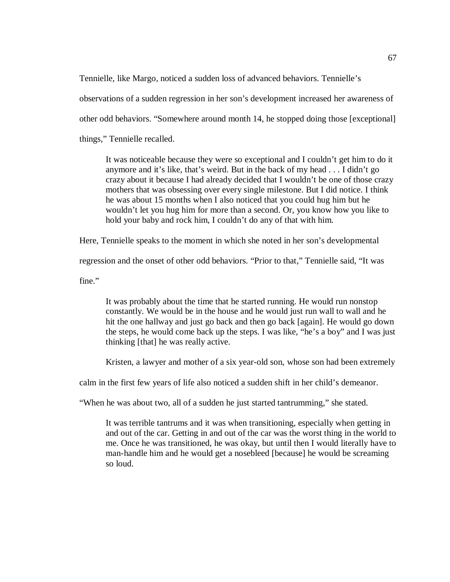Tennielle, like Margo, noticed a sudden loss of advanced behaviors. Tennielle's

observations of a sudden regression in her son's development increased her awareness of

other odd behaviors. "Somewhere around month 14, he stopped doing those [exceptional]

things," Tennielle recalled.

It was noticeable because they were so exceptional and I couldn't get him to do it anymore and it's like, that's weird. But in the back of my head . . . I didn't go crazy about it because I had already decided that I wouldn't be one of those crazy mothers that was obsessing over every single milestone. But I did notice. I think he was about 15 months when I also noticed that you could hug him but he wouldn't let you hug him for more than a second. Or, you know how you like to hold your baby and rock him, I couldn't do any of that with him.

Here, Tennielle speaks to the moment in which she noted in her son's developmental

regression and the onset of other odd behaviors. "Prior to that," Tennielle said, "It was

fine."

It was probably about the time that he started running. He would run nonstop constantly. We would be in the house and he would just run wall to wall and he hit the one hallway and just go back and then go back [again]. He would go down the steps, he would come back up the steps. I was like, "he's a boy" and I was just thinking [that] he was really active.

Kristen, a lawyer and mother of a six year-old son, whose son had been extremely

calm in the first few years of life also noticed a sudden shift in her child's demeanor.

"When he was about two, all of a sudden he just started tantrumming," she stated.

It was terrible tantrums and it was when transitioning, especially when getting in and out of the car. Getting in and out of the car was the worst thing in the world to me. Once he was transitioned, he was okay, but until then I would literally have to man-handle him and he would get a nosebleed [because] he would be screaming so loud.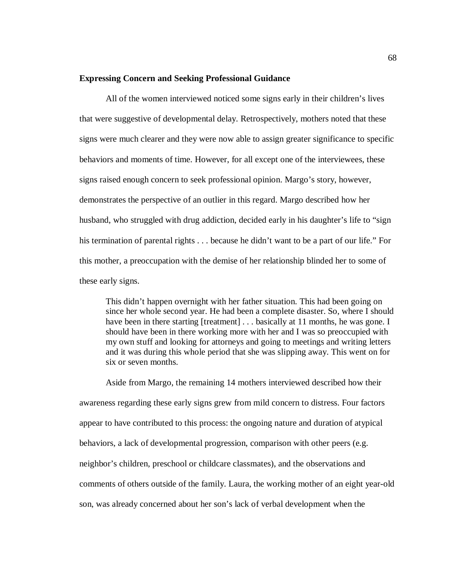### **Expressing Concern and Seeking Professional Guidance**

All of the women interviewed noticed some signs early in their children's lives that were suggestive of developmental delay. Retrospectively, mothers noted that these signs were much clearer and they were now able to assign greater significance to specific behaviors and moments of time. However, for all except one of the interviewees, these signs raised enough concern to seek professional opinion. Margo's story, however, demonstrates the perspective of an outlier in this regard. Margo described how her husband, who struggled with drug addiction, decided early in his daughter's life to "sign his termination of parental rights . . . because he didn't want to be a part of our life." For this mother, a preoccupation with the demise of her relationship blinded her to some of these early signs.

This didn't happen overnight with her father situation. This had been going on since her whole second year. He had been a complete disaster. So, where I should have been in there starting [treatment] . . . basically at 11 months, he was gone. I should have been in there working more with her and I was so preoccupied with my own stuff and looking for attorneys and going to meetings and writing letters and it was during this whole period that she was slipping away. This went on for six or seven months.

Aside from Margo, the remaining 14 mothers interviewed described how their awareness regarding these early signs grew from mild concern to distress. Four factors appear to have contributed to this process: the ongoing nature and duration of atypical behaviors, a lack of developmental progression, comparison with other peers (e.g. neighbor's children, preschool or childcare classmates), and the observations and comments of others outside of the family. Laura, the working mother of an eight year-old son, was already concerned about her son's lack of verbal development when the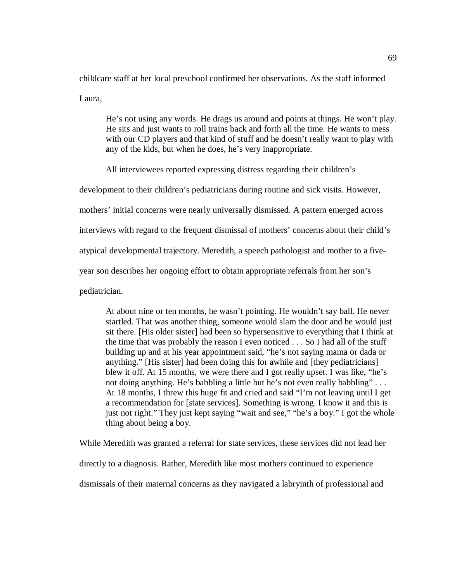childcare staff at her local preschool confirmed her observations. As the staff informed Laura,

He's not using any words. He drags us around and points at things. He won't play. He sits and just wants to roll trains back and forth all the time. He wants to mess with our CD players and that kind of stuff and he doesn't really want to play with any of the kids, but when he does, he's very inappropriate.

All interviewees reported expressing distress regarding their children's

development to their children's pediatricians during routine and sick visits. However,

mothers' initial concerns were nearly universally dismissed. A pattern emerged across

interviews with regard to the frequent dismissal of mothers' concerns about their child's

atypical developmental trajectory. Meredith, a speech pathologist and mother to a five-

year son describes her ongoing effort to obtain appropriate referrals from her son's

pediatrician.

At about nine or ten months, he wasn't pointing. He wouldn't say ball. He never startled. That was another thing, someone would slam the door and he would just sit there. [His older sister] had been so hypersensitive to everything that I think at the time that was probably the reason I even noticed . . . So I had all of the stuff building up and at his year appointment said, "he's not saying mama or dada or anything." [His sister] had been doing this for awhile and [they pediatricians] blew it off. At 15 months, we were there and I got really upset. I was like, "he's not doing anything. He's babbling a little but he's not even really babbling" . . . At 18 months, I threw this huge fit and cried and said "I'm not leaving until I get a recommendation for [state services]. Something is wrong. I know it and this is just not right." They just kept saying "wait and see," "he's a boy." I got the whole thing about being a boy.

While Meredith was granted a referral for state services, these services did not lead her directly to a diagnosis. Rather, Meredith like most mothers continued to experience dismissals of their maternal concerns as they navigated a labryinth of professional and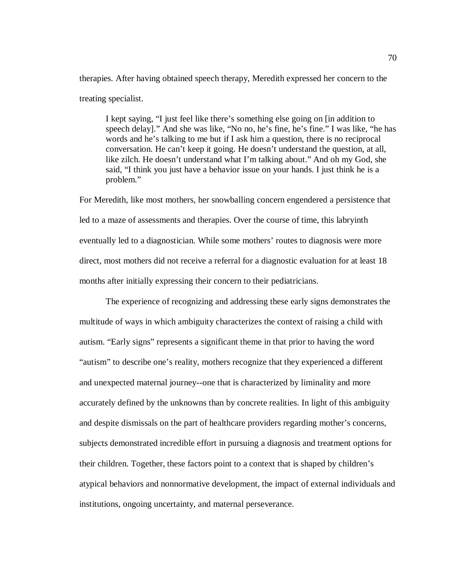therapies. After having obtained speech therapy, Meredith expressed her concern to the treating specialist.

I kept saying, "I just feel like there's something else going on [in addition to speech delay]." And she was like, "No no, he's fine, he's fine." I was like, "he has words and he's talking to me but if I ask him a question, there is no reciprocal conversation. He can't keep it going. He doesn't understand the question, at all, like zilch. He doesn't understand what I'm talking about." And oh my God, she said, "I think you just have a behavior issue on your hands. I just think he is a problem."

For Meredith, like most mothers, her snowballing concern engendered a persistence that led to a maze of assessments and therapies. Over the course of time, this labryinth eventually led to a diagnostician. While some mothers' routes to diagnosis were more direct, most mothers did not receive a referral for a diagnostic evaluation for at least 18 months after initially expressing their concern to their pediatricians.

The experience of recognizing and addressing these early signs demonstrates the multitude of ways in which ambiguity characterizes the context of raising a child with autism. "Early signs" represents a significant theme in that prior to having the word "autism" to describe one's reality, mothers recognize that they experienced a different and unexpected maternal journey--one that is characterized by liminality and more accurately defined by the unknowns than by concrete realities. In light of this ambiguity and despite dismissals on the part of healthcare providers regarding mother's concerns, subjects demonstrated incredible effort in pursuing a diagnosis and treatment options for their children. Together, these factors point to a context that is shaped by children's atypical behaviors and nonnormative development, the impact of external individuals and institutions, ongoing uncertainty, and maternal perseverance.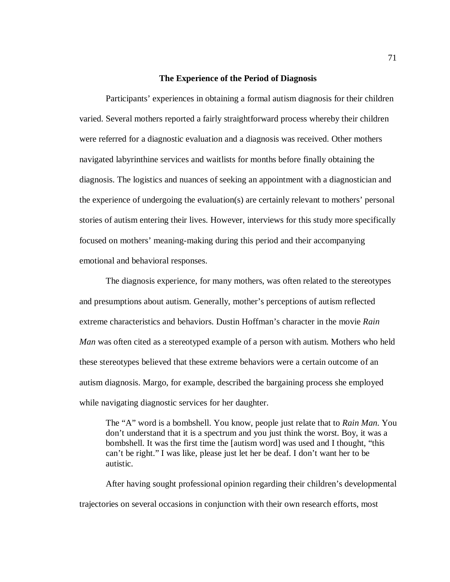#### **The Experience of the Period of Diagnosis**

Participants' experiences in obtaining a formal autism diagnosis for their children varied. Several mothers reported a fairly straightforward process whereby their children were referred for a diagnostic evaluation and a diagnosis was received. Other mothers navigated labyrinthine services and waitlists for months before finally obtaining the diagnosis. The logistics and nuances of seeking an appointment with a diagnostician and the experience of undergoing the evaluation(s) are certainly relevant to mothers' personal stories of autism entering their lives. However, interviews for this study more specifically focused on mothers' meaning-making during this period and their accompanying emotional and behavioral responses.

The diagnosis experience, for many mothers, was often related to the stereotypes and presumptions about autism. Generally, mother's perceptions of autism reflected extreme characteristics and behaviors. Dustin Hoffman's character in the movie *Rain Man* was often cited as a stereotyped example of a person with autism. Mothers who held these stereotypes believed that these extreme behaviors were a certain outcome of an autism diagnosis. Margo, for example, described the bargaining process she employed while navigating diagnostic services for her daughter.

The "A" word is a bombshell. You know, people just relate that to *Rain Man*. You don't understand that it is a spectrum and you just think the worst. Boy, it was a bombshell. It was the first time the [autism word] was used and I thought, "this can't be right." I was like, please just let her be deaf. I don't want her to be autistic.

After having sought professional opinion regarding their children's developmental trajectories on several occasions in conjunction with their own research efforts, most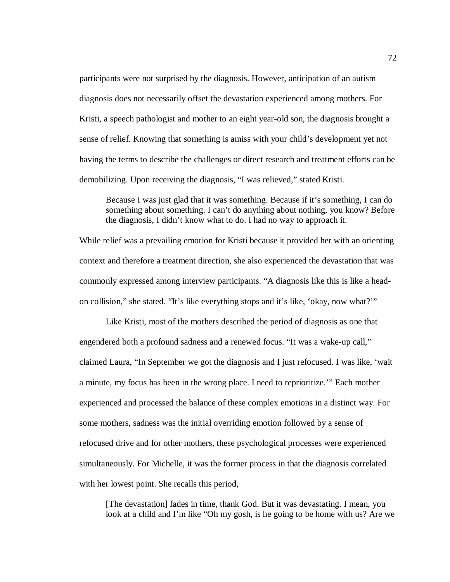participants were not surprised by the diagnosis. However, anticipation of an autism diagnosis does not necessarily offset the devastation experienced among mothers. For Kristi, a speech pathologist and mother to an eight year-old son, the diagnosis brought a sense of relief. Knowing that something is amiss with your child's development yet not having the terms to describe the challenges or direct research and treatment efforts can be demobilizing. Upon receiving the diagnosis, "I was relieved," stated Kristi.

Because I was just glad that it was something. Because if it's something, I can do something about something. I can't do anything about nothing, you know? Before the diagnosis, I didn't know what to do. I had no way to approach it.

While relief was a prevailing emotion for Kristi because it provided her with an orienting context and therefore a treatment direction, she also experienced the devastation that was commonly expressed among interview participants. "A diagnosis like this is like a headon collision," she stated. "It's like everything stops and it's like, 'okay, now what?'"

Like Kristi, most of the mothers described the period of diagnosis as one that engendered both a profound sadness and a renewed focus. "It was a wake-up call," claimed Laura, "In September we got the diagnosis and I just refocused. I was like, 'wait a minute, my focus has been in the wrong place. I need to reprioritize.'" Each mother experienced and processed the balance of these complex emotions in a distinct way. For some mothers, sadness was the initial overriding emotion followed by a sense of refocused drive and for other mothers, these psychological processes were experienced simultaneously. For Michelle, it was the former process in that the diagnosis correlated with her lowest point. She recalls this period,

[The devastation] fades in time, thank God. But it was devastating. I mean, you look at a child and I'm like "Oh my gosh, is he going to be home with us? Are we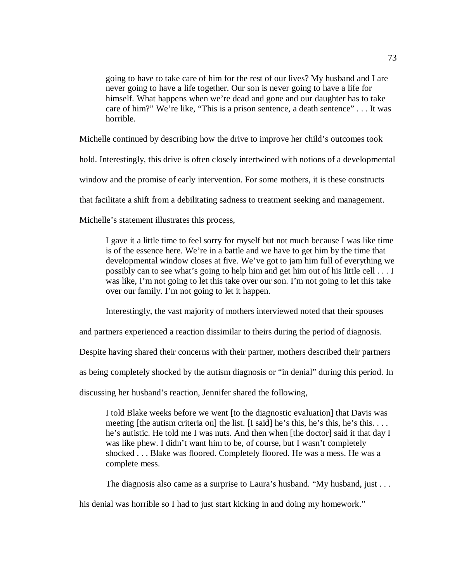going to have to take care of him for the rest of our lives? My husband and I are never going to have a life together. Our son is never going to have a life for himself. What happens when we're dead and gone and our daughter has to take care of him?" We're like, "This is a prison sentence, a death sentence" . . . It was horrible.

Michelle continued by describing how the drive to improve her child's outcomes took

hold. Interestingly, this drive is often closely intertwined with notions of a developmental

window and the promise of early intervention. For some mothers, it is these constructs

that facilitate a shift from a debilitating sadness to treatment seeking and management.

Michelle's statement illustrates this process,

I gave it a little time to feel sorry for myself but not much because I was like time is of the essence here. We're in a battle and we have to get him by the time that developmental window closes at five. We've got to jam him full of everything we possibly can to see what's going to help him and get him out of his little cell . . . I was like, I'm not going to let this take over our son. I'm not going to let this take over our family. I'm not going to let it happen.

Interestingly, the vast majority of mothers interviewed noted that their spouses

and partners experienced a reaction dissimilar to theirs during the period of diagnosis.

Despite having shared their concerns with their partner, mothers described their partners

as being completely shocked by the autism diagnosis or "in denial" during this period. In

discussing her husband's reaction, Jennifer shared the following,

I told Blake weeks before we went [to the diagnostic evaluation] that Davis was meeting [the autism criteria on] the list. [I said] he's this, he's this, he's this. . . . he's autistic. He told me I was nuts. And then when [the doctor] said it that day I was like phew. I didn't want him to be, of course, but I wasn't completely shocked . . . Blake was floored. Completely floored. He was a mess. He was a complete mess.

The diagnosis also came as a surprise to Laura's husband. "My husband, just . . .

his denial was horrible so I had to just start kicking in and doing my homework."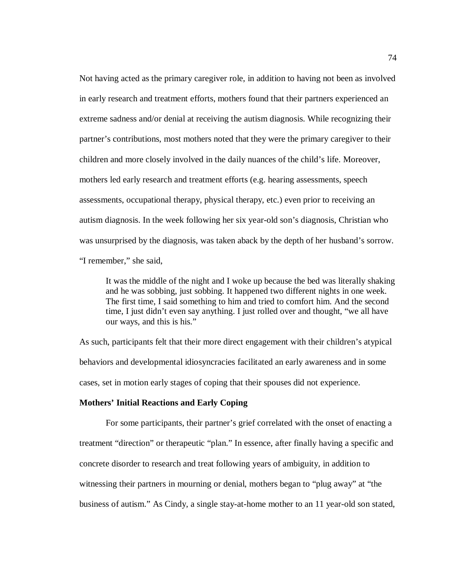Not having acted as the primary caregiver role, in addition to having not been as involved in early research and treatment efforts, mothers found that their partners experienced an extreme sadness and/or denial at receiving the autism diagnosis. While recognizing their partner's contributions, most mothers noted that they were the primary caregiver to their children and more closely involved in the daily nuances of the child's life. Moreover, mothers led early research and treatment efforts (e.g. hearing assessments, speech assessments, occupational therapy, physical therapy, etc.) even prior to receiving an autism diagnosis. In the week following her six year-old son's diagnosis, Christian who was unsurprised by the diagnosis, was taken aback by the depth of her husband's sorrow. "I remember," she said,

It was the middle of the night and I woke up because the bed was literally shaking and he was sobbing, just sobbing. It happened two different nights in one week. The first time, I said something to him and tried to comfort him. And the second time, I just didn't even say anything. I just rolled over and thought, "we all have our ways, and this is his."

As such, participants felt that their more direct engagement with their children's atypical behaviors and developmental idiosyncracies facilitated an early awareness and in some cases, set in motion early stages of coping that their spouses did not experience.

# **Mothers' Initial Reactions and Early Coping**

For some participants, their partner's grief correlated with the onset of enacting a treatment "direction" or therapeutic "plan." In essence, after finally having a specific and concrete disorder to research and treat following years of ambiguity, in addition to witnessing their partners in mourning or denial, mothers began to "plug away" at "the business of autism." As Cindy, a single stay-at-home mother to an 11 year-old son stated,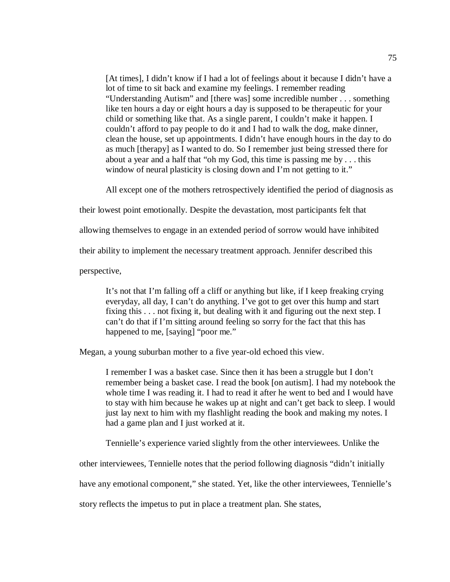[At times], I didn't know if I had a lot of feelings about it because I didn't have a lot of time to sit back and examine my feelings. I remember reading "Understanding Autism" and [there was] some incredible number . . . something like ten hours a day or eight hours a day is supposed to be therapeutic for your child or something like that. As a single parent, I couldn't make it happen. I couldn't afford to pay people to do it and I had to walk the dog, make dinner, clean the house, set up appointments. I didn't have enough hours in the day to do as much [therapy] as I wanted to do. So I remember just being stressed there for about a year and a half that "oh my God, this time is passing me by . . . this window of neural plasticity is closing down and I'm not getting to it."

All except one of the mothers retrospectively identified the period of diagnosis as

their lowest point emotionally. Despite the devastation, most participants felt that

allowing themselves to engage in an extended period of sorrow would have inhibited

their ability to implement the necessary treatment approach. Jennifer described this

perspective,

It's not that I'm falling off a cliff or anything but like, if I keep freaking crying everyday, all day, I can't do anything. I've got to get over this hump and start fixing this . . . not fixing it, but dealing with it and figuring out the next step. I can't do that if I'm sitting around feeling so sorry for the fact that this has happened to me, [saying] "poor me."

Megan, a young suburban mother to a five year-old echoed this view.

I remember I was a basket case. Since then it has been a struggle but I don't remember being a basket case. I read the book [on autism]. I had my notebook the whole time I was reading it. I had to read it after he went to bed and I would have to stay with him because he wakes up at night and can't get back to sleep. I would just lay next to him with my flashlight reading the book and making my notes. I had a game plan and I just worked at it.

Tennielle's experience varied slightly from the other interviewees. Unlike the

other interviewees, Tennielle notes that the period following diagnosis "didn't initially

have any emotional component," she stated. Yet, like the other interviewees, Tennielle's

story reflects the impetus to put in place a treatment plan. She states,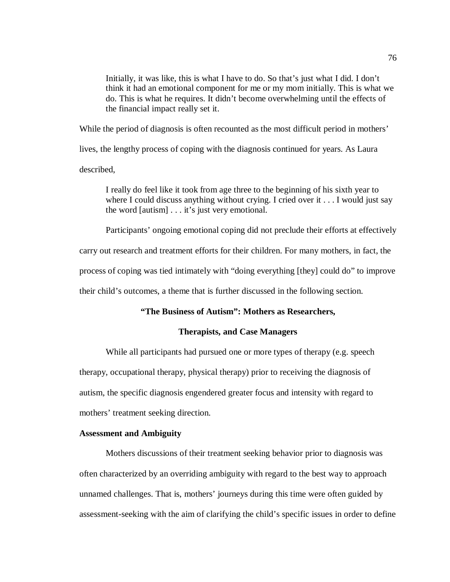Initially, it was like, this is what I have to do. So that's just what I did. I don't think it had an emotional component for me or my mom initially. This is what we do. This is what he requires. It didn't become overwhelming until the effects of the financial impact really set it.

While the period of diagnosis is often recounted as the most difficult period in mothers'

lives, the lengthy process of coping with the diagnosis continued for years. As Laura

described,

I really do feel like it took from age three to the beginning of his sixth year to where I could discuss anything without crying. I cried over it . . . I would just say the word [autism] . . . it's just very emotional.

Participants' ongoing emotional coping did not preclude their efforts at effectively

carry out research and treatment efforts for their children. For many mothers, in fact, the

process of coping was tied intimately with "doing everything [they] could do" to improve

their child's outcomes, a theme that is further discussed in the following section.

# **"The Business of Autism": Mothers as Researchers,**

# **Therapists, and Case Managers**

While all participants had pursued one or more types of therapy (e.g. speech therapy, occupational therapy, physical therapy) prior to receiving the diagnosis of autism, the specific diagnosis engendered greater focus and intensity with regard to mothers' treatment seeking direction.

### **Assessment and Ambiguity**

Mothers discussions of their treatment seeking behavior prior to diagnosis was often characterized by an overriding ambiguity with regard to the best way to approach unnamed challenges. That is, mothers' journeys during this time were often guided by assessment-seeking with the aim of clarifying the child's specific issues in order to define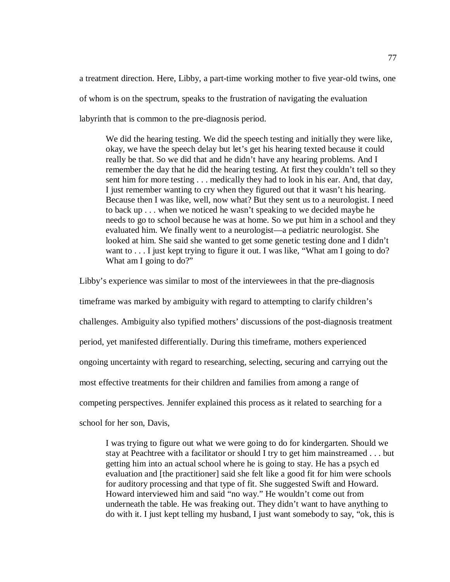a treatment direction. Here, Libby, a part-time working mother to five year-old twins, one of whom is on the spectrum, speaks to the frustration of navigating the evaluation labyrinth that is common to the pre-diagnosis period.

We did the hearing testing. We did the speech testing and initially they were like, okay, we have the speech delay but let's get his hearing texted because it could really be that. So we did that and he didn't have any hearing problems. And I remember the day that he did the hearing testing. At first they couldn't tell so they sent him for more testing . . . medically they had to look in his ear. And, that day, I just remember wanting to cry when they figured out that it wasn't his hearing. Because then I was like, well, now what? But they sent us to a neurologist. I need to back up . . . when we noticed he wasn't speaking to we decided maybe he needs to go to school because he was at home. So we put him in a school and they evaluated him. We finally went to a neurologist—a pediatric neurologist. She looked at him. She said she wanted to get some genetic testing done and I didn't want to . . . I just kept trying to figure it out. I was like, "What am I going to do? What am I going to do?"

Libby's experience was similar to most of the interviewees in that the pre-diagnosis timeframe was marked by ambiguity with regard to attempting to clarify children's challenges. Ambiguity also typified mothers' discussions of the post-diagnosis treatment period, yet manifested differentially. During this timeframe, mothers experienced ongoing uncertainty with regard to researching, selecting, securing and carrying out the most effective treatments for their children and families from among a range of competing perspectives. Jennifer explained this process as it related to searching for a school for her son, Davis,

I was trying to figure out what we were going to do for kindergarten. Should we stay at Peachtree with a facilitator or should I try to get him mainstreamed . . . but getting him into an actual school where he is going to stay. He has a psych ed evaluation and [the practitioner] said she felt like a good fit for him were schools for auditory processing and that type of fit. She suggested Swift and Howard. Howard interviewed him and said "no way." He wouldn't come out from underneath the table. He was freaking out. They didn't want to have anything to do with it. I just kept telling my husband, I just want somebody to say, "ok, this is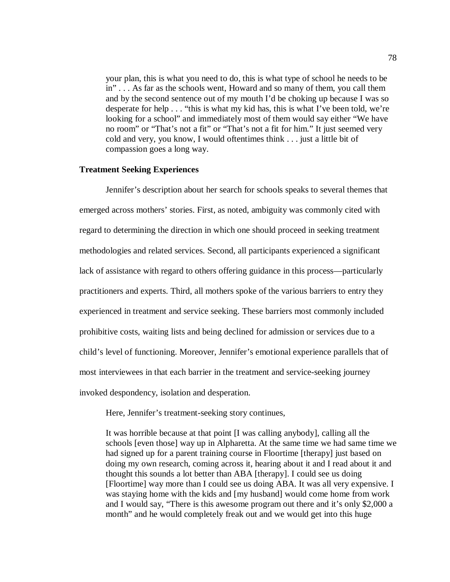your plan, this is what you need to do, this is what type of school he needs to be in" . . . As far as the schools went, Howard and so many of them, you call them and by the second sentence out of my mouth I'd be choking up because I was so desperate for help . . . "this is what my kid has, this is what I've been told, we're looking for a school" and immediately most of them would say either "We have no room" or "That's not a fit" or "That's not a fit for him." It just seemed very cold and very, you know, I would oftentimes think . . . just a little bit of compassion goes a long way.

### **Treatment Seeking Experiences**

Jennifer's description about her search for schools speaks to several themes that emerged across mothers' stories. First, as noted, ambiguity was commonly cited with regard to determining the direction in which one should proceed in seeking treatment methodologies and related services. Second, all participants experienced a significant lack of assistance with regard to others offering guidance in this process—particularly practitioners and experts. Third, all mothers spoke of the various barriers to entry they experienced in treatment and service seeking. These barriers most commonly included prohibitive costs, waiting lists and being declined for admission or services due to a child's level of functioning. Moreover, Jennifer's emotional experience parallels that of most interviewees in that each barrier in the treatment and service-seeking journey invoked despondency, isolation and desperation.

Here, Jennifer's treatment-seeking story continues,

It was horrible because at that point [I was calling anybody], calling all the schools [even those] way up in Alpharetta. At the same time we had same time we had signed up for a parent training course in Floortime [therapy] just based on doing my own research, coming across it, hearing about it and I read about it and thought this sounds a lot better than ABA [therapy]. I could see us doing [Floortime] way more than I could see us doing ABA. It was all very expensive. I was staying home with the kids and [my husband] would come home from work and I would say, "There is this awesome program out there and it's only \$2,000 a month" and he would completely freak out and we would get into this huge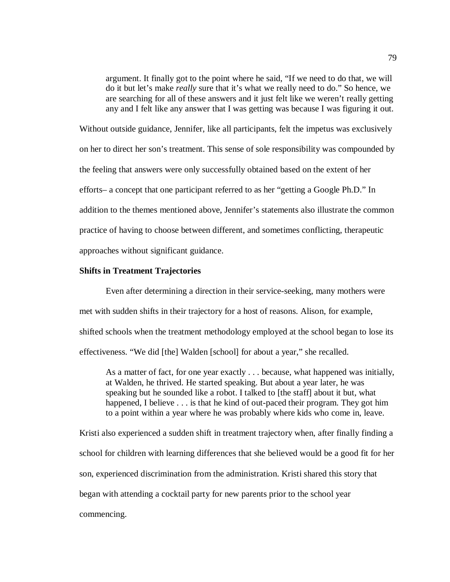argument. It finally got to the point where he said, "If we need to do that, we will do it but let's make *really* sure that it's what we really need to do." So hence, we are searching for all of these answers and it just felt like we weren't really getting any and I felt like any answer that I was getting was because I was figuring it out.

Without outside guidance, Jennifer, like all participants, felt the impetus was exclusively on her to direct her son's treatment. This sense of sole responsibility was compounded by the feeling that answers were only successfully obtained based on the extent of her efforts– a concept that one participant referred to as her "getting a Google Ph.D." In addition to the themes mentioned above, Jennifer's statements also illustrate the common practice of having to choose between different, and sometimes conflicting, therapeutic approaches without significant guidance.

# **Shifts in Treatment Trajectories**

Even after determining a direction in their service-seeking, many mothers were met with sudden shifts in their trajectory for a host of reasons. Alison, for example, shifted schools when the treatment methodology employed at the school began to lose its effectiveness. "We did [the] Walden [school] for about a year," she recalled.

As a matter of fact, for one year exactly . . . because, what happened was initially, at Walden, he thrived. He started speaking. But about a year later, he was speaking but he sounded like a robot. I talked to [the staff] about it but, what happened, I believe . . . is that he kind of out-paced their program. They got him to a point within a year where he was probably where kids who come in, leave.

Kristi also experienced a sudden shift in treatment trajectory when, after finally finding a school for children with learning differences that she believed would be a good fit for her son, experienced discrimination from the administration. Kristi shared this story that began with attending a cocktail party for new parents prior to the school year commencing.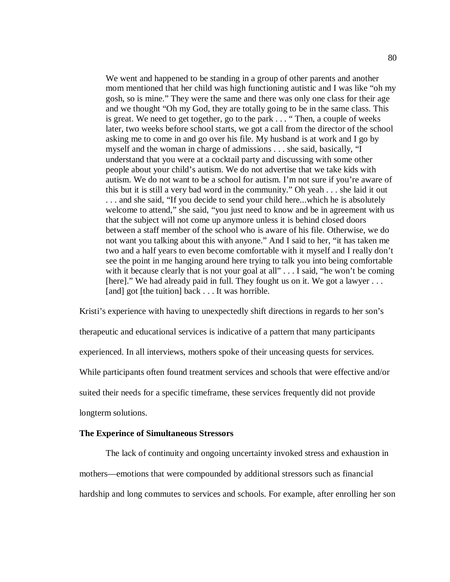We went and happened to be standing in a group of other parents and another mom mentioned that her child was high functioning autistic and I was like "oh my gosh, so is mine." They were the same and there was only one class for their age and we thought "Oh my God, they are totally going to be in the same class. This is great. We need to get together, go to the park . . . " Then, a couple of weeks later, two weeks before school starts, we got a call from the director of the school asking me to come in and go over his file. My husband is at work and I go by myself and the woman in charge of admissions . . . she said, basically, "I understand that you were at a cocktail party and discussing with some other people about your child's autism. We do not advertise that we take kids with autism. We do not want to be a school for autism. I'm not sure if you're aware of this but it is still a very bad word in the community." Oh yeah . . . she laid it out . . . and she said, "If you decide to send your child here...which he is absolutely welcome to attend," she said, "you just need to know and be in agreement with us that the subject will not come up anymore unless it is behind closed doors between a staff member of the school who is aware of his file. Otherwise, we do not want you talking about this with anyone." And I said to her, "it has taken me two and a half years to even become comfortable with it myself and I really don't see the point in me hanging around here trying to talk you into being comfortable with it because clearly that is not your goal at all" . . . I said, "he won't be coming [here]." We had already paid in full. They fought us on it. We got a lawyer ... [and] got [the tuition] back . . . It was horrible.

Kristi's experience with having to unexpectedly shift directions in regards to her son's therapeutic and educational services is indicative of a pattern that many participants experienced. In all interviews, mothers spoke of their unceasing quests for services. While participants often found treatment services and schools that were effective and/or suited their needs for a specific timeframe, these services frequently did not provide longterm solutions.

# **The Experince of Simultaneous Stressors**

The lack of continuity and ongoing uncertainty invoked stress and exhaustion in mothers—emotions that were compounded by additional stressors such as financial hardship and long commutes to services and schools. For example, after enrolling her son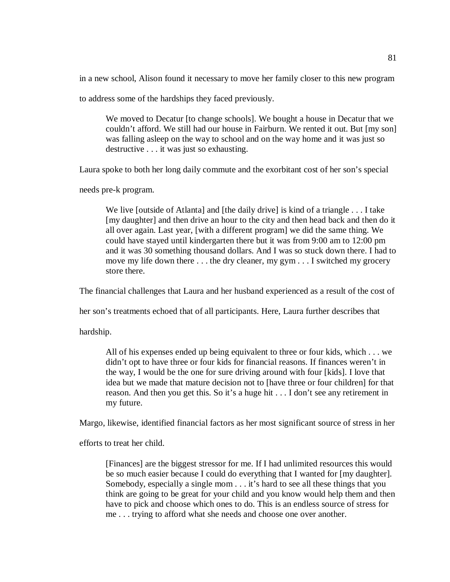in a new school, Alison found it necessary to move her family closer to this new program

to address some of the hardships they faced previously.

We moved to Decatur [to change schools]. We bought a house in Decatur that we couldn't afford. We still had our house in Fairburn. We rented it out. But [my son] was falling asleep on the way to school and on the way home and it was just so destructive . . . it was just so exhausting.

Laura spoke to both her long daily commute and the exorbitant cost of her son's special

needs pre-k program.

We live [outside of Atlanta] and [the daily drive] is kind of a triangle . . . I take [my daughter] and then drive an hour to the city and then head back and then do it all over again. Last year, [with a different program] we did the same thing. We could have stayed until kindergarten there but it was from 9:00 am to 12:00 pm and it was 30 something thousand dollars. And I was so stuck down there. I had to move my life down there . . . the dry cleaner, my gym . . . I switched my grocery store there.

The financial challenges that Laura and her husband experienced as a result of the cost of

her son's treatments echoed that of all participants. Here, Laura further describes that

hardship.

All of his expenses ended up being equivalent to three or four kids, which . . . we didn't opt to have three or four kids for financial reasons. If finances weren't in the way, I would be the one for sure driving around with four [kids]. I love that idea but we made that mature decision not to [have three or four children] for that reason. And then you get this. So it's a huge hit . . . I don't see any retirement in my future.

Margo, likewise, identified financial factors as her most significant source of stress in her

efforts to treat her child.

[Finances] are the biggest stressor for me. If I had unlimited resources this would be so much easier because I could do everything that I wanted for [my daughter]. Somebody, especially a single mom . . . it's hard to see all these things that you think are going to be great for your child and you know would help them and then have to pick and choose which ones to do. This is an endless source of stress for me . . . trying to afford what she needs and choose one over another.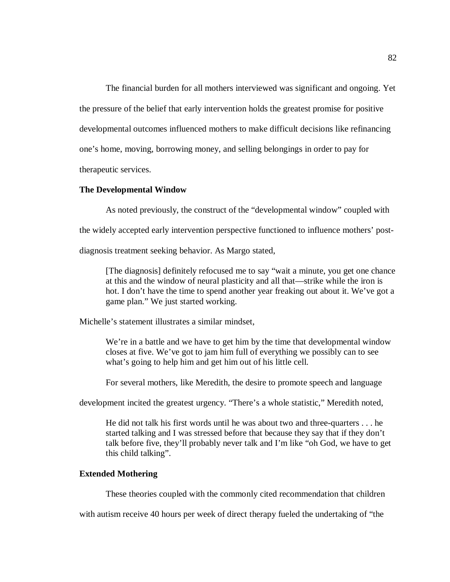The financial burden for all mothers interviewed was significant and ongoing. Yet the pressure of the belief that early intervention holds the greatest promise for positive developmental outcomes influenced mothers to make difficult decisions like refinancing one's home, moving, borrowing money, and selling belongings in order to pay for therapeutic services.

# **The Developmental Window**

As noted previously, the construct of the "developmental window" coupled with

the widely accepted early intervention perspective functioned to influence mothers' post-

diagnosis treatment seeking behavior. As Margo stated,

[The diagnosis] definitely refocused me to say "wait a minute, you get one chance at this and the window of neural plasticity and all that—strike while the iron is hot. I don't have the time to spend another year freaking out about it. We've got a game plan." We just started working.

Michelle's statement illustrates a similar mindset,

We're in a battle and we have to get him by the time that developmental window closes at five. We've got to jam him full of everything we possibly can to see what's going to help him and get him out of his little cell.

For several mothers, like Meredith, the desire to promote speech and language

development incited the greatest urgency. "There's a whole statistic," Meredith noted,

He did not talk his first words until he was about two and three-quarters . . . he started talking and I was stressed before that because they say that if they don't talk before five, they'll probably never talk and I'm like "oh God, we have to get this child talking".

# **Extended Mothering**

These theories coupled with the commonly cited recommendation that children

with autism receive 40 hours per week of direct therapy fueled the undertaking of "the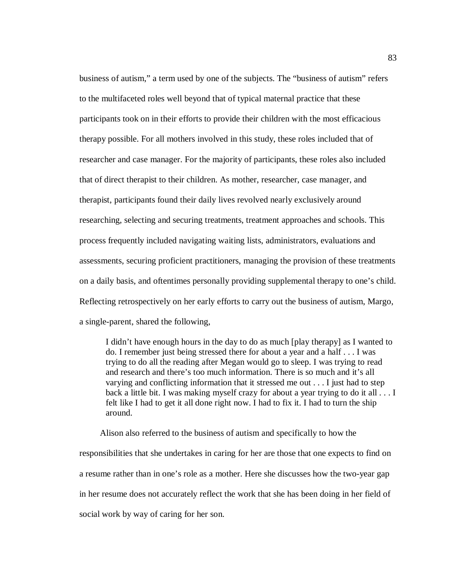business of autism," a term used by one of the subjects. The "business of autism" refers to the multifaceted roles well beyond that of typical maternal practice that these participants took on in their efforts to provide their children with the most efficacious therapy possible. For all mothers involved in this study, these roles included that of researcher and case manager. For the majority of participants, these roles also included that of direct therapist to their children. As mother, researcher, case manager, and therapist, participants found their daily lives revolved nearly exclusively around researching, selecting and securing treatments, treatment approaches and schools. This process frequently included navigating waiting lists, administrators, evaluations and assessments, securing proficient practitioners, managing the provision of these treatments on a daily basis, and oftentimes personally providing supplemental therapy to one's child. Reflecting retrospectively on her early efforts to carry out the business of autism, Margo, a single-parent, shared the following,

I didn't have enough hours in the day to do as much [play therapy] as I wanted to do. I remember just being stressed there for about a year and a half . . . I was trying to do all the reading after Megan would go to sleep. I was trying to read and research and there's too much information. There is so much and it's all varying and conflicting information that it stressed me out . . . I just had to step back a little bit. I was making myself crazy for about a year trying to do it all . . . I felt like I had to get it all done right now. I had to fix it. I had to turn the ship around.

Alison also referred to the business of autism and specifically to how the responsibilities that she undertakes in caring for her are those that one expects to find on a resume rather than in one's role as a mother. Here she discusses how the two-year gap in her resume does not accurately reflect the work that she has been doing in her field of social work by way of caring for her son.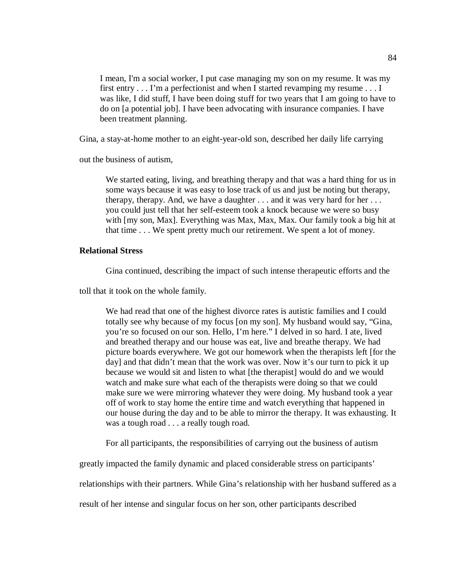I mean, I'm a social worker, I put case managing my son on my resume. It was my first entry . . . I'm a perfectionist and when I started revamping my resume . . . I was like, I did stuff, I have been doing stuff for two years that I am going to have to do on [a potential job]. I have been advocating with insurance companies. I have been treatment planning.

Gina, a stay-at-home mother to an eight-year-old son, described her daily life carrying

out the business of autism,

We started eating, living, and breathing therapy and that was a hard thing for us in some ways because it was easy to lose track of us and just be noting but therapy, therapy, therapy. And, we have a daughter  $\dots$  and it was very hard for her  $\dots$ you could just tell that her self-esteem took a knock because we were so busy with [my son, Max]. Everything was Max, Max, Max. Our family took a big hit at that time . . . We spent pretty much our retirement. We spent a lot of money.

# **Relational Stress**

Gina continued, describing the impact of such intense therapeutic efforts and the

toll that it took on the whole family.

We had read that one of the highest divorce rates is autistic families and I could totally see why because of my focus [on my son]. My husband would say, "Gina, you're so focused on our son. Hello, I'm here." I delved in so hard. I ate, lived and breathed therapy and our house was eat, live and breathe therapy. We had picture boards everywhere. We got our homework when the therapists left [for the day] and that didn't mean that the work was over. Now it's our turn to pick it up because we would sit and listen to what [the therapist] would do and we would watch and make sure what each of the therapists were doing so that we could make sure we were mirroring whatever they were doing. My husband took a year off of work to stay home the entire time and watch everything that happened in our house during the day and to be able to mirror the therapy. It was exhausting. It was a tough road . . . a really tough road.

For all participants, the responsibilities of carrying out the business of autism

greatly impacted the family dynamic and placed considerable stress on participants'

relationships with their partners. While Gina's relationship with her husband suffered as a

result of her intense and singular focus on her son, other participants described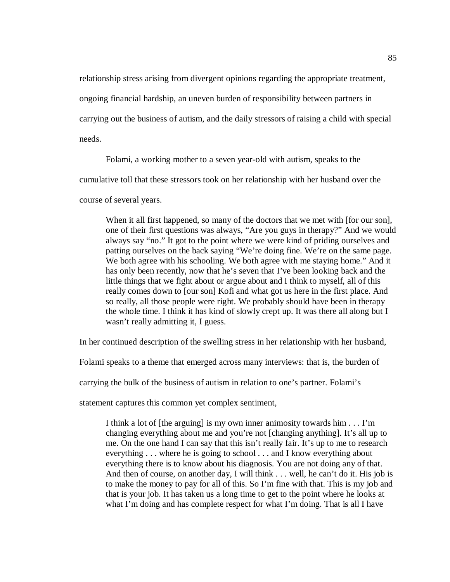relationship stress arising from divergent opinions regarding the appropriate treatment,

ongoing financial hardship, an uneven burden of responsibility between partners in

carrying out the business of autism, and the daily stressors of raising a child with special

needs.

Folami, a working mother to a seven year-old with autism, speaks to the

cumulative toll that these stressors took on her relationship with her husband over the

course of several years.

When it all first happened, so many of the doctors that we met with [for our son], one of their first questions was always, "Are you guys in therapy?" And we would always say "no." It got to the point where we were kind of priding ourselves and patting ourselves on the back saying "We're doing fine. We're on the same page. We both agree with his schooling. We both agree with me staying home." And it has only been recently, now that he's seven that I've been looking back and the little things that we fight about or argue about and I think to myself, all of this really comes down to [our son] Kofi and what got us here in the first place. And so really, all those people were right. We probably should have been in therapy the whole time. I think it has kind of slowly crept up. It was there all along but I wasn't really admitting it, I guess.

In her continued description of the swelling stress in her relationship with her husband,

Folami speaks to a theme that emerged across many interviews: that is, the burden of

carrying the bulk of the business of autism in relation to one's partner. Folami's

statement captures this common yet complex sentiment,

I think a lot of [the arguing] is my own inner animosity towards him . . . I'm changing everything about me and you're not [changing anything]. It's all up to me. On the one hand I can say that this isn't really fair. It's up to me to research everything . . . where he is going to school . . . and I know everything about everything there is to know about his diagnosis. You are not doing any of that. And then of course, on another day, I will think . . . well, he can't do it. His job is to make the money to pay for all of this. So I'm fine with that. This is my job and that is your job. It has taken us a long time to get to the point where he looks at what I'm doing and has complete respect for what I'm doing. That is all I have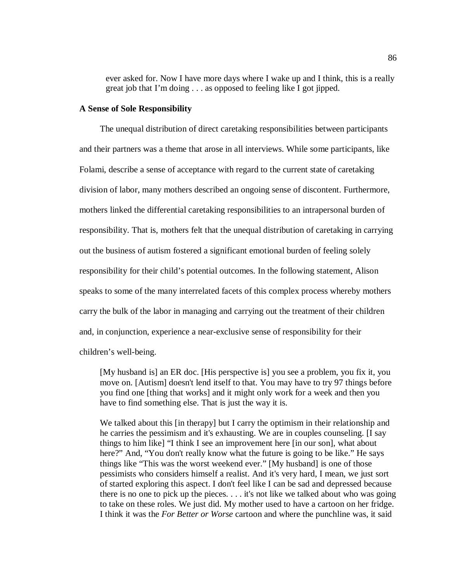ever asked for. Now I have more days where I wake up and I think, this is a really great job that I'm doing . . . as opposed to feeling like I got jipped.

#### **A Sense of Sole Responsibility**

The unequal distribution of direct caretaking responsibilities between participants and their partners was a theme that arose in all interviews. While some participants, like Folami, describe a sense of acceptance with regard to the current state of caretaking division of labor, many mothers described an ongoing sense of discontent. Furthermore, mothers linked the differential caretaking responsibilities to an intrapersonal burden of responsibility. That is, mothers felt that the unequal distribution of caretaking in carrying out the business of autism fostered a significant emotional burden of feeling solely responsibility for their child's potential outcomes. In the following statement, Alison speaks to some of the many interrelated facets of this complex process whereby mothers carry the bulk of the labor in managing and carrying out the treatment of their children and, in conjunction, experience a near-exclusive sense of responsibility for their children's well-being.

[My husband is] an ER doc. [His perspective is] you see a problem, you fix it, you move on. [Autism] doesn't lend itself to that. You may have to try 97 things before you find one [thing that works] and it might only work for a week and then you have to find something else. That is just the way it is.

We talked about this [in therapy] but I carry the optimism in their relationship and he carries the pessimism and it's exhausting. We are in couples counseling. [I say things to him like] "I think I see an improvement here [in our son], what about here?" And, "You don't really know what the future is going to be like." He says things like "This was the worst weekend ever." [My husband] is one of those pessimists who considers himself a realist. And it's very hard, I mean, we just sort of started exploring this aspect. I don't feel like I can be sad and depressed because there is no one to pick up the pieces. . . . it's not like we talked about who was going to take on these roles. We just did. My mother used to have a cartoon on her fridge. I think it was the *For Better or Worse* cartoon and where the punchline was, it said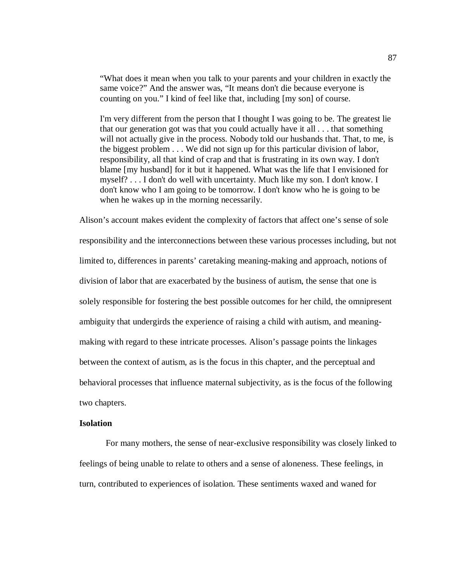"What does it mean when you talk to your parents and your children in exactly the same voice?" And the answer was, "It means don't die because everyone is counting on you." I kind of feel like that, including [my son] of course.

I'm very different from the person that I thought I was going to be. The greatest lie that our generation got was that you could actually have it all . . . that something will not actually give in the process. Nobody told our husbands that. That, to me, is the biggest problem . . . We did not sign up for this particular division of labor, responsibility, all that kind of crap and that is frustrating in its own way. I don't blame [my husband] for it but it happened. What was the life that I envisioned for myself? . . . I don't do well with uncertainty. Much like my son. I don't know. I don't know who I am going to be tomorrow. I don't know who he is going to be when he wakes up in the morning necessarily.

Alison's account makes evident the complexity of factors that affect one's sense of sole responsibility and the interconnections between these various processes including, but not limited to, differences in parents' caretaking meaning-making and approach, notions of division of labor that are exacerbated by the business of autism, the sense that one is solely responsible for fostering the best possible outcomes for her child, the omnipresent ambiguity that undergirds the experience of raising a child with autism, and meaningmaking with regard to these intricate processes. Alison's passage points the linkages between the context of autism, as is the focus in this chapter, and the perceptual and behavioral processes that influence maternal subjectivity, as is the focus of the following two chapters.

### **Isolation**

For many mothers, the sense of near-exclusive responsibility was closely linked to feelings of being unable to relate to others and a sense of aloneness. These feelings, in turn, contributed to experiences of isolation. These sentiments waxed and waned for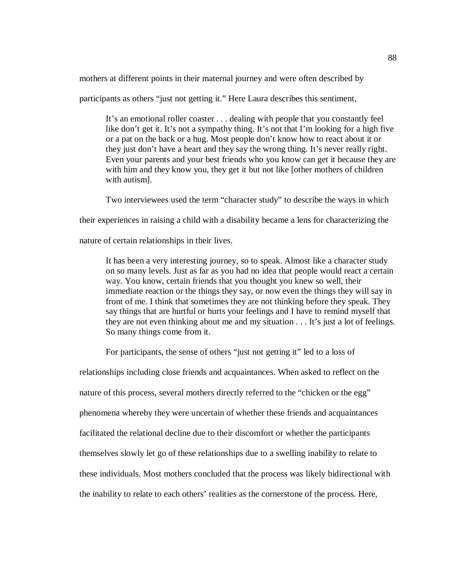mothers at different points in their maternal journey and were often described by

participants as others "just not getting it." Here Laura describes this sentiment,

It's an emotional roller coaster . . . dealing with people that you constantly feel like don't get it. It's not a sympathy thing. It's not that I'm looking for a high five or a pat on the back or a hug. Most people don't know how to react about it or they just don't have a heart and they say the wrong thing. It's never really right. Even your parents and your best friends who you know can get it because they are with him and they know you, they get it but not like [other mothers of children with autism].

Two interviewees used the term "character study" to describe the ways in which

their experiences in raising a child with a disability became a lens for characterizing the

nature of certain relationships in their lives.

It has been a very interesting journey, so to speak. Almost like a character study on so many levels. Just as far as you had no idea that people would react a certain way. You know, certain friends that you thought you knew so well, their immediate reaction or the things they say, or now even the things they will say in front of me. I think that sometimes they are not thinking before they speak. They say things that are hurtful or hurts your feelings and I have to remind myself that they are not even thinking about me and my situation . . . It's just a lot of feelings. So many things come from it.

For participants, the sense of others "just not getting it" led to a loss of

relationships including close friends and acquaintances. When asked to reflect on the nature of this process, several mothers directly referred to the "chicken or the egg" phenomena whereby they were uncertain of whether these friends and acquaintances facilitated the relational decline due to their discomfort or whether the participants themselves slowly let go of these relationships due to a swelling inability to relate to these individuals. Most mothers concluded that the process was likely bidirectional with the inability to relate to each others' realities as the cornerstone of the process. Here,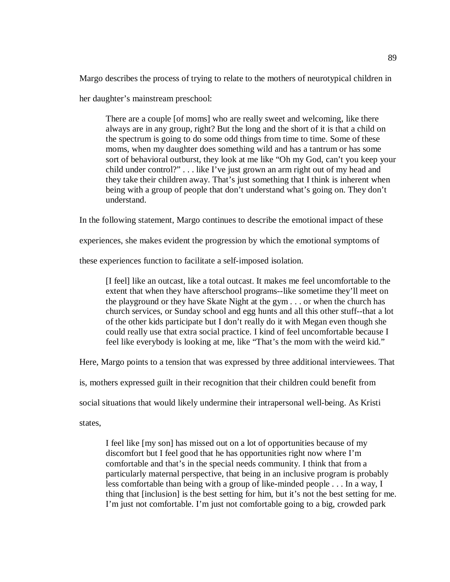Margo describes the process of trying to relate to the mothers of neurotypical children in

her daughter's mainstream preschool:

There are a couple [of moms] who are really sweet and welcoming, like there always are in any group, right? But the long and the short of it is that a child on the spectrum is going to do some odd things from time to time. Some of these moms, when my daughter does something wild and has a tantrum or has some sort of behavioral outburst, they look at me like "Oh my God, can't you keep your child under control?" . . . like I've just grown an arm right out of my head and they take their children away. That's just something that I think is inherent when being with a group of people that don't understand what's going on. They don't understand.

In the following statement, Margo continues to describe the emotional impact of these

experiences, she makes evident the progression by which the emotional symptoms of

these experiences function to facilitate a self-imposed isolation.

[I feel] like an outcast, like a total outcast. It makes me feel uncomfortable to the extent that when they have afterschool programs--like sometime they'll meet on the playground or they have Skate Night at the gym . . . or when the church has church services, or Sunday school and egg hunts and all this other stuff--that a lot of the other kids participate but I don't really do it with Megan even though she could really use that extra social practice. I kind of feel uncomfortable because I feel like everybody is looking at me, like "That's the mom with the weird kid."

Here, Margo points to a tension that was expressed by three additional interviewees. That

is, mothers expressed guilt in their recognition that their children could benefit from

social situations that would likely undermine their intrapersonal well-being. As Kristi

states,

I feel like [my son] has missed out on a lot of opportunities because of my discomfort but I feel good that he has opportunities right now where I'm comfortable and that's in the special needs community. I think that from a particularly maternal perspective, that being in an inclusive program is probably less comfortable than being with a group of like-minded people . . . In a way, I thing that [inclusion] is the best setting for him, but it's not the best setting for me. I'm just not comfortable. I'm just not comfortable going to a big, crowded park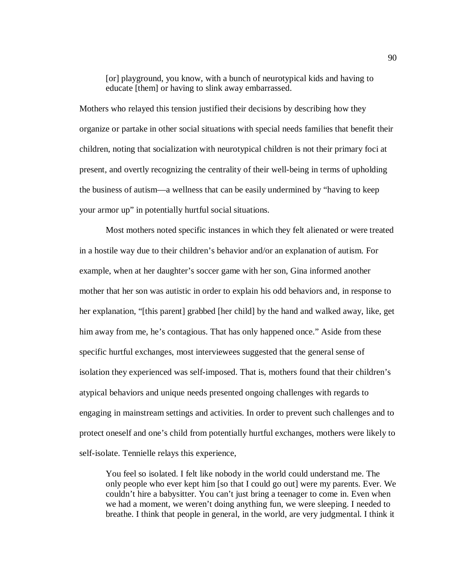[or] playground, you know, with a bunch of neurotypical kids and having to educate [them] or having to slink away embarrassed.

Mothers who relayed this tension justified their decisions by describing how they organize or partake in other social situations with special needs families that benefit their children, noting that socialization with neurotypical children is not their primary foci at present, and overtly recognizing the centrality of their well-being in terms of upholding the business of autism—a wellness that can be easily undermined by "having to keep your armor up" in potentially hurtful social situations.

Most mothers noted specific instances in which they felt alienated or were treated in a hostile way due to their children's behavior and/or an explanation of autism. For example, when at her daughter's soccer game with her son, Gina informed another mother that her son was autistic in order to explain his odd behaviors and, in response to her explanation, "[this parent] grabbed [her child] by the hand and walked away, like, get him away from me, he's contagious. That has only happened once." Aside from these specific hurtful exchanges, most interviewees suggested that the general sense of isolation they experienced was self-imposed. That is, mothers found that their children's atypical behaviors and unique needs presented ongoing challenges with regards to engaging in mainstream settings and activities. In order to prevent such challenges and to protect oneself and one's child from potentially hurtful exchanges, mothers were likely to self-isolate. Tennielle relays this experience,

You feel so isolated. I felt like nobody in the world could understand me. The only people who ever kept him [so that I could go out] were my parents. Ever. We couldn't hire a babysitter. You can't just bring a teenager to come in. Even when we had a moment, we weren't doing anything fun, we were sleeping. I needed to breathe. I think that people in general, in the world, are very judgmental. I think it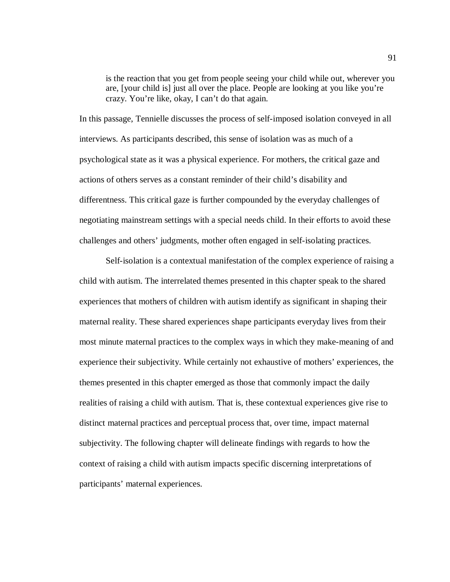is the reaction that you get from people seeing your child while out, wherever you are, [your child is] just all over the place. People are looking at you like you're crazy. You're like, okay, I can't do that again.

In this passage, Tennielle discusses the process of self-imposed isolation conveyed in all interviews. As participants described, this sense of isolation was as much of a psychological state as it was a physical experience. For mothers, the critical gaze and actions of others serves as a constant reminder of their child's disability and differentness. This critical gaze is further compounded by the everyday challenges of negotiating mainstream settings with a special needs child. In their efforts to avoid these challenges and others' judgments, mother often engaged in self-isolating practices.

Self-isolation is a contextual manifestation of the complex experience of raising a child with autism. The interrelated themes presented in this chapter speak to the shared experiences that mothers of children with autism identify as significant in shaping their maternal reality. These shared experiences shape participants everyday lives from their most minute maternal practices to the complex ways in which they make-meaning of and experience their subjectivity. While certainly not exhaustive of mothers' experiences, the themes presented in this chapter emerged as those that commonly impact the daily realities of raising a child with autism. That is, these contextual experiences give rise to distinct maternal practices and perceptual process that, over time, impact maternal subjectivity. The following chapter will delineate findings with regards to how the context of raising a child with autism impacts specific discerning interpretations of participants' maternal experiences.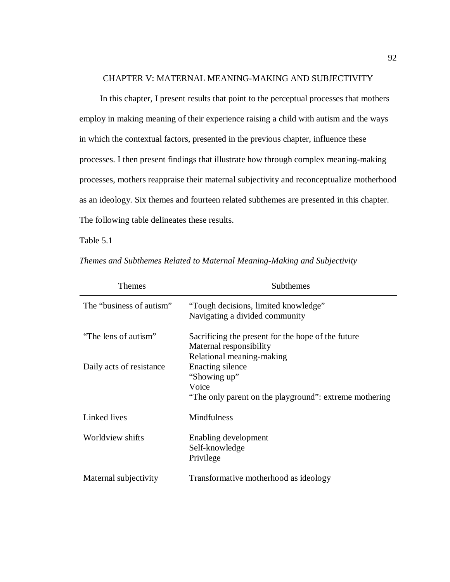### CHAPTER V: MATERNAL MEANING-MAKING AND SUBJECTIVITY

 In this chapter, I present results that point to the perceptual processes that mothers employ in making meaning of their experience raising a child with autism and the ways in which the contextual factors, presented in the previous chapter, influence these processes. I then present findings that illustrate how through complex meaning-making processes, mothers reappraise their maternal subjectivity and reconceptualize motherhood as an ideology. Six themes and fourteen related subthemes are presented in this chapter. The following table delineates these results.

## Table 5.1

| <b>Themes</b>            | Subthemes                                                                                                  |
|--------------------------|------------------------------------------------------------------------------------------------------------|
| The "business of autism" | "Tough decisions, limited knowledge"<br>Navigating a divided community                                     |
| "The lens of autism"     | Sacrificing the present for the hope of the future<br>Maternal responsibility<br>Relational meaning-making |
| Daily acts of resistance | Enacting silence<br>"Showing up"<br>Voice<br>"The only parent on the playground": extreme mothering        |
| Linked lives             | <b>Mindfulness</b>                                                                                         |
| Worldview shifts         | Enabling development<br>Self-knowledge<br>Privilege                                                        |
| Maternal subjectivity    | Transformative motherhood as ideology                                                                      |

*Themes and Subthemes Related to Maternal Meaning-Making and Subjectivity*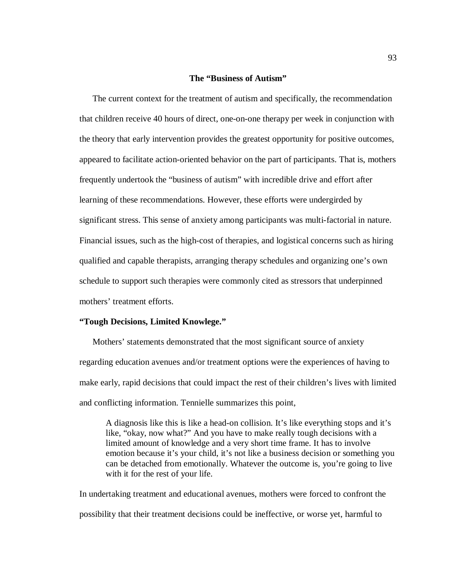#### **The "Business of Autism"**

The current context for the treatment of autism and specifically, the recommendation that children receive 40 hours of direct, one-on-one therapy per week in conjunction with the theory that early intervention provides the greatest opportunity for positive outcomes, appeared to facilitate action-oriented behavior on the part of participants. That is, mothers frequently undertook the "business of autism" with incredible drive and effort after learning of these recommendations. However, these efforts were undergirded by significant stress. This sense of anxiety among participants was multi-factorial in nature. Financial issues, such as the high-cost of therapies, and logistical concerns such as hiring qualified and capable therapists, arranging therapy schedules and organizing one's own schedule to support such therapies were commonly cited as stressors that underpinned mothers' treatment efforts.

#### **"Tough Decisions, Limited Knowlege."**

Mothers' statements demonstrated that the most significant source of anxiety regarding education avenues and/or treatment options were the experiences of having to make early, rapid decisions that could impact the rest of their children's lives with limited and conflicting information. Tennielle summarizes this point,

A diagnosis like this is like a head-on collision. It's like everything stops and it's like, "okay, now what?" And you have to make really tough decisions with a limited amount of knowledge and a very short time frame. It has to involve emotion because it's your child, it's not like a business decision or something you can be detached from emotionally. Whatever the outcome is, you're going to live with it for the rest of your life.

In undertaking treatment and educational avenues, mothers were forced to confront the possibility that their treatment decisions could be ineffective, or worse yet, harmful to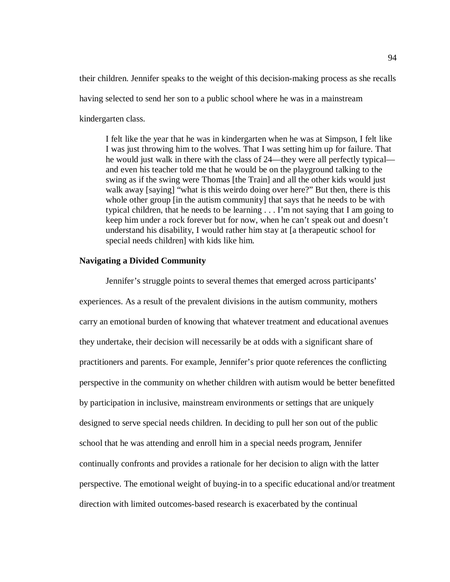their children. Jennifer speaks to the weight of this decision-making process as she recalls having selected to send her son to a public school where he was in a mainstream kindergarten class.

I felt like the year that he was in kindergarten when he was at Simpson, I felt like I was just throwing him to the wolves. That I was setting him up for failure. That he would just walk in there with the class of 24—they were all perfectly typical and even his teacher told me that he would be on the playground talking to the swing as if the swing were Thomas [the Train] and all the other kids would just walk away [saying] "what is this weirdo doing over here?" But then, there is this whole other group [in the autism community] that says that he needs to be with typical children, that he needs to be learning . . . I'm not saying that I am going to keep him under a rock forever but for now, when he can't speak out and doesn't understand his disability, I would rather him stay at [a therapeutic school for special needs children] with kids like him.

## **Navigating a Divided Community**

Jennifer's struggle points to several themes that emerged across participants' experiences. As a result of the prevalent divisions in the autism community, mothers carry an emotional burden of knowing that whatever treatment and educational avenues they undertake, their decision will necessarily be at odds with a significant share of practitioners and parents. For example, Jennifer's prior quote references the conflicting perspective in the community on whether children with autism would be better benefitted by participation in inclusive, mainstream environments or settings that are uniquely designed to serve special needs children. In deciding to pull her son out of the public school that he was attending and enroll him in a special needs program, Jennifer continually confronts and provides a rationale for her decision to align with the latter perspective. The emotional weight of buying-in to a specific educational and/or treatment direction with limited outcomes-based research is exacerbated by the continual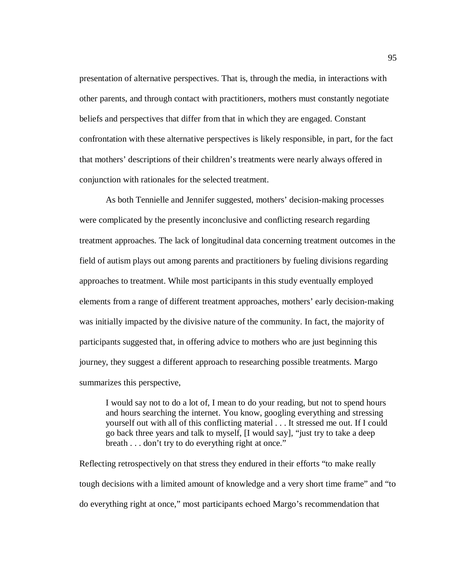presentation of alternative perspectives. That is, through the media, in interactions with other parents, and through contact with practitioners, mothers must constantly negotiate beliefs and perspectives that differ from that in which they are engaged. Constant confrontation with these alternative perspectives is likely responsible, in part, for the fact that mothers' descriptions of their children's treatments were nearly always offered in conjunction with rationales for the selected treatment.

As both Tennielle and Jennifer suggested, mothers' decision-making processes were complicated by the presently inconclusive and conflicting research regarding treatment approaches. The lack of longitudinal data concerning treatment outcomes in the field of autism plays out among parents and practitioners by fueling divisions regarding approaches to treatment. While most participants in this study eventually employed elements from a range of different treatment approaches, mothers' early decision-making was initially impacted by the divisive nature of the community. In fact, the majority of participants suggested that, in offering advice to mothers who are just beginning this journey, they suggest a different approach to researching possible treatments. Margo summarizes this perspective,

I would say not to do a lot of, I mean to do your reading, but not to spend hours and hours searching the internet. You know, googling everything and stressing yourself out with all of this conflicting material . . . It stressed me out. If I could go back three years and talk to myself, [I would say], "just try to take a deep breath . . . don't try to do everything right at once."

Reflecting retrospectively on that stress they endured in their efforts "to make really tough decisions with a limited amount of knowledge and a very short time frame" and "to do everything right at once," most participants echoed Margo's recommendation that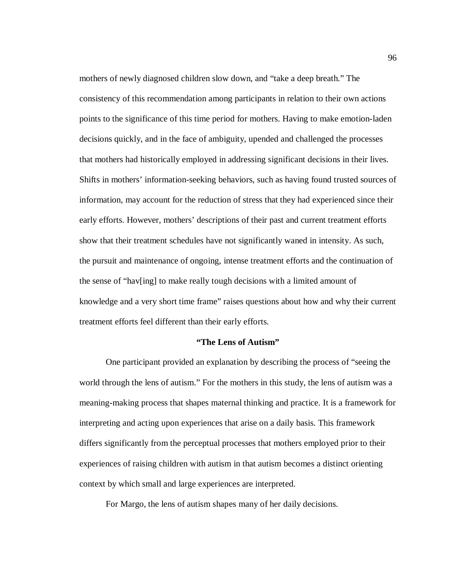mothers of newly diagnosed children slow down, and "take a deep breath." The consistency of this recommendation among participants in relation to their own actions points to the significance of this time period for mothers. Having to make emotion-laden decisions quickly, and in the face of ambiguity, upended and challenged the processes that mothers had historically employed in addressing significant decisions in their lives. Shifts in mothers' information-seeking behaviors, such as having found trusted sources of information, may account for the reduction of stress that they had experienced since their early efforts. However, mothers' descriptions of their past and current treatment efforts show that their treatment schedules have not significantly waned in intensity. As such, the pursuit and maintenance of ongoing, intense treatment efforts and the continuation of the sense of "hav[ing] to make really tough decisions with a limited amount of knowledge and a very short time frame" raises questions about how and why their current treatment efforts feel different than their early efforts.

#### **"The Lens of Autism"**

One participant provided an explanation by describing the process of "seeing the world through the lens of autism." For the mothers in this study, the lens of autism was a meaning-making process that shapes maternal thinking and practice. It is a framework for interpreting and acting upon experiences that arise on a daily basis. This framework differs significantly from the perceptual processes that mothers employed prior to their experiences of raising children with autism in that autism becomes a distinct orienting context by which small and large experiences are interpreted.

For Margo, the lens of autism shapes many of her daily decisions.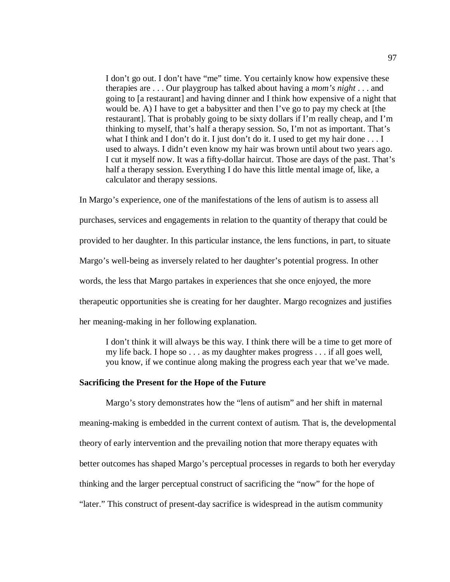I don't go out. I don't have "me" time. You certainly know how expensive these therapies are . . . Our playgroup has talked about having a *mom's night* . . . and going to [a restaurant] and having dinner and I think how expensive of a night that would be. A) I have to get a babysitter and then I've go to pay my check at [the restaurant]. That is probably going to be sixty dollars if I'm really cheap, and I'm thinking to myself, that's half a therapy session. So, I'm not as important. That's what I think and I don't do it. I just don't do it. I used to get my hair done  $\dots$  I used to always. I didn't even know my hair was brown until about two years ago. I cut it myself now. It was a fifty-dollar haircut. Those are days of the past. That's half a therapy session. Everything I do have this little mental image of, like, a calculator and therapy sessions.

In Margo's experience, one of the manifestations of the lens of autism is to assess all purchases, services and engagements in relation to the quantity of therapy that could be provided to her daughter. In this particular instance, the lens functions, in part, to situate Margo's well-being as inversely related to her daughter's potential progress. In other words, the less that Margo partakes in experiences that she once enjoyed, the more therapeutic opportunities she is creating for her daughter. Margo recognizes and justifies her meaning-making in her following explanation.

I don't think it will always be this way. I think there will be a time to get more of my life back. I hope so . . . as my daughter makes progress . . . if all goes well, you know, if we continue along making the progress each year that we've made.

#### **Sacrificing the Present for the Hope of the Future**

Margo's story demonstrates how the "lens of autism" and her shift in maternal meaning-making is embedded in the current context of autism. That is, the developmental theory of early intervention and the prevailing notion that more therapy equates with better outcomes has shaped Margo's perceptual processes in regards to both her everyday thinking and the larger perceptual construct of sacrificing the "now" for the hope of "later." This construct of present-day sacrifice is widespread in the autism community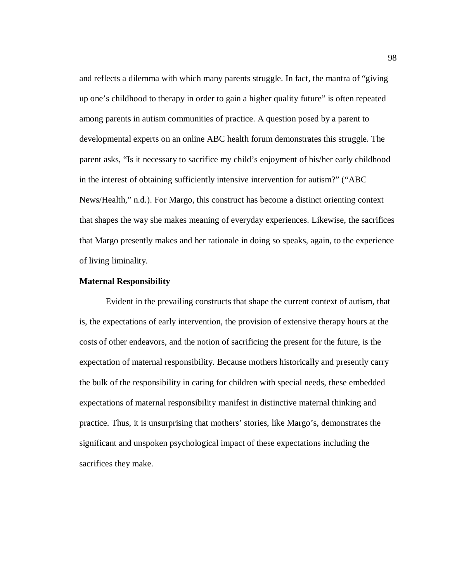and reflects a dilemma with which many parents struggle. In fact, the mantra of "giving up one's childhood to therapy in order to gain a higher quality future" is often repeated among parents in autism communities of practice. A question posed by a parent to developmental experts on an online ABC health forum demonstrates this struggle. The parent asks, "Is it necessary to sacrifice my child's enjoyment of his/her early childhood in the interest of obtaining sufficiently intensive intervention for autism?" ("ABC News/Health," n.d.). For Margo, this construct has become a distinct orienting context that shapes the way she makes meaning of everyday experiences. Likewise, the sacrifices that Margo presently makes and her rationale in doing so speaks, again, to the experience of living liminality.

## **Maternal Responsibility**

Evident in the prevailing constructs that shape the current context of autism, that is, the expectations of early intervention, the provision of extensive therapy hours at the costs of other endeavors, and the notion of sacrificing the present for the future, is the expectation of maternal responsibility. Because mothers historically and presently carry the bulk of the responsibility in caring for children with special needs, these embedded expectations of maternal responsibility manifest in distinctive maternal thinking and practice. Thus, it is unsurprising that mothers' stories, like Margo's, demonstrates the significant and unspoken psychological impact of these expectations including the sacrifices they make.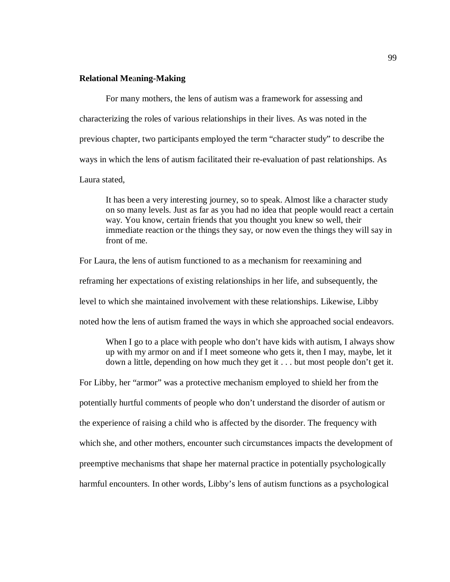## **Relational Me**a**ning-Making**

For many mothers, the lens of autism was a framework for assessing and characterizing the roles of various relationships in their lives. As was noted in the previous chapter, two participants employed the term "character study" to describe the ways in which the lens of autism facilitated their re-evaluation of past relationships. As Laura stated,

It has been a very interesting journey, so to speak. Almost like a character study on so many levels. Just as far as you had no idea that people would react a certain way. You know, certain friends that you thought you knew so well, their immediate reaction or the things they say, or now even the things they will say in front of me.

For Laura, the lens of autism functioned to as a mechanism for reexamining and reframing her expectations of existing relationships in her life, and subsequently, the level to which she maintained involvement with these relationships. Likewise, Libby noted how the lens of autism framed the ways in which she approached social endeavors.

When I go to a place with people who don't have kids with autism, I always show up with my armor on and if I meet someone who gets it, then I may, maybe, let it down a little, depending on how much they get it . . . but most people don't get it.

For Libby, her "armor" was a protective mechanism employed to shield her from the potentially hurtful comments of people who don't understand the disorder of autism or the experience of raising a child who is affected by the disorder. The frequency with which she, and other mothers, encounter such circumstances impacts the development of preemptive mechanisms that shape her maternal practice in potentially psychologically harmful encounters. In other words, Libby's lens of autism functions as a psychological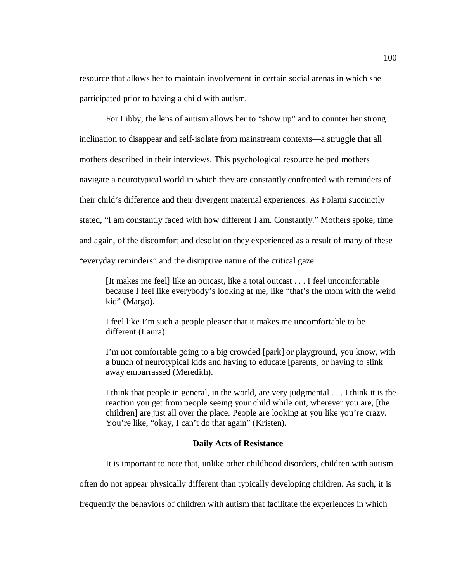resource that allows her to maintain involvement in certain social arenas in which she participated prior to having a child with autism.

 For Libby, the lens of autism allows her to "show up" and to counter her strong inclination to disappear and self-isolate from mainstream contexts—a struggle that all mothers described in their interviews. This psychological resource helped mothers navigate a neurotypical world in which they are constantly confronted with reminders of their child's difference and their divergent maternal experiences. As Folami succinctly stated, "I am constantly faced with how different I am. Constantly." Mothers spoke, time and again, of the discomfort and desolation they experienced as a result of many of these "everyday reminders" and the disruptive nature of the critical gaze.

[It makes me feel] like an outcast, like a total outcast . . . I feel uncomfortable because I feel like everybody's looking at me, like "that's the mom with the weird kid" (Margo).

I feel like I'm such a people pleaser that it makes me uncomfortable to be different (Laura).

I'm not comfortable going to a big crowded [park] or playground, you know, with a bunch of neurotypical kids and having to educate [parents] or having to slink away embarrassed (Meredith).

I think that people in general, in the world, are very judgmental . . . I think it is the reaction you get from people seeing your child while out, wherever you are, [the children] are just all over the place. People are looking at you like you're crazy. You're like, "okay, I can't do that again" (Kristen).

## **Daily Acts of Resistance**

It is important to note that, unlike other childhood disorders, children with autism

often do not appear physically different than typically developing children. As such, it is

frequently the behaviors of children with autism that facilitate the experiences in which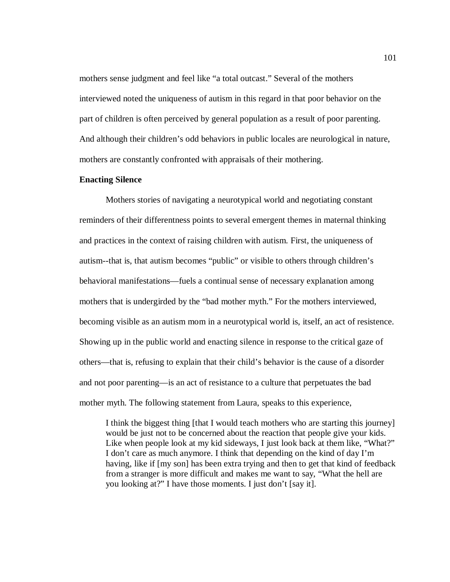mothers sense judgment and feel like "a total outcast." Several of the mothers interviewed noted the uniqueness of autism in this regard in that poor behavior on the part of children is often perceived by general population as a result of poor parenting. And although their children's odd behaviors in public locales are neurological in nature, mothers are constantly confronted with appraisals of their mothering.

## **Enacting Silence**

Mothers stories of navigating a neurotypical world and negotiating constant reminders of their differentness points to several emergent themes in maternal thinking and practices in the context of raising children with autism. First, the uniqueness of autism--that is, that autism becomes "public" or visible to others through children's behavioral manifestations—fuels a continual sense of necessary explanation among mothers that is undergirded by the "bad mother myth." For the mothers interviewed, becoming visible as an autism mom in a neurotypical world is, itself, an act of resistence. Showing up in the public world and enacting silence in response to the critical gaze of others—that is, refusing to explain that their child's behavior is the cause of a disorder and not poor parenting—is an act of resistance to a culture that perpetuates the bad mother myth. The following statement from Laura, speaks to this experience,

I think the biggest thing [that I would teach mothers who are starting this journey] would be just not to be concerned about the reaction that people give your kids. Like when people look at my kid sideways, I just look back at them like, "What?" I don't care as much anymore. I think that depending on the kind of day I'm having, like if [my son] has been extra trying and then to get that kind of feedback from a stranger is more difficult and makes me want to say, "What the hell are you looking at?" I have those moments. I just don't [say it].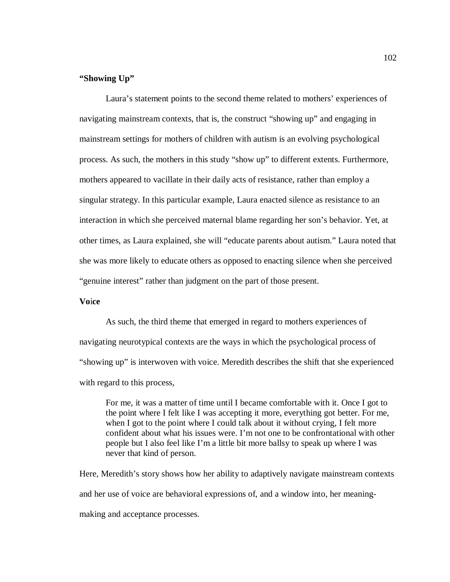## **"Showing Up"**

Laura's statement points to the second theme related to mothers' experiences of navigating mainstream contexts, that is, the construct "showing up" and engaging in mainstream settings for mothers of children with autism is an evolving psychological process. As such, the mothers in this study "show up" to different extents. Furthermore, mothers appeared to vacillate in their daily acts of resistance, rather than employ a singular strategy. In this particular example, Laura enacted silence as resistance to an interaction in which she perceived maternal blame regarding her son's behavior. Yet, at other times, as Laura explained, she will "educate parents about autism." Laura noted that she was more likely to educate others as opposed to enacting silence when she perceived "genuine interest" rather than judgment on the part of those present.

## **Vo**i**ce**

As such, the third theme that emerged in regard to mothers experiences of navigating neurotypical contexts are the ways in which the psychological process of "showing up" is interwoven with voice. Meredith describes the shift that she experienced with regard to this process,

For me, it was a matter of time until I became comfortable with it. Once I got to the point where I felt like I was accepting it more, everything got better. For me, when I got to the point where I could talk about it without crying, I felt more confident about what his issues were. I'm not one to be confrontational with other people but I also feel like I'm a little bit more ballsy to speak up where I was never that kind of person.

Here, Meredith's story shows how her ability to adaptively navigate mainstream contexts and her use of voice are behavioral expressions of, and a window into, her meaningmaking and acceptance processes.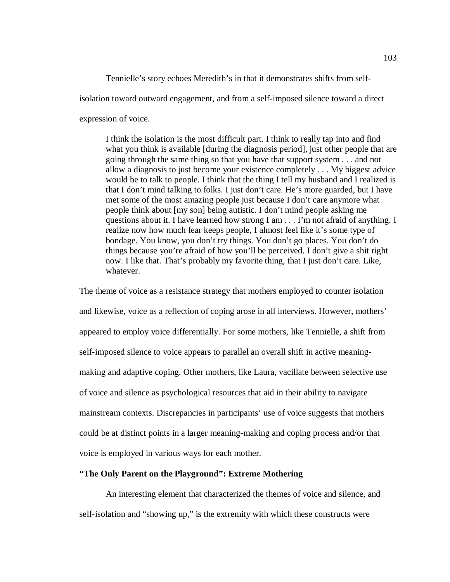Tennielle's story echoes Meredith's in that it demonstrates shifts from self-

isolation toward outward engagement, and from a self-imposed silence toward a direct

expression of voice.

I think the isolation is the most difficult part. I think to really tap into and find what you think is available [during the diagnosis period], just other people that are going through the same thing so that you have that support system . . . and not allow a diagnosis to just become your existence completely . . . My biggest advice would be to talk to people. I think that the thing I tell my husband and I realized is that I don't mind talking to folks. I just don't care. He's more guarded, but I have met some of the most amazing people just because I don't care anymore what people think about [my son] being autistic. I don't mind people asking me questions about it. I have learned how strong I am . . . I'm not afraid of anything. I realize now how much fear keeps people, I almost feel like it's some type of bondage. You know, you don't try things. You don't go places. You don't do things because you're afraid of how you'll be perceived. I don't give a shit right now. I like that. That's probably my favorite thing, that I just don't care. Like, whatever.

The theme of voice as a resistance strategy that mothers employed to counter isolation and likewise, voice as a reflection of coping arose in all interviews. However, mothers' appeared to employ voice differentially. For some mothers, like Tennielle, a shift from self-imposed silence to voice appears to parallel an overall shift in active meaningmaking and adaptive coping. Other mothers, like Laura, vacillate between selective use of voice and silence as psychological resources that aid in their ability to navigate mainstream contexts. Discrepancies in participants' use of voice suggests that mothers could be at distinct points in a larger meaning-making and coping process and/or that voice is employed in various ways for each mother.

## **"The Only Parent on the Playground": Extreme Mothering**

An interesting element that characterized the themes of voice and silence, and self-isolation and "showing up," is the extremity with which these constructs were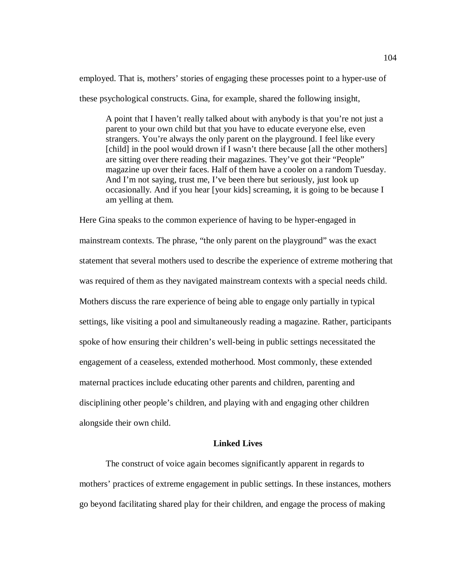employed. That is, mothers' stories of engaging these processes point to a hyper-use of these psychological constructs. Gina, for example, shared the following insight,

A point that I haven't really talked about with anybody is that you're not just a parent to your own child but that you have to educate everyone else, even strangers. You're always the only parent on the playground. I feel like every [child] in the pool would drown if I wasn't there because [all the other mothers] are sitting over there reading their magazines. They've got their "People" magazine up over their faces. Half of them have a cooler on a random Tuesday. And I'm not saying, trust me, I've been there but seriously, just look up occasionally. And if you hear [your kids] screaming, it is going to be because I am yelling at them.

Here Gina speaks to the common experience of having to be hyper-engaged in mainstream contexts. The phrase, "the only parent on the playground" was the exact statement that several mothers used to describe the experience of extreme mothering that was required of them as they navigated mainstream contexts with a special needs child. Mothers discuss the rare experience of being able to engage only partially in typical settings, like visiting a pool and simultaneously reading a magazine. Rather, participants spoke of how ensuring their children's well-being in public settings necessitated the engagement of a ceaseless, extended motherhood. Most commonly, these extended maternal practices include educating other parents and children, parenting and disciplining other people's children, and playing with and engaging other children alongside their own child.

## **Linked Lives**

The construct of voice again becomes significantly apparent in regards to mothers' practices of extreme engagement in public settings. In these instances, mothers go beyond facilitating shared play for their children, and engage the process of making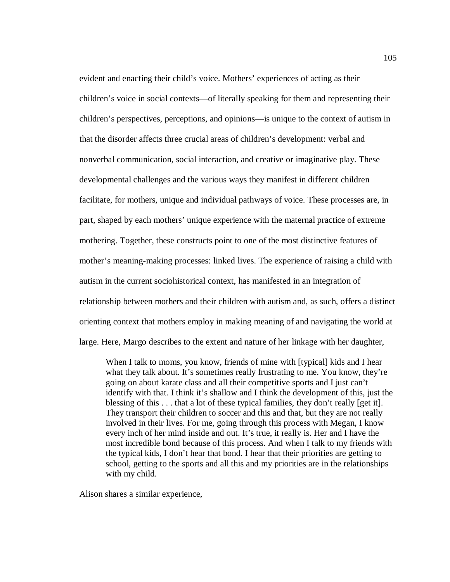evident and enacting their child's voice. Mothers' experiences of acting as their children's voice in social contexts—of literally speaking for them and representing their children's perspectives, perceptions, and opinions—is unique to the context of autism in that the disorder affects three crucial areas of children's development: verbal and nonverbal communication, social interaction, and creative or imaginative play. These developmental challenges and the various ways they manifest in different children facilitate, for mothers, unique and individual pathways of voice. These processes are, in part, shaped by each mothers' unique experience with the maternal practice of extreme mothering. Together, these constructs point to one of the most distinctive features of mother's meaning-making processes: linked lives. The experience of raising a child with autism in the current sociohistorical context, has manifested in an integration of relationship between mothers and their children with autism and, as such, offers a distinct orienting context that mothers employ in making meaning of and navigating the world at large. Here, Margo describes to the extent and nature of her linkage with her daughter,

When I talk to moms, you know, friends of mine with [typical] kids and I hear what they talk about. It's sometimes really frustrating to me. You know, they're going on about karate class and all their competitive sports and I just can't identify with that. I think it's shallow and I think the development of this, just the blessing of this . . . that a lot of these typical families, they don't really [get it]. They transport their children to soccer and this and that, but they are not really involved in their lives. For me, going through this process with Megan, I know every inch of her mind inside and out. It's true, it really is. Her and I have the most incredible bond because of this process. And when I talk to my friends with the typical kids, I don't hear that bond. I hear that their priorities are getting to school, getting to the sports and all this and my priorities are in the relationships with my child.

Alison shares a similar experience,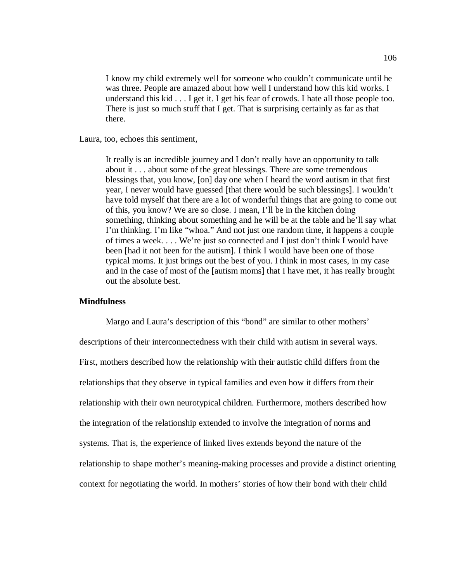I know my child extremely well for someone who couldn't communicate until he was three. People are amazed about how well I understand how this kid works. I understand this kid . . . I get it. I get his fear of crowds. I hate all those people too. There is just so much stuff that I get. That is surprising certainly as far as that there.

Laura, too, echoes this sentiment,

It really is an incredible journey and I don't really have an opportunity to talk about it . . . about some of the great blessings. There are some tremendous blessings that, you know, [on] day one when I heard the word autism in that first year, I never would have guessed [that there would be such blessings]. I wouldn't have told myself that there are a lot of wonderful things that are going to come out of this, you know? We are so close. I mean, I'll be in the kitchen doing something, thinking about something and he will be at the table and he'll say what I'm thinking. I'm like "whoa." And not just one random time, it happens a couple of times a week. . . . We're just so connected and I just don't think I would have been [had it not been for the autism]. I think I would have been one of those typical moms. It just brings out the best of you. I think in most cases, in my case and in the case of most of the [autism moms] that I have met, it has really brought out the absolute best.

## **Mindfulness**

Margo and Laura's description of this "bond" are similar to other mothers' descriptions of their interconnectedness with their child with autism in several ways. First, mothers described how the relationship with their autistic child differs from the relationships that they observe in typical families and even how it differs from their relationship with their own neurotypical children. Furthermore, mothers described how the integration of the relationship extended to involve the integration of norms and systems. That is, the experience of linked lives extends beyond the nature of the relationship to shape mother's meaning-making processes and provide a distinct orienting context for negotiating the world. In mothers' stories of how their bond with their child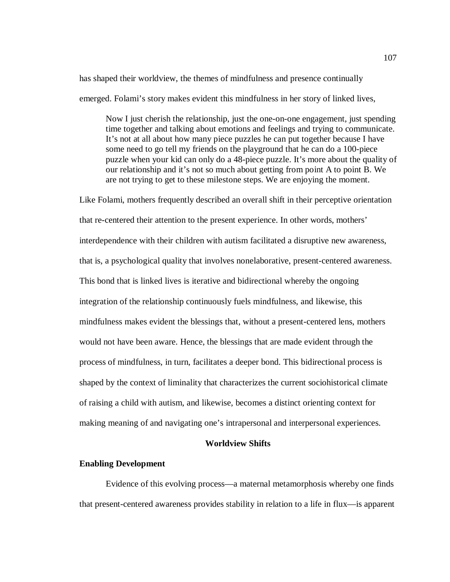has shaped their worldview, the themes of mindfulness and presence continually

emerged. Folami's story makes evident this mindfulness in her story of linked lives,

Now I just cherish the relationship, just the one-on-one engagement, just spending time together and talking about emotions and feelings and trying to communicate. It's not at all about how many piece puzzles he can put together because I have some need to go tell my friends on the playground that he can do a 100-piece puzzle when your kid can only do a 48-piece puzzle. It's more about the quality of our relationship and it's not so much about getting from point A to point B. We are not trying to get to these milestone steps. We are enjoying the moment.

Like Folami, mothers frequently described an overall shift in their perceptive orientation that re-centered their attention to the present experience. In other words, mothers' interdependence with their children with autism facilitated a disruptive new awareness, that is, a psychological quality that involves nonelaborative, present-centered awareness. This bond that is linked lives is iterative and bidirectional whereby the ongoing integration of the relationship continuously fuels mindfulness, and likewise, this mindfulness makes evident the blessings that, without a present-centered lens, mothers would not have been aware. Hence, the blessings that are made evident through the process of mindfulness, in turn, facilitates a deeper bond. This bidirectional process is shaped by the context of liminality that characterizes the current sociohistorical climate of raising a child with autism, and likewise, becomes a distinct orienting context for making meaning of and navigating one's intrapersonal and interpersonal experiences.

## **Worldview Shifts**

#### **Enabling Development**

Evidence of this evolving process—a maternal metamorphosis whereby one finds that present-centered awareness provides stability in relation to a life in flux—is apparent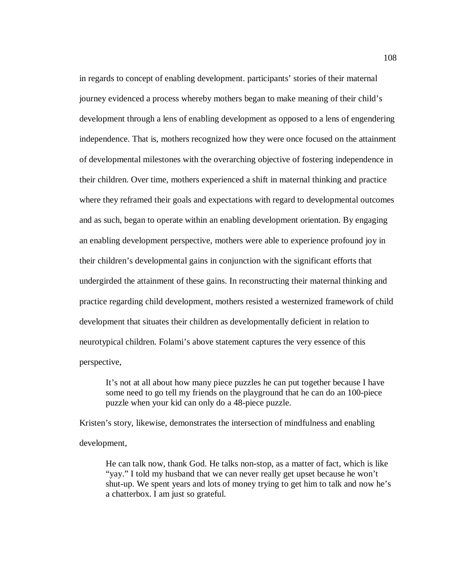in regards to concept of enabling development. participants' stories of their maternal journey evidenced a process whereby mothers began to make meaning of their child's development through a lens of enabling development as opposed to a lens of engendering independence. That is, mothers recognized how they were once focused on the attainment of developmental milestones with the overarching objective of fostering independence in their children. Over time, mothers experienced a shift in maternal thinking and practice where they reframed their goals and expectations with regard to developmental outcomes and as such, began to operate within an enabling development orientation. By engaging an enabling development perspective, mothers were able to experience profound joy in their children's developmental gains in conjunction with the significant efforts that undergirded the attainment of these gains. In reconstructing their maternal thinking and practice regarding child development, mothers resisted a westernized framework of child development that situates their children as developmentally deficient in relation to neurotypical children. Folami's above statement captures the very essence of this perspective,

It's not at all about how many piece puzzles he can put together because I have some need to go tell my friends on the playground that he can do an 100-piece puzzle when your kid can only do a 48-piece puzzle.

Kristen's story, likewise, demonstrates the intersection of mindfulness and enabling development,

He can talk now, thank God. He talks non-stop, as a matter of fact, which is like "yay." I told my husband that we can never really get upset because he won't shut-up. We spent years and lots of money trying to get him to talk and now he's a chatterbox. I am just so grateful.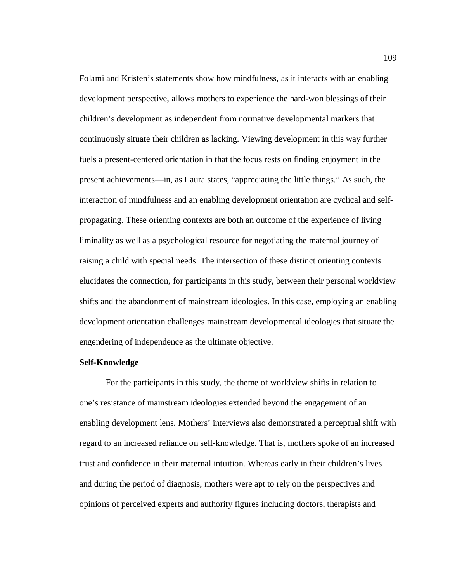Folami and Kristen's statements show how mindfulness, as it interacts with an enabling development perspective, allows mothers to experience the hard-won blessings of their children's development as independent from normative developmental markers that continuously situate their children as lacking. Viewing development in this way further fuels a present-centered orientation in that the focus rests on finding enjoyment in the present achievements—in, as Laura states, "appreciating the little things." As such, the interaction of mindfulness and an enabling development orientation are cyclical and selfpropagating. These orienting contexts are both an outcome of the experience of living liminality as well as a psychological resource for negotiating the maternal journey of raising a child with special needs. The intersection of these distinct orienting contexts elucidates the connection, for participants in this study, between their personal worldview shifts and the abandonment of mainstream ideologies. In this case, employing an enabling development orientation challenges mainstream developmental ideologies that situate the engendering of independence as the ultimate objective.

### **Self-Knowledge**

For the participants in this study, the theme of worldview shifts in relation to one's resistance of mainstream ideologies extended beyond the engagement of an enabling development lens. Mothers' interviews also demonstrated a perceptual shift with regard to an increased reliance on self-knowledge. That is, mothers spoke of an increased trust and confidence in their maternal intuition. Whereas early in their children's lives and during the period of diagnosis, mothers were apt to rely on the perspectives and opinions of perceived experts and authority figures including doctors, therapists and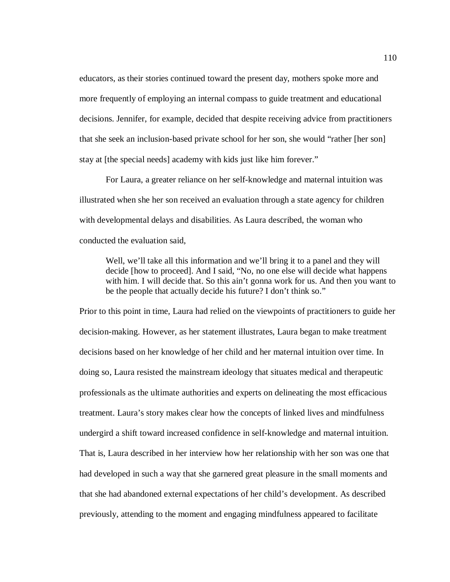educators, as their stories continued toward the present day, mothers spoke more and more frequently of employing an internal compass to guide treatment and educational decisions. Jennifer, for example, decided that despite receiving advice from practitioners that she seek an inclusion-based private school for her son, she would "rather [her son] stay at [the special needs] academy with kids just like him forever."

For Laura, a greater reliance on her self-knowledge and maternal intuition was illustrated when she her son received an evaluation through a state agency for children with developmental delays and disabilities. As Laura described, the woman who conducted the evaluation said,

Well, we'll take all this information and we'll bring it to a panel and they will decide [how to proceed]. And I said, "No, no one else will decide what happens with him. I will decide that. So this ain't gonna work for us. And then you want to be the people that actually decide his future? I don't think so."

Prior to this point in time, Laura had relied on the viewpoints of practitioners to guide her decision-making. However, as her statement illustrates, Laura began to make treatment decisions based on her knowledge of her child and her maternal intuition over time. In doing so, Laura resisted the mainstream ideology that situates medical and therapeutic professionals as the ultimate authorities and experts on delineating the most efficacious treatment. Laura's story makes clear how the concepts of linked lives and mindfulness undergird a shift toward increased confidence in self-knowledge and maternal intuition. That is, Laura described in her interview how her relationship with her son was one that had developed in such a way that she garnered great pleasure in the small moments and that she had abandoned external expectations of her child's development. As described previously, attending to the moment and engaging mindfulness appeared to facilitate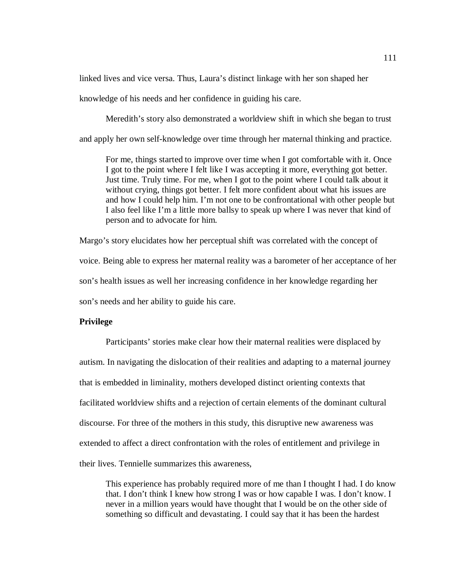linked lives and vice versa. Thus, Laura's distinct linkage with her son shaped her knowledge of his needs and her confidence in guiding his care.

 Meredith's story also demonstrated a worldview shift in which she began to trust and apply her own self-knowledge over time through her maternal thinking and practice.

For me, things started to improve over time when I got comfortable with it. Once I got to the point where I felt like I was accepting it more, everything got better. Just time. Truly time. For me, when I got to the point where I could talk about it without crying, things got better. I felt more confident about what his issues are and how I could help him. I'm not one to be confrontational with other people but I also feel like I'm a little more ballsy to speak up where I was never that kind of person and to advocate for him.

Margo's story elucidates how her perceptual shift was correlated with the concept of voice. Being able to express her maternal reality was a barometer of her acceptance of her son's health issues as well her increasing confidence in her knowledge regarding her son's needs and her ability to guide his care.

### **Privilege**

Participants' stories make clear how their maternal realities were displaced by autism. In navigating the dislocation of their realities and adapting to a maternal journey that is embedded in liminality, mothers developed distinct orienting contexts that facilitated worldview shifts and a rejection of certain elements of the dominant cultural discourse. For three of the mothers in this study, this disruptive new awareness was extended to affect a direct confrontation with the roles of entitlement and privilege in their lives. Tennielle summarizes this awareness,

This experience has probably required more of me than I thought I had. I do know that. I don't think I knew how strong I was or how capable I was. I don't know. I never in a million years would have thought that I would be on the other side of something so difficult and devastating. I could say that it has been the hardest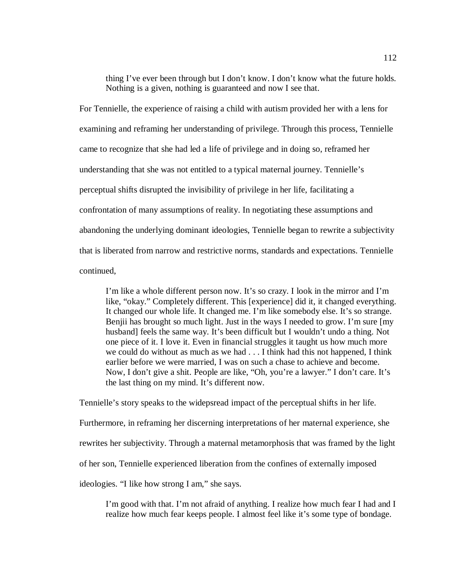thing I've ever been through but I don't know. I don't know what the future holds. Nothing is a given, nothing is guaranteed and now I see that.

For Tennielle, the experience of raising a child with autism provided her with a lens for examining and reframing her understanding of privilege. Through this process, Tennielle came to recognize that she had led a life of privilege and in doing so, reframed her understanding that she was not entitled to a typical maternal journey. Tennielle's perceptual shifts disrupted the invisibility of privilege in her life, facilitating a confrontation of many assumptions of reality. In negotiating these assumptions and abandoning the underlying dominant ideologies, Tennielle began to rewrite a subjectivity that is liberated from narrow and restrictive norms, standards and expectations. Tennielle continued,

I'm like a whole different person now. It's so crazy. I look in the mirror and I'm like, "okay." Completely different. This [experience] did it, it changed everything. It changed our whole life. It changed me. I'm like somebody else. It's so strange. Benjii has brought so much light. Just in the ways I needed to grow. I'm sure [my husband] feels the same way. It's been difficult but I wouldn't undo a thing. Not one piece of it. I love it. Even in financial struggles it taught us how much more we could do without as much as we had . . . I think had this not happened, I think earlier before we were married, I was on such a chase to achieve and become. Now, I don't give a shit. People are like, "Oh, you're a lawyer." I don't care. It's the last thing on my mind. It's different now.

Tennielle's story speaks to the widepsread impact of the perceptual shifts in her life. Furthermore, in reframing her discerning interpretations of her maternal experience, she rewrites her subjectivity. Through a maternal metamorphosis that was framed by the light of her son, Tennielle experienced liberation from the confines of externally imposed ideologies. "I like how strong I am," she says.

I'm good with that. I'm not afraid of anything. I realize how much fear I had and I realize how much fear keeps people. I almost feel like it's some type of bondage.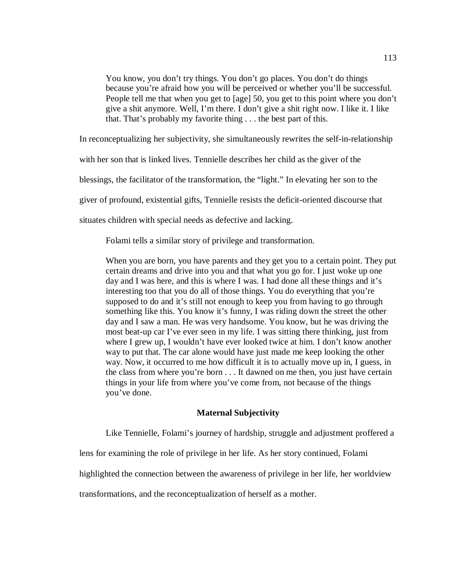You know, you don't try things. You don't go places. You don't do things because you're afraid how you will be perceived or whether you'll be successful. People tell me that when you get to [age] 50, you get to this point where you don't give a shit anymore. Well, I'm there. I don't give a shit right now. I like it. I like that. That's probably my favorite thing . . . the best part of this.

In reconceptualizing her subjectivity, she simultaneously rewrites the self-in-relationship

with her son that is linked lives. Tennielle describes her child as the giver of the

blessings, the facilitator of the transformation, the "light." In elevating her son to the

giver of profound, existential gifts, Tennielle resists the deficit-oriented discourse that

situates children with special needs as defective and lacking.

Folami tells a similar story of privilege and transformation.

When you are born, you have parents and they get you to a certain point. They put certain dreams and drive into you and that what you go for. I just woke up one day and I was here, and this is where I was. I had done all these things and it's interesting too that you do all of those things. You do everything that you're supposed to do and it's still not enough to keep you from having to go through something like this. You know it's funny, I was riding down the street the other day and I saw a man. He was very handsome. You know, but he was driving the most beat-up car I've ever seen in my life. I was sitting there thinking, just from where I grew up, I wouldn't have ever looked twice at him. I don't know another way to put that. The car alone would have just made me keep looking the other way. Now, it occurred to me how difficult it is to actually move up in, I guess, in the class from where you're born . . . It dawned on me then, you just have certain things in your life from where you've come from, not because of the things you've done.

## **Maternal Subjectivity**

Like Tennielle, Folami's journey of hardship, struggle and adjustment proffered a

lens for examining the role of privilege in her life. As her story continued, Folami

highlighted the connection between the awareness of privilege in her life, her worldview

transformations, and the reconceptualization of herself as a mother.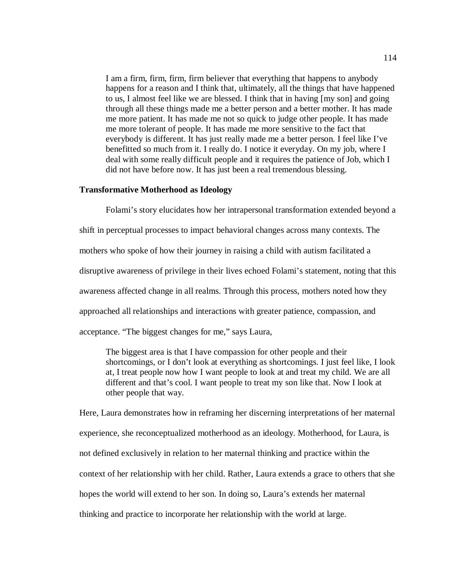I am a firm, firm, firm, firm believer that everything that happens to anybody happens for a reason and I think that, ultimately, all the things that have happened to us, I almost feel like we are blessed. I think that in having [my son] and going through all these things made me a better person and a better mother. It has made me more patient. It has made me not so quick to judge other people. It has made me more tolerant of people. It has made me more sensitive to the fact that everybody is different. It has just really made me a better person. I feel like I've benefitted so much from it. I really do. I notice it everyday. On my job, where I deal with some really difficult people and it requires the patience of Job, which I did not have before now. It has just been a real tremendous blessing.

## **Transformative Motherhood as Ideology**

Folami's story elucidates how her intrapersonal transformation extended beyond a shift in perceptual processes to impact behavioral changes across many contexts. The mothers who spoke of how their journey in raising a child with autism facilitated a disruptive awareness of privilege in their lives echoed Folami's statement, noting that this awareness affected change in all realms. Through this process, mothers noted how they approached all relationships and interactions with greater patience, compassion, and acceptance. "The biggest changes for me," says Laura,

The biggest area is that I have compassion for other people and their shortcomings, or I don't look at everything as shortcomings. I just feel like, I look at, I treat people now how I want people to look at and treat my child. We are all different and that's cool. I want people to treat my son like that. Now I look at other people that way.

Here, Laura demonstrates how in reframing her discerning interpretations of her maternal experience, she reconceptualized motherhood as an ideology. Motherhood, for Laura, is not defined exclusively in relation to her maternal thinking and practice within the context of her relationship with her child. Rather, Laura extends a grace to others that she hopes the world will extend to her son. In doing so, Laura's extends her maternal thinking and practice to incorporate her relationship with the world at large.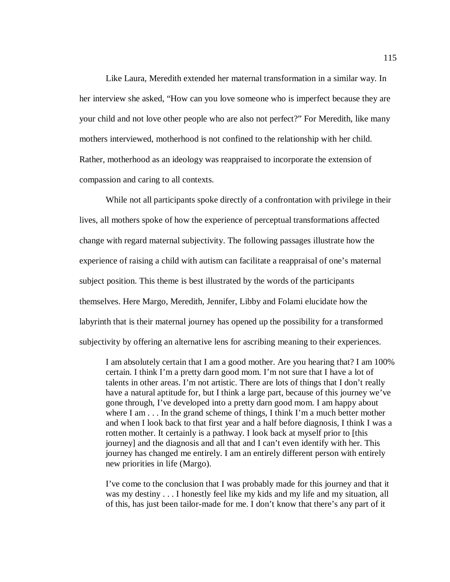Like Laura, Meredith extended her maternal transformation in a similar way. In her interview she asked, "How can you love someone who is imperfect because they are your child and not love other people who are also not perfect?" For Meredith, like many mothers interviewed, motherhood is not confined to the relationship with her child. Rather, motherhood as an ideology was reappraised to incorporate the extension of compassion and caring to all contexts.

 While not all participants spoke directly of a confrontation with privilege in their lives, all mothers spoke of how the experience of perceptual transformations affected change with regard maternal subjectivity. The following passages illustrate how the experience of raising a child with autism can facilitate a reappraisal of one's maternal subject position. This theme is best illustrated by the words of the participants themselves. Here Margo, Meredith, Jennifer, Libby and Folami elucidate how the labyrinth that is their maternal journey has opened up the possibility for a transformed subjectivity by offering an alternative lens for ascribing meaning to their experiences.

I am absolutely certain that I am a good mother. Are you hearing that? I am 100% certain. I think I'm a pretty darn good mom. I'm not sure that I have a lot of talents in other areas. I'm not artistic. There are lots of things that I don't really have a natural aptitude for, but I think a large part, because of this journey we've gone through, I've developed into a pretty darn good mom. I am happy about where I am . . . In the grand scheme of things, I think I'm a much better mother and when I look back to that first year and a half before diagnosis, I think I was a rotten mother. It certainly is a pathway. I look back at myself prior to [this journey] and the diagnosis and all that and I can't even identify with her. This journey has changed me entirely. I am an entirely different person with entirely new priorities in life (Margo).

I've come to the conclusion that I was probably made for this journey and that it was my destiny . . . I honestly feel like my kids and my life and my situation, all of this, has just been tailor-made for me. I don't know that there's any part of it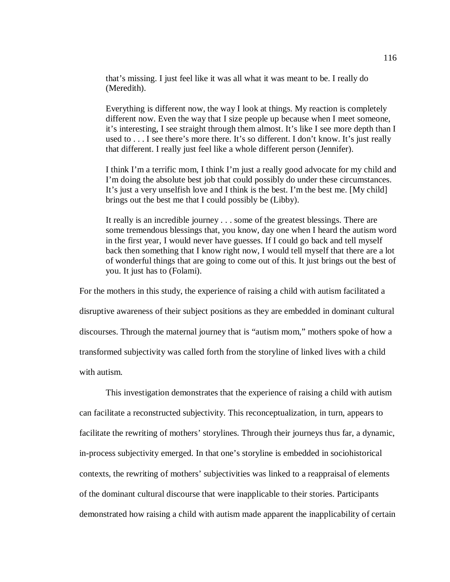that's missing. I just feel like it was all what it was meant to be. I really do (Meredith).

Everything is different now, the way I look at things. My reaction is completely different now. Even the way that I size people up because when I meet someone, it's interesting, I see straight through them almost. It's like I see more depth than I used to . . . I see there's more there. It's so different. I don't know. It's just really that different. I really just feel like a whole different person (Jennifer).

I think I'm a terrific mom, I think I'm just a really good advocate for my child and I'm doing the absolute best job that could possibly do under these circumstances. It's just a very unselfish love and I think is the best. I'm the best me. [My child] brings out the best me that I could possibly be (Libby).

It really is an incredible journey . . . some of the greatest blessings. There are some tremendous blessings that, you know, day one when I heard the autism word in the first year, I would never have guesses. If I could go back and tell myself back then something that I know right now, I would tell myself that there are a lot of wonderful things that are going to come out of this. It just brings out the best of you. It just has to (Folami).

For the mothers in this study, the experience of raising a child with autism facilitated a disruptive awareness of their subject positions as they are embedded in dominant cultural discourses. Through the maternal journey that is "autism mom," mothers spoke of how a transformed subjectivity was called forth from the storyline of linked lives with a child with autism.

This investigation demonstrates that the experience of raising a child with autism can facilitate a reconstructed subjectivity. This reconceptualization, in turn, appears to facilitate the rewriting of mothers' storylines. Through their journeys thus far, a dynamic, in-process subjectivity emerged. In that one's storyline is embedded in sociohistorical contexts, the rewriting of mothers' subjectivities was linked to a reappraisal of elements of the dominant cultural discourse that were inapplicable to their stories. Participants demonstrated how raising a child with autism made apparent the inapplicability of certain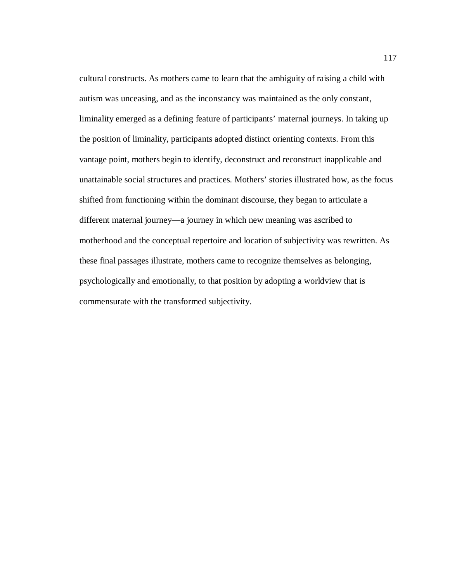cultural constructs. As mothers came to learn that the ambiguity of raising a child with autism was unceasing, and as the inconstancy was maintained as the only constant, liminality emerged as a defining feature of participants' maternal journeys. In taking up the position of liminality, participants adopted distinct orienting contexts. From this vantage point, mothers begin to identify, deconstruct and reconstruct inapplicable and unattainable social structures and practices. Mothers' stories illustrated how, as the focus shifted from functioning within the dominant discourse, they began to articulate a different maternal journey—a journey in which new meaning was ascribed to motherhood and the conceptual repertoire and location of subjectivity was rewritten. As these final passages illustrate, mothers came to recognize themselves as belonging, psychologically and emotionally, to that position by adopting a worldview that is commensurate with the transformed subjectivity.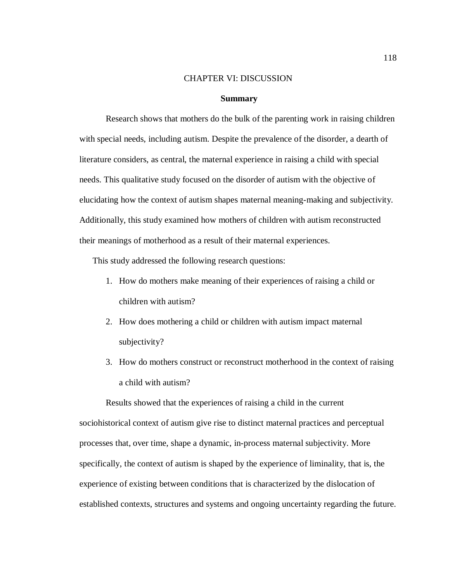### CHAPTER VI: DISCUSSION

#### **Summary**

Research shows that mothers do the bulk of the parenting work in raising children with special needs, including autism. Despite the prevalence of the disorder, a dearth of literature considers, as central, the maternal experience in raising a child with special needs. This qualitative study focused on the disorder of autism with the objective of elucidating how the context of autism shapes maternal meaning-making and subjectivity. Additionally, this study examined how mothers of children with autism reconstructed their meanings of motherhood as a result of their maternal experiences.

This study addressed the following research questions:

- 1. How do mothers make meaning of their experiences of raising a child or children with autism?
- 2. How does mothering a child or children with autism impact maternal subjectivity?
- 3. How do mothers construct or reconstruct motherhood in the context of raising a child with autism?

 Results showed that the experiences of raising a child in the current sociohistorical context of autism give rise to distinct maternal practices and perceptual processes that, over time, shape a dynamic, in-process maternal subjectivity. More specifically, the context of autism is shaped by the experience of liminality, that is, the experience of existing between conditions that is characterized by the dislocation of established contexts, structures and systems and ongoing uncertainty regarding the future.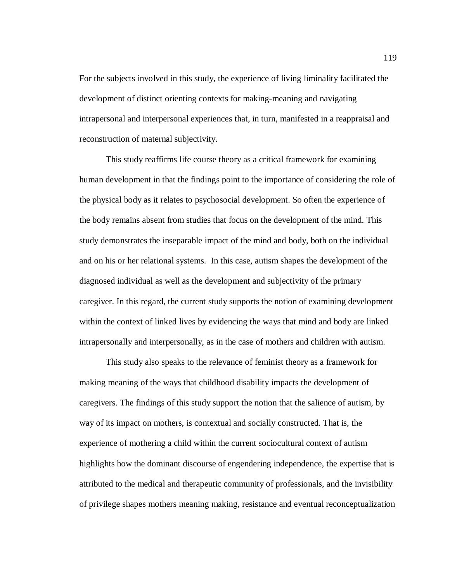For the subjects involved in this study, the experience of living liminality facilitated the development of distinct orienting contexts for making-meaning and navigating intrapersonal and interpersonal experiences that, in turn, manifested in a reappraisal and reconstruction of maternal subjectivity.

This study reaffirms life course theory as a critical framework for examining human development in that the findings point to the importance of considering the role of the physical body as it relates to psychosocial development. So often the experience of the body remains absent from studies that focus on the development of the mind. This study demonstrates the inseparable impact of the mind and body, both on the individual and on his or her relational systems. In this case, autism shapes the development of the diagnosed individual as well as the development and subjectivity of the primary caregiver. In this regard, the current study supports the notion of examining development within the context of linked lives by evidencing the ways that mind and body are linked intrapersonally and interpersonally, as in the case of mothers and children with autism.

This study also speaks to the relevance of feminist theory as a framework for making meaning of the ways that childhood disability impacts the development of caregivers. The findings of this study support the notion that the salience of autism, by way of its impact on mothers, is contextual and socially constructed. That is, the experience of mothering a child within the current sociocultural context of autism highlights how the dominant discourse of engendering independence, the expertise that is attributed to the medical and therapeutic community of professionals, and the invisibility of privilege shapes mothers meaning making, resistance and eventual reconceptualization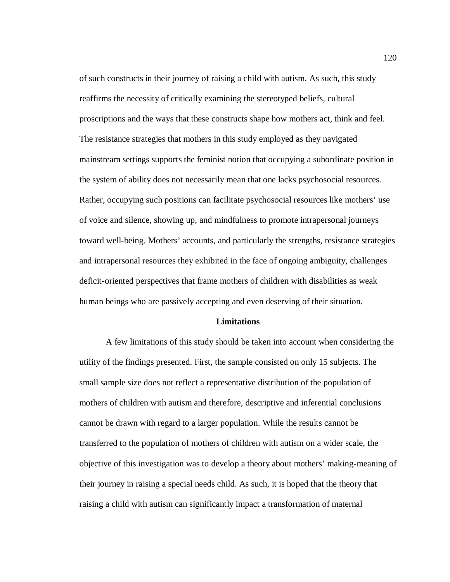of such constructs in their journey of raising a child with autism. As such, this study reaffirms the necessity of critically examining the stereotyped beliefs, cultural proscriptions and the ways that these constructs shape how mothers act, think and feel. The resistance strategies that mothers in this study employed as they navigated mainstream settings supports the feminist notion that occupying a subordinate position in the system of ability does not necessarily mean that one lacks psychosocial resources. Rather, occupying such positions can facilitate psychosocial resources like mothers' use of voice and silence, showing up, and mindfulness to promote intrapersonal journeys toward well-being. Mothers' accounts, and particularly the strengths, resistance strategies and intrapersonal resources they exhibited in the face of ongoing ambiguity, challenges deficit-oriented perspectives that frame mothers of children with disabilities as weak human beings who are passively accepting and even deserving of their situation.

## **Limitations**

A few limitations of this study should be taken into account when considering the utility of the findings presented. First, the sample consisted on only 15 subjects. The small sample size does not reflect a representative distribution of the population of mothers of children with autism and therefore, descriptive and inferential conclusions cannot be drawn with regard to a larger population. While the results cannot be transferred to the population of mothers of children with autism on a wider scale, the objective of this investigation was to develop a theory about mothers' making-meaning of their journey in raising a special needs child. As such, it is hoped that the theory that raising a child with autism can significantly impact a transformation of maternal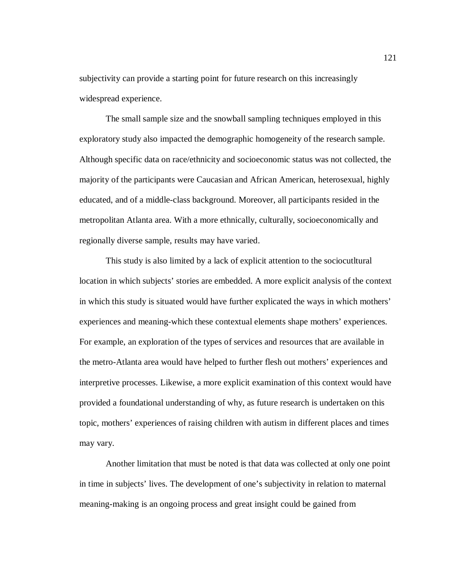subjectivity can provide a starting point for future research on this increasingly widespread experience.

The small sample size and the snowball sampling techniques employed in this exploratory study also impacted the demographic homogeneity of the research sample. Although specific data on race/ethnicity and socioeconomic status was not collected, the majority of the participants were Caucasian and African American, heterosexual, highly educated, and of a middle-class background. Moreover, all participants resided in the metropolitan Atlanta area. With a more ethnically, culturally, socioeconomically and regionally diverse sample, results may have varied.

This study is also limited by a lack of explicit attention to the sociocutltural location in which subjects' stories are embedded. A more explicit analysis of the context in which this study is situated would have further explicated the ways in which mothers' experiences and meaning-which these contextual elements shape mothers' experiences. For example, an exploration of the types of services and resources that are available in the metro-Atlanta area would have helped to further flesh out mothers' experiences and interpretive processes. Likewise, a more explicit examination of this context would have provided a foundational understanding of why, as future research is undertaken on this topic, mothers' experiences of raising children with autism in different places and times may vary.

Another limitation that must be noted is that data was collected at only one point in time in subjects' lives. The development of one's subjectivity in relation to maternal meaning-making is an ongoing process and great insight could be gained from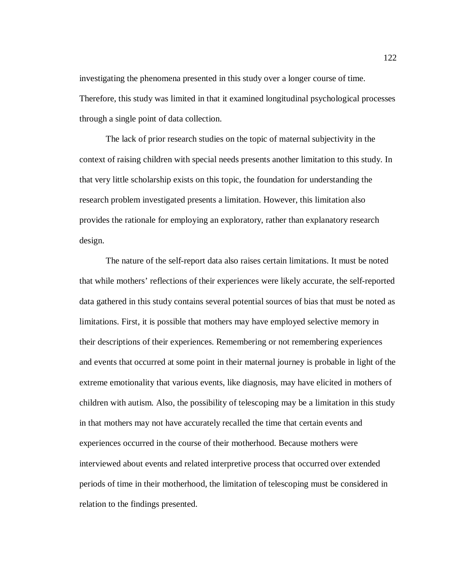investigating the phenomena presented in this study over a longer course of time. Therefore, this study was limited in that it examined longitudinal psychological processes through a single point of data collection.

The lack of prior research studies on the topic of maternal subjectivity in the context of raising children with special needs presents another limitation to this study. In that very little scholarship exists on this topic, the foundation for understanding the research problem investigated presents a limitation. However, this limitation also provides the rationale for employing an exploratory, rather than explanatory research design.

The nature of the self-report data also raises certain limitations. It must be noted that while mothers' reflections of their experiences were likely accurate, the self-reported data gathered in this study contains several potential sources of bias that must be noted as limitations. First, it is possible that mothers may have employed selective memory in their descriptions of their experiences. Remembering or not remembering experiences and events that occurred at some point in their maternal journey is probable in light of the extreme emotionality that various events, like diagnosis, may have elicited in mothers of children with autism. Also, the possibility of telescoping may be a limitation in this study in that mothers may not have accurately recalled the time that certain events and experiences occurred in the course of their motherhood. Because mothers were interviewed about events and related interpretive process that occurred over extended periods of time in their motherhood, the limitation of telescoping must be considered in relation to the findings presented.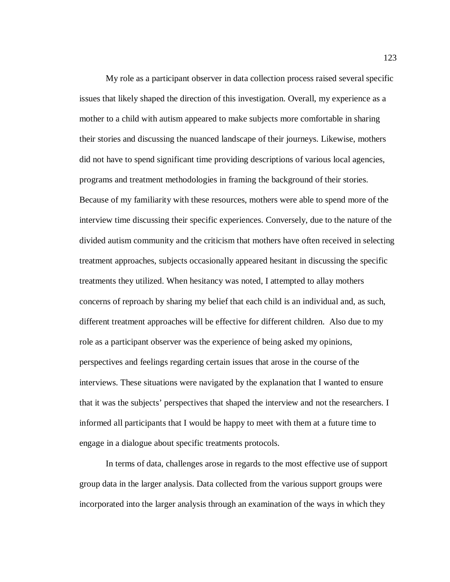My role as a participant observer in data collection process raised several specific issues that likely shaped the direction of this investigation. Overall, my experience as a mother to a child with autism appeared to make subjects more comfortable in sharing their stories and discussing the nuanced landscape of their journeys. Likewise, mothers did not have to spend significant time providing descriptions of various local agencies, programs and treatment methodologies in framing the background of their stories. Because of my familiarity with these resources, mothers were able to spend more of the interview time discussing their specific experiences. Conversely, due to the nature of the divided autism community and the criticism that mothers have often received in selecting treatment approaches, subjects occasionally appeared hesitant in discussing the specific treatments they utilized. When hesitancy was noted, I attempted to allay mothers concerns of reproach by sharing my belief that each child is an individual and, as such, different treatment approaches will be effective for different children. Also due to my role as a participant observer was the experience of being asked my opinions, perspectives and feelings regarding certain issues that arose in the course of the interviews. These situations were navigated by the explanation that I wanted to ensure that it was the subjects' perspectives that shaped the interview and not the researchers. I informed all participants that I would be happy to meet with them at a future time to engage in a dialogue about specific treatments protocols.

 In terms of data, challenges arose in regards to the most effective use of support group data in the larger analysis. Data collected from the various support groups were incorporated into the larger analysis through an examination of the ways in which they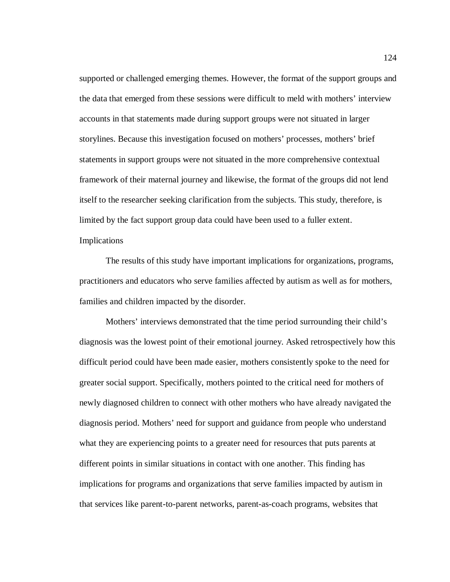supported or challenged emerging themes. However, the format of the support groups and the data that emerged from these sessions were difficult to meld with mothers' interview accounts in that statements made during support groups were not situated in larger storylines. Because this investigation focused on mothers' processes, mothers' brief statements in support groups were not situated in the more comprehensive contextual framework of their maternal journey and likewise, the format of the groups did not lend itself to the researcher seeking clarification from the subjects. This study, therefore, is limited by the fact support group data could have been used to a fuller extent. Implications

The results of this study have important implications for organizations, programs, practitioners and educators who serve families affected by autism as well as for mothers, families and children impacted by the disorder.

 Mothers' interviews demonstrated that the time period surrounding their child's diagnosis was the lowest point of their emotional journey. Asked retrospectively how this difficult period could have been made easier, mothers consistently spoke to the need for greater social support. Specifically, mothers pointed to the critical need for mothers of newly diagnosed children to connect with other mothers who have already navigated the diagnosis period. Mothers' need for support and guidance from people who understand what they are experiencing points to a greater need for resources that puts parents at different points in similar situations in contact with one another. This finding has implications for programs and organizations that serve families impacted by autism in that services like parent-to-parent networks, parent-as-coach programs, websites that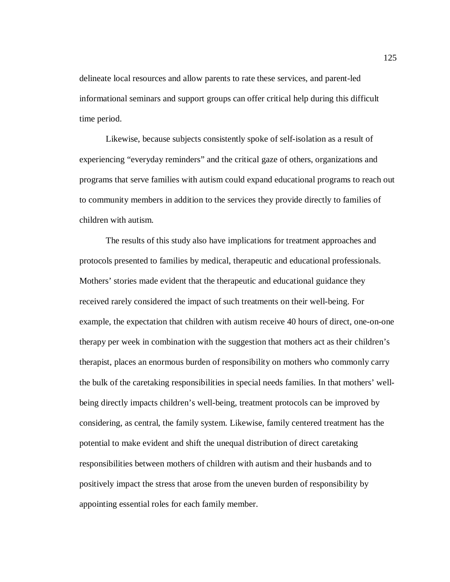delineate local resources and allow parents to rate these services, and parent-led informational seminars and support groups can offer critical help during this difficult time period.

 Likewise, because subjects consistently spoke of self-isolation as a result of experiencing "everyday reminders" and the critical gaze of others, organizations and programs that serve families with autism could expand educational programs to reach out to community members in addition to the services they provide directly to families of children with autism.

 The results of this study also have implications for treatment approaches and protocols presented to families by medical, therapeutic and educational professionals. Mothers' stories made evident that the therapeutic and educational guidance they received rarely considered the impact of such treatments on their well-being. For example, the expectation that children with autism receive 40 hours of direct, one-on-one therapy per week in combination with the suggestion that mothers act as their children's therapist, places an enormous burden of responsibility on mothers who commonly carry the bulk of the caretaking responsibilities in special needs families. In that mothers' wellbeing directly impacts children's well-being, treatment protocols can be improved by considering, as central, the family system. Likewise, family centered treatment has the potential to make evident and shift the unequal distribution of direct caretaking responsibilities between mothers of children with autism and their husbands and to positively impact the stress that arose from the uneven burden of responsibility by appointing essential roles for each family member.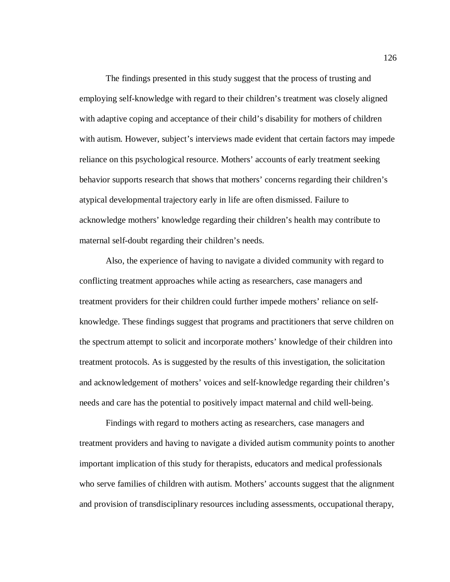The findings presented in this study suggest that the process of trusting and employing self-knowledge with regard to their children's treatment was closely aligned with adaptive coping and acceptance of their child's disability for mothers of children with autism. However, subject's interviews made evident that certain factors may impede reliance on this psychological resource. Mothers' accounts of early treatment seeking behavior supports research that shows that mothers' concerns regarding their children's atypical developmental trajectory early in life are often dismissed. Failure to acknowledge mothers' knowledge regarding their children's health may contribute to maternal self-doubt regarding their children's needs.

Also, the experience of having to navigate a divided community with regard to conflicting treatment approaches while acting as researchers, case managers and treatment providers for their children could further impede mothers' reliance on selfknowledge. These findings suggest that programs and practitioners that serve children on the spectrum attempt to solicit and incorporate mothers' knowledge of their children into treatment protocols. As is suggested by the results of this investigation, the solicitation and acknowledgement of mothers' voices and self-knowledge regarding their children's needs and care has the potential to positively impact maternal and child well-being.

 Findings with regard to mothers acting as researchers, case managers and treatment providers and having to navigate a divided autism community points to another important implication of this study for therapists, educators and medical professionals who serve families of children with autism. Mothers' accounts suggest that the alignment and provision of transdisciplinary resources including assessments, occupational therapy,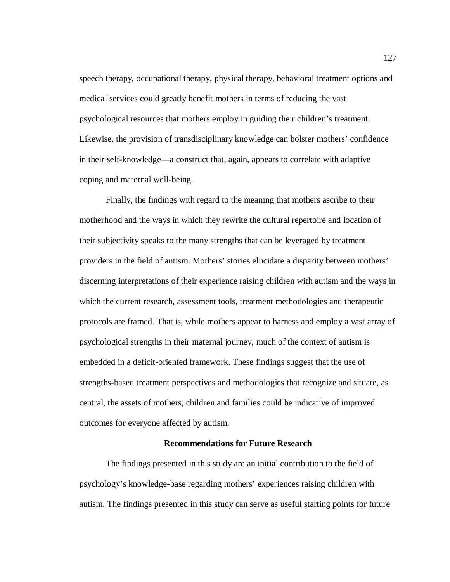speech therapy, occupational therapy, physical therapy, behavioral treatment options and medical services could greatly benefit mothers in terms of reducing the vast psychological resources that mothers employ in guiding their children's treatment. Likewise, the provision of transdisciplinary knowledge can bolster mothers' confidence in their self-knowledge—a construct that, again, appears to correlate with adaptive coping and maternal well-being.

 Finally, the findings with regard to the meaning that mothers ascribe to their motherhood and the ways in which they rewrite the cultural repertoire and location of their subjectivity speaks to the many strengths that can be leveraged by treatment providers in the field of autism. Mothers' stories elucidate a disparity between mothers' discerning interpretations of their experience raising children with autism and the ways in which the current research, assessment tools, treatment methodologies and therapeutic protocols are framed. That is, while mothers appear to harness and employ a vast array of psychological strengths in their maternal journey, much of the context of autism is embedded in a deficit-oriented framework. These findings suggest that the use of strengths-based treatment perspectives and methodologies that recognize and situate, as central, the assets of mothers, children and families could be indicative of improved outcomes for everyone affected by autism.

## **Recommendations for Future Research**

The findings presented in this study are an initial contribution to the field of psychology's knowledge-base regarding mothers' experiences raising children with autism. The findings presented in this study can serve as useful starting points for future

127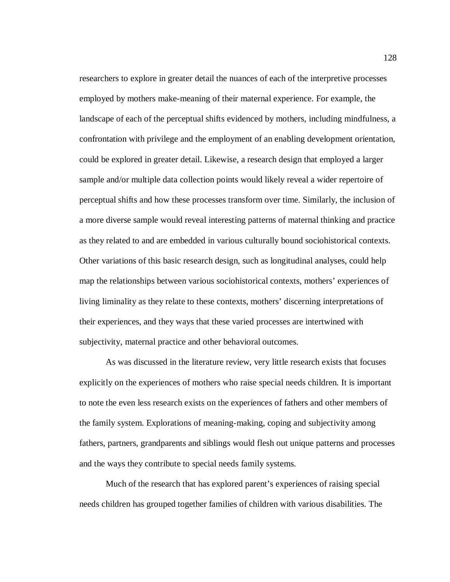researchers to explore in greater detail the nuances of each of the interpretive processes employed by mothers make-meaning of their maternal experience. For example, the landscape of each of the perceptual shifts evidenced by mothers, including mindfulness, a confrontation with privilege and the employment of an enabling development orientation, could be explored in greater detail. Likewise, a research design that employed a larger sample and/or multiple data collection points would likely reveal a wider repertoire of perceptual shifts and how these processes transform over time. Similarly, the inclusion of a more diverse sample would reveal interesting patterns of maternal thinking and practice as they related to and are embedded in various culturally bound sociohistorical contexts. Other variations of this basic research design, such as longitudinal analyses, could help map the relationships between various sociohistorical contexts, mothers' experiences of living liminality as they relate to these contexts, mothers' discerning interpretations of their experiences, and they ways that these varied processes are intertwined with subjectivity, maternal practice and other behavioral outcomes.

As was discussed in the literature review, very little research exists that focuses explicitly on the experiences of mothers who raise special needs children. It is important to note the even less research exists on the experiences of fathers and other members of the family system. Explorations of meaning-making, coping and subjectivity among fathers, partners, grandparents and siblings would flesh out unique patterns and processes and the ways they contribute to special needs family systems.

 Much of the research that has explored parent's experiences of raising special needs children has grouped together families of children with various disabilities. The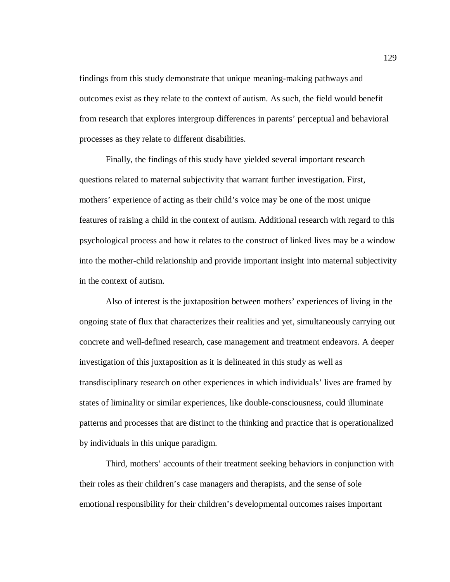findings from this study demonstrate that unique meaning-making pathways and outcomes exist as they relate to the context of autism. As such, the field would benefit from research that explores intergroup differences in parents' perceptual and behavioral processes as they relate to different disabilities.

 Finally, the findings of this study have yielded several important research questions related to maternal subjectivity that warrant further investigation. First, mothers' experience of acting as their child's voice may be one of the most unique features of raising a child in the context of autism. Additional research with regard to this psychological process and how it relates to the construct of linked lives may be a window into the mother-child relationship and provide important insight into maternal subjectivity in the context of autism.

 Also of interest is the juxtaposition between mothers' experiences of living in the ongoing state of flux that characterizes their realities and yet, simultaneously carrying out concrete and well-defined research, case management and treatment endeavors. A deeper investigation of this juxtaposition as it is delineated in this study as well as transdisciplinary research on other experiences in which individuals' lives are framed by states of liminality or similar experiences, like double-consciousness, could illuminate patterns and processes that are distinct to the thinking and practice that is operationalized by individuals in this unique paradigm.

Third, mothers' accounts of their treatment seeking behaviors in conjunction with their roles as their children's case managers and therapists, and the sense of sole emotional responsibility for their children's developmental outcomes raises important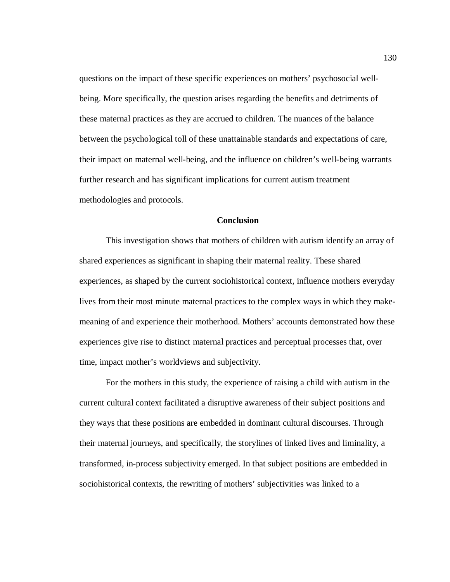questions on the impact of these specific experiences on mothers' psychosocial wellbeing. More specifically, the question arises regarding the benefits and detriments of these maternal practices as they are accrued to children. The nuances of the balance between the psychological toll of these unattainable standards and expectations of care, their impact on maternal well-being, and the influence on children's well-being warrants further research and has significant implications for current autism treatment methodologies and protocols.

# **Conclusion**

This investigation shows that mothers of children with autism identify an array of shared experiences as significant in shaping their maternal reality. These shared experiences, as shaped by the current sociohistorical context, influence mothers everyday lives from their most minute maternal practices to the complex ways in which they makemeaning of and experience their motherhood. Mothers' accounts demonstrated how these experiences give rise to distinct maternal practices and perceptual processes that, over time, impact mother's worldviews and subjectivity.

For the mothers in this study, the experience of raising a child with autism in the current cultural context facilitated a disruptive awareness of their subject positions and they ways that these positions are embedded in dominant cultural discourses. Through their maternal journeys, and specifically, the storylines of linked lives and liminality, a transformed, in-process subjectivity emerged. In that subject positions are embedded in sociohistorical contexts, the rewriting of mothers' subjectivities was linked to a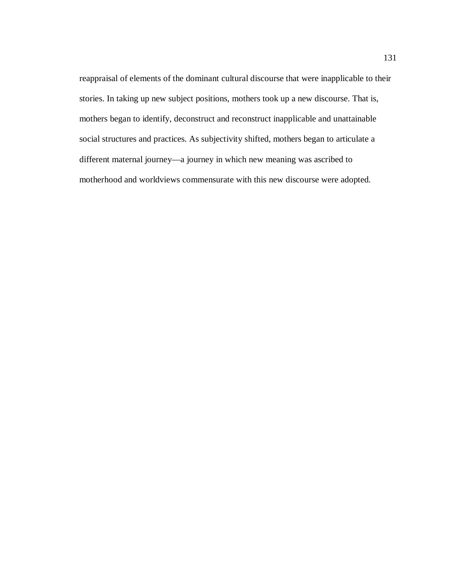reappraisal of elements of the dominant cultural discourse that were inapplicable to their stories. In taking up new subject positions, mothers took up a new discourse. That is, mothers began to identify, deconstruct and reconstruct inapplicable and unattainable social structures and practices. As subjectivity shifted, mothers began to articulate a different maternal journey—a journey in which new meaning was ascribed to motherhood and worldviews commensurate with this new discourse were adopted.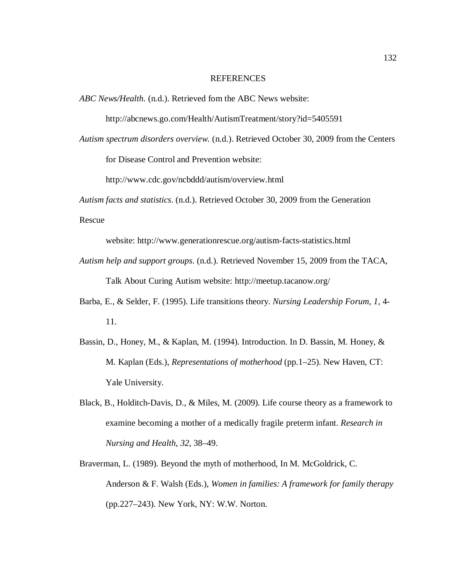#### REFERENCES

*ABC News/Health.* (n.d.). Retrieved fom the ABC News website:

http://abcnews.go.com/Health/AutismTreatment/story?id=5405591

*Autism spectrum disorders overview.* (n.d.). Retrieved October 30, 2009 from the Centers

for Disease Control and Prevention website:

http://www.cdc.gov/ncbddd/autism/overview.html

*Autism facts and statistics*. (n.d.). Retrieved October 30, 2009 from the Generation

Rescue

website: http://www.generationrescue.org/autism-facts-statistics.html

- *Autism help and support groups*. (n.d.). Retrieved November 15, 2009 from the TACA, Talk About Curing Autism website: http://meetup.tacanow.org/
- Barba, E., & Selder, F. (1995). Life transitions theory. *Nursing Leadership Forum, 1,* 4- 11.
- Bassin, D., Honey, M., & Kaplan, M. (1994). Introduction. In D. Bassin, M. Honey, & M. Kaplan (Eds.), *Representations of motherhood* (pp.1–25). New Haven, CT: Yale University.
- Black, B., Holditch-Davis, D., & Miles, M. (2009). Life course theory as a framework to examine becoming a mother of a medically fragile preterm infant. *Research in Nursing and Health, 32,* 38–49.
- Braverman, L. (1989). Beyond the myth of motherhood, In M. McGoldrick, C. Anderson & F. Walsh (Eds.), *Women in families: A framework for family therapy* (pp.227–243). New York, NY: W.W. Norton.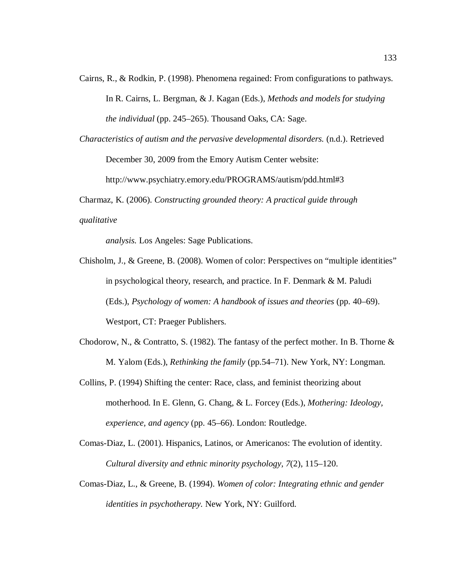- Cairns, R., & Rodkin, P. (1998). Phenomena regained: From configurations to pathways. In R. Cairns, L. Bergman, & J. Kagan (Eds.), *Methods and models for studying the individual* (pp. 245–265). Thousand Oaks, CA: Sage.
- *Characteristics of autism and the pervasive developmental disorders.* (n.d.). Retrieved December 30, 2009 from the Emory Autism Center website: http://www.psychiatry.emory.edu/PROGRAMS/autism/pdd.html#3

Charmaz, K. (2006). *Constructing grounded theory: A practical guide through* 

*qualitative* 

*analysis.* Los Angeles: Sage Publications.

- Chisholm, J., & Greene, B. (2008). Women of color: Perspectives on "multiple identities" in psychological theory, research, and practice. In F. Denmark & M. Paludi (Eds.), *Psychology of women: A handbook of issues and theories* (pp. 40–69). Westport, CT: Praeger Publishers.
- Chodorow, N., & Contratto, S. (1982). The fantasy of the perfect mother. In B. Thorne  $\&$ M. Yalom (Eds.), *Rethinking the family* (pp.54–71). New York, NY: Longman.
- Collins, P. (1994) Shifting the center: Race, class, and feminist theorizing about motherhood. In E. Glenn, G. Chang, & L. Forcey (Eds.), *Mothering: Ideology, experience, and agency* (pp. 45–66). London: Routledge.
- Comas-Diaz, L. (2001). Hispanics, Latinos, or Americanos: The evolution of identity. *Cultural diversity and ethnic minority psychology, 7*(2), 115–120.
- Comas-Diaz, L., & Greene, B. (1994). *Women of color: Integrating ethnic and gender identities in psychotherapy.* New York, NY: Guilford.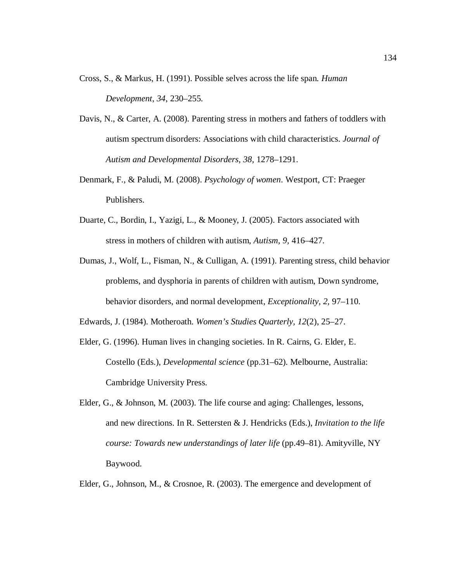- Cross, S., & Markus, H. (1991). Possible selves across the life span*. Human Development*, *34*, 230–255.
- Davis, N., & Carter, A. (2008). Parenting stress in mothers and fathers of toddlers with autism spectrum disorders: Associations with child characteristics. *Journal of Autism and Developmental Disorders, 38,* 1278–1291.
- Denmark, F., & Paludi, M. (2008). *Psychology of women*. Westport, CT: Praeger Publishers.
- Duarte, C., Bordin, I., Yazigi, L., & Mooney, J. (2005). Factors associated with stress in mothers of children with autism, *Autism, 9,* 416–427.
- Dumas, J., Wolf, L., Fisman, N., & Culligan, A. (1991). Parenting stress, child behavior problems, and dysphoria in parents of children with autism, Down syndrome, behavior disorders, and normal development, *Exceptionality, 2,* 97–110.
- Edwards, J. (1984). Motheroath. *Women's Studies Quarterly, 12*(2), 25–27.
- Elder, G. (1996). Human lives in changing societies. In R. Cairns, G. Elder, E. Costello (Eds.), *Developmental science* (pp.31–62). Melbourne, Australia: Cambridge University Press.
- Elder, G., & Johnson, M. (2003). The life course and aging: Challenges, lessons, and new directions. In R. Settersten & J. Hendricks (Eds.), *Invitation to the life course: Towards new understandings of later life* (pp.49–81). Amityville, NY Baywood.
- Elder, G., Johnson, M., & Crosnoe, R. (2003). The emergence and development of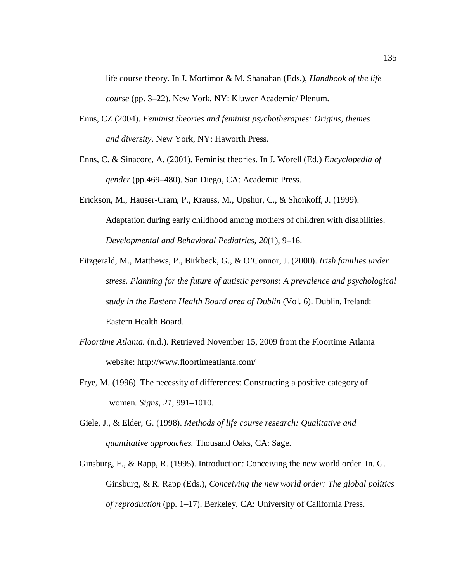life course theory. In J. Mortimor & M. Shanahan (Eds.), *Handbook of the life course* (pp. 3–22). New York, NY: Kluwer Academic/ Plenum.

- Enns, CZ (2004). *Feminist theories and feminist psychotherapies: Origins, themes and diversity*. New York, NY: Haworth Press.
- Enns, C. & Sinacore, A. (2001). Feminist theories*.* In J. Worell (Ed.) *Encyclopedia of gender* (pp.469–480). San Diego, CA: Academic Press.
- Erickson, M., Hauser-Cram, P., Krauss, M., Upshur, C., & Shonkoff, J. (1999). Adaptation during early childhood among mothers of children with disabilities. *Developmental and Behavioral Pediatrics, 20*(1), 9–16.
- Fitzgerald, M., Matthews, P., Birkbeck, G., & O'Connor, J. (2000). *Irish families under stress. Planning for the future of autistic persons: A prevalence and psychological study in the Eastern Health Board area of Dublin* (Vol. 6). Dublin, Ireland: Eastern Health Board.
- *Floortime Atlanta.* (n.d.). Retrieved November 15, 2009 from the Floortime Atlanta website: http://www.floortimeatlanta.com/
- Frye, M. (1996). The necessity of differences: Constructing a positive category of women. *Signs, 21*, 991–1010.
- Giele, J., & Elder, G. (1998). *Methods of life course research: Qualitative and quantitative approaches.* Thousand Oaks, CA: Sage.
- Ginsburg, F., & Rapp, R. (1995). Introduction: Conceiving the new world order. In. G. Ginsburg, & R. Rapp (Eds.), *Conceiving the new world order: The global politics of reproduction* (pp. 1–17). Berkeley, CA: University of California Press.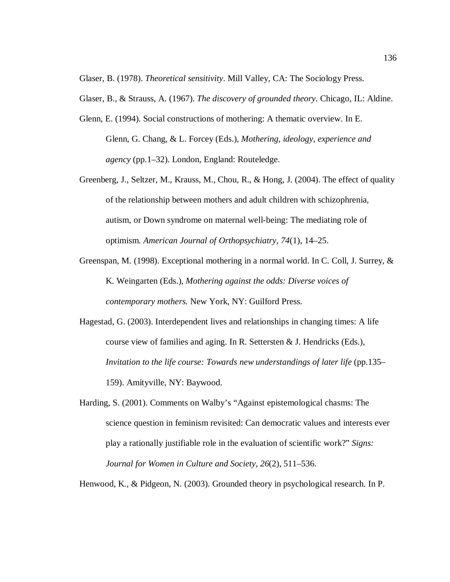Glaser, B. (1978). *Theoretical sensitivity*. Mill Valley, CA: The Sociology Press.

Glaser, B., & Strauss, A. (1967). *The discovery of grounded theory*. Chicago, IL: Aldine.

- Glenn, E. (1994). Social constructions of mothering: A thematic overview. In E. Glenn, G. Chang, & L. Forcey (Eds.), *Mothering, ideology, experience and agency* (pp.1–32). London, England: Routeledge.
- Greenberg, J., Seltzer, M., Krauss, M., Chou, R., & Hong, J. (2004). The effect of quality of the relationship between mothers and adult children with schizophrenia, autism, or Down syndrome on maternal well-being: The mediating role of optimism. *American Journal of Orthopsychiatry, 74*(1), 14–25.
- Greenspan, M. (1998). Exceptional mothering in a normal world. In C. Coll, J. Surrey, & K. Weingarten (Eds.), *Mothering against the odds: Diverse voices of contemporary mothers.* New York, NY: Guilford Press.
- Hagestad, G. (2003). Interdependent lives and relationships in changing times: A life course view of families and aging. In R. Settersten & J. Hendricks (Eds.), *Invitation to the life course: Towards new understandings of later life (pp.135–* 159). Amityville, NY: Baywood.
- Harding, S. (2001). Comments on Walby's "Against epistemological chasms: The science question in feminism revisited: Can democratic values and interests ever play a rationally justifiable role in the evaluation of scientific work?" *Signs: Journal for Women in Culture and Society, 26*(2), 511–536.

Henwood, K., & Pidgeon, N. (2003). Grounded theory in psychological research. In P.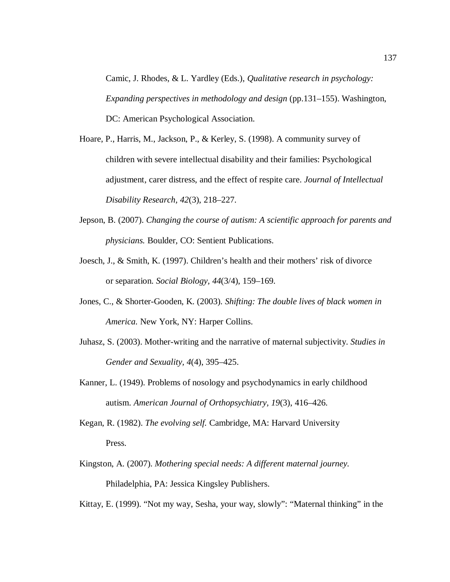Camic, J. Rhodes, & L. Yardley (Eds.), *Qualitative research in psychology: Expanding perspectives in methodology and design* (pp.131–155). Washington, DC: American Psychological Association.

- Hoare, P., Harris, M., Jackson, P., & Kerley, S. (1998). A community survey of children with severe intellectual disability and their families: Psychological adjustment, carer distress, and the effect of respite care. *Journal of Intellectual Disability Research, 42*(3), 218–227.
- Jepson, B. (2007). *Changing the course of autism: A scientific approach for parents and physicians.* Boulder, CO: Sentient Publications.
- Joesch, J., & Smith, K. (1997). Children's health and their mothers' risk of divorce or separation. *Social Biology, 44*(3/4), 159–169.
- Jones, C., & Shorter-Gooden, K. (2003). *Shifting: The double lives of black women in America.* New York, NY: Harper Collins.
- Juhasz, S. (2003). Mother-writing and the narrative of maternal subjectivity. *Studies in Gender and Sexuality, 4*(4), 395–425.
- Kanner, L. (1949). Problems of nosology and psychodynamics in early childhood autism. *American Journal of Orthopsychiatry, 19*(3), 416–426.
- Kegan, R. (1982). *The evolving self.* Cambridge, MA: Harvard University Press.
- Kingston, A. (2007). *Mothering special needs: A different maternal journey.*  Philadelphia, PA: Jessica Kingsley Publishers.

Kittay, E. (1999). "Not my way, Sesha, your way, slowly": "Maternal thinking" in the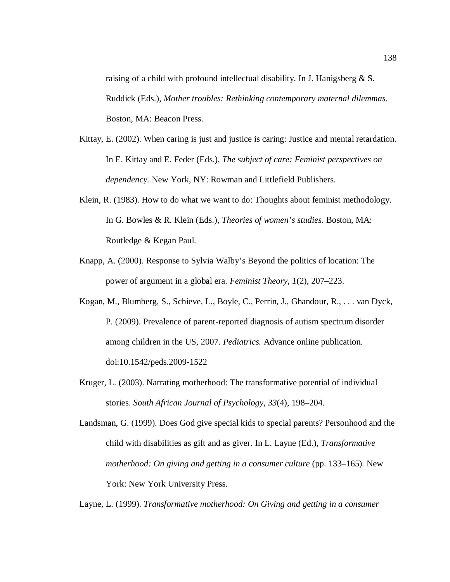raising of a child with profound intellectual disability. In J. Hanigsberg & S. Ruddick (Eds.), *Mother troubles: Rethinking contemporary maternal dilemmas*. Boston, MA: Beacon Press.

- Kittay, E. (2002). When caring is just and justice is caring: Justice and mental retardation. In E. Kittay and E. Feder (Eds.), *The subject of care: Feminist perspectives on dependency.* New York, NY: Rowman and Littlefield Publishers.
- Klein, R. (1983). How to do what we want to do: Thoughts about feminist methodology. In G. Bowles & R. Klein (Eds.), *Theories of women's studies*. Boston, MA: Routledge & Kegan Paul.
- Knapp, A. (2000). Response to Sylvia Walby's Beyond the politics of location: The power of argument in a global era. *Feminist Theory, 1*(2), 207–223.
- Kogan, M., Blumberg, S., Schieve, L., Boyle, C., Perrin, J., Ghandour, R., . . . van Dyck, P. (2009). Prevalence of parent-reported diagnosis of autism spectrum disorder among children in the US, 2007. *Pediatrics.* Advance online publication. doi:10.1542/peds.2009-1522
- Kruger, L. (2003). Narrating motherhood: The transformative potential of individual stories. *South African Journal of Psychology, 33*(4), 198–204.

Landsman, G. (1999). Does God give special kids to special parents? Personhood and the child with disabilities as gift and as giver. In L. Layne (Ed.), *Transformative motherhood: On giving and getting in a consumer culture* (pp. 133–165). New York: New York University Press.

Layne, L. (1999). *Transformative motherhood: On Giving and getting in a consumer*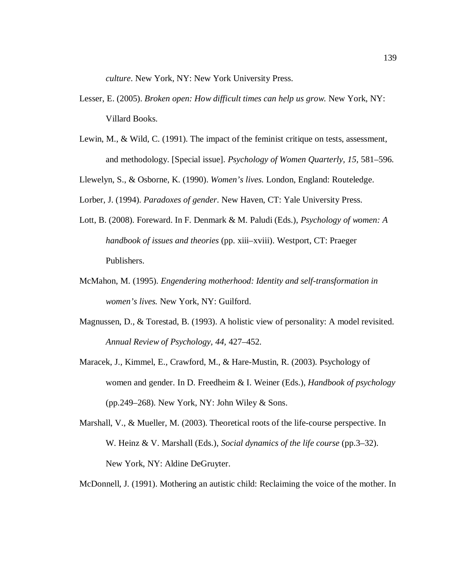*culture*. New York, NY: New York University Press.

- Lesser, E. (2005). *Broken open: How difficult times can help us grow.* New York, NY: Villard Books.
- Lewin, M., & Wild, C. (1991). The impact of the feminist critique on tests, assessment, and methodology. [Special issue]. *Psychology of Women Quarterly, 15,* 581–596.
- Llewelyn, S., & Osborne, K. (1990). *Women's lives.* London, England: Routeledge.
- Lorber, J. (1994). *Paradoxes of gender*. New Haven, CT: Yale University Press.
- Lott, B. (2008). Foreward. In F. Denmark & M. Paludi (Eds.), *Psychology of women: A handbook of issues and theories* (pp. xiii–xviii). Westport, CT: Praeger Publishers.
- McMahon, M. (1995). *Engendering motherhood: Identity and self-transformation in women's lives.* New York, NY: Guilford.
- Magnussen, D., & Torestad, B. (1993). A holistic view of personality: A model revisited. *Annual Review of Psychology, 44,* 427–452.
- Maracek, J., Kimmel, E., Crawford, M., & Hare-Mustin, R. (2003). Psychology of women and gender. In D. Freedheim & I. Weiner (Eds.), *Handbook of psychology* (pp.249–268). New York, NY: John Wiley  $&$  Sons.
- Marshall, V., & Mueller, M. (2003). Theoretical roots of the life-course perspective. In W. Heinz & V. Marshall (Eds.), *Social dynamics of the life course* (pp.3–32). New York, NY: Aldine DeGruyter.
- McDonnell, J. (1991). Mothering an autistic child: Reclaiming the voice of the mother. In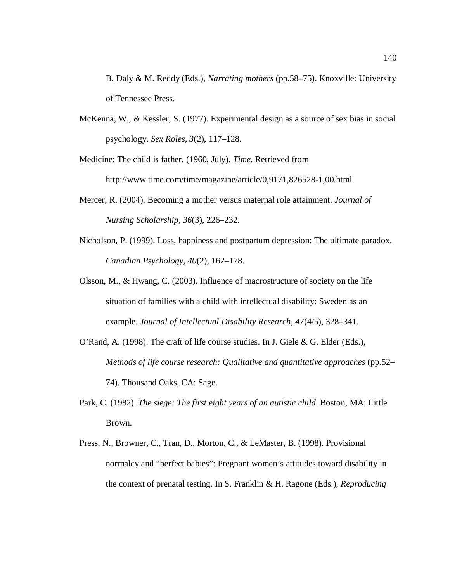B. Daly & M. Reddy (Eds.), *Narrating mothers* (pp.58–75). Knoxville: University of Tennessee Press.

McKenna, W., & Kessler, S. (1977). Experimental design as a source of sex bias in social psychology. *Sex Roles, 3*(2), 117–128.

Medicine: The child is father. (1960, July). *Time.* Retrieved from http://www.time.com/time/magazine/article/0,9171,826528-1,00.html

- Mercer, R. (2004). Becoming a mother versus maternal role attainment. *Journal of Nursing Scholarship, 36*(3), 226–232.
- Nicholson, P. (1999). Loss, happiness and postpartum depression: The ultimate paradox. *Canadian Psychology, 40*(2), 162–178.
- Olsson, M., & Hwang, C. (2003). Influence of macrostructure of society on the life situation of families with a child with intellectual disability: Sweden as an example. *Journal of Intellectual Disability Research, 47*(4/5), 328–341.
- O'Rand, A. (1998). The craft of life course studies. In J. Giele & G. Elder (Eds.), *Methods of life course research: Qualitative and quantitative approaches (pp.52–* 74). Thousand Oaks, CA: Sage.
- Park, C. (1982). *The siege: The first eight years of an autistic child*. Boston, MA: Little Brown.
- Press, N., Browner, C., Tran, D., Morton, C., & LeMaster, B. (1998). Provisional normalcy and "perfect babies": Pregnant women's attitudes toward disability in the context of prenatal testing. In S. Franklin & H. Ragone (Eds.), *Reproducing*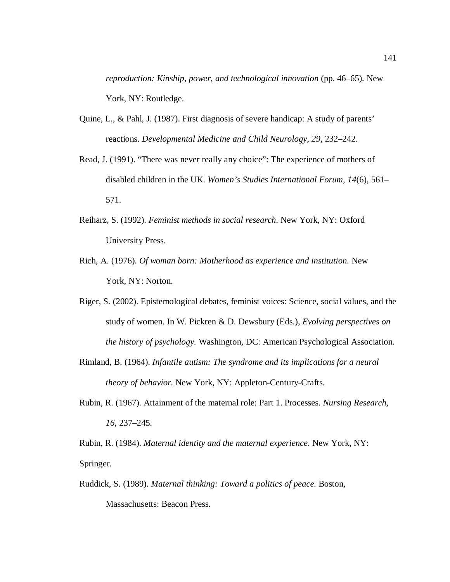*reproduction: Kinship, power, and technological innovation* (pp. 46–65). New York, NY: Routledge.

- Quine, L., & Pahl, J. (1987). First diagnosis of severe handicap: A study of parents' reactions. *Developmental Medicine and Child Neurology, 29,* 232–242.
- Read, J. (1991). "There was never really any choice": The experience of mothers of disabled children in the UK. *Women's Studies International Forum, 14*(6), 561– 571.
- Reiharz, S. (1992). *Feminist methods in social research*. New York, NY: Oxford University Press.
- Rich, A. (1976). *Of woman born: Motherhood as experience and institution.* New York, NY: Norton.
- Riger, S. (2002). Epistemological debates, feminist voices: Science, social values, and the study of women. In W. Pickren & D. Dewsbury (Eds.), *Evolving perspectives on the history of psychology.* Washington, DC: American Psychological Association.
- Rimland, B. (1964). *Infantile autism: The syndrome and its implications for a neural theory of behavior.* New York, NY: Appleton-Century-Crafts.
- Rubin, R. (1967). Attainment of the maternal role: Part 1. Processes. *Nursing Research, 16,* 237–245.

Rubin, R. (1984). *Maternal identity and the maternal experience*. New York, NY: Springer.

Ruddick, S. (1989). *Maternal thinking: Toward a politics of peace.* Boston, Massachusetts: Beacon Press.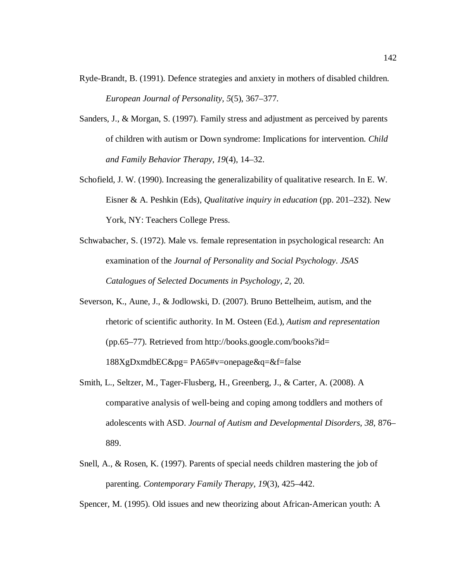- Ryde-Brandt, B. (1991). Defence strategies and anxiety in mothers of disabled children. *European Journal of Personality, 5*(5), 367–377.
- Sanders, J., & Morgan, S. (1997). Family stress and adjustment as perceived by parents of children with autism or Down syndrome: Implications for intervention. *Child and Family Behavior Therapy, 19*(4), 14–32.
- Schofield, J. W. (1990). Increasing the generalizability of qualitative research. In E. W. Eisner & A. Peshkin (Eds), *Qualitative inquiry in education* (pp. 201–232). New York, NY: Teachers College Press.
- Schwabacher, S. (1972). Male vs. female representation in psychological research: An examination of the *Journal of Personality and Social Psychology*. *JSAS Catalogues of Selected Documents in Psychology, 2,* 20.
- Severson, K., Aune, J., & Jodlowski, D. (2007). Bruno Bettelheim, autism, and the rhetoric of scientific authority. In M. Osteen (Ed.), *Autism and representation* (pp.65–77). Retrieved from http://books.google.com/books?id= 188XgDxmdbEC&pg= PA65#v=onepage&q=&f=false
- Smith, L., Seltzer, M., Tager-Flusberg, H., Greenberg, J., & Carter, A. (2008). A comparative analysis of well-being and coping among toddlers and mothers of adolescents with ASD. *Journal of Autism and Developmental Disorders, 38*, 876– 889.
- Snell, A., & Rosen, K. (1997). Parents of special needs children mastering the job of parenting. *Contemporary Family Therapy, 19*(3), 425–442.

Spencer, M. (1995). Old issues and new theorizing about African-American youth: A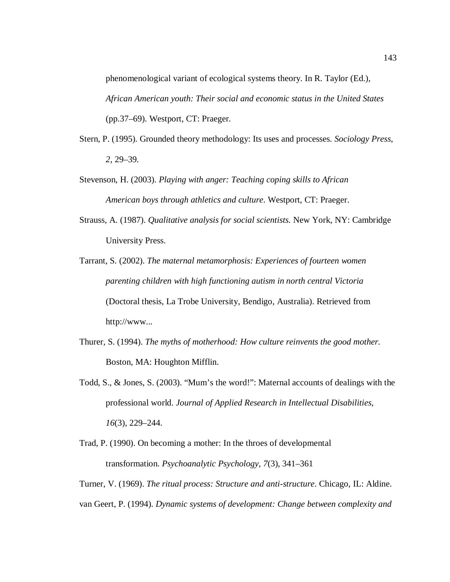phenomenological variant of ecological systems theory. In R. Taylor (Ed.), *African American youth: Their social and economic status in the United States* (pp.37–69). Westport, CT: Praeger.

- Stern, P. (1995). Grounded theory methodology: Its uses and processes. *Sociology Press*, *2,* 29–39.
- Stevenson, H. (2003). *Playing with anger: Teaching coping skills to African American boys through athletics and culture*. Westport, CT: Praeger.
- Strauss, A. (1987). *Qualitative analysis for social scientists.* New York, NY: Cambridge University Press.
- Tarrant, S. (2002). *The maternal metamorphosis: Experiences of fourteen women parenting children with high functioning autism in north central Victoria* (Doctoral thesis, La Trobe University, Bendigo, Australia). Retrieved from http://www...
- Thurer, S. (1994). *The myths of motherhood: How culture reinvents the good mother.* Boston, MA: Houghton Mifflin.
- Todd, S., & Jones, S. (2003). "Mum's the word!": Maternal accounts of dealings with the professional world. *Journal of Applied Research in Intellectual Disabilities, 16*(3), 229–244.
- Trad, P. (1990). On becoming a mother: In the throes of developmental transformation. *Psychoanalytic Psychology, 7*(3), 341–361

Turner, V. (1969). *The ritual process: Structure and anti-structure*. Chicago, IL: Aldine. van Geert, P. (1994). *Dynamic systems of development: Change between complexity and*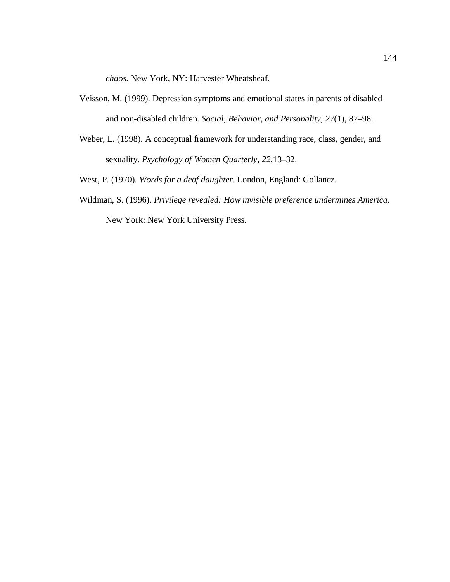*chaos*. New York, NY: Harvester Wheatsheaf.

- Veisson, M. (1999). Depression symptoms and emotional states in parents of disabled and non-disabled children. *Social, Behavior, and Personality, 27*(1), 87–98.
- Weber, L. (1998). A conceptual framework for understanding race, class, gender, and sexuality. *Psychology of Women Quarterly, 22,*13–32.
- West, P. (1970). *Words for a deaf daughter.* London, England: Gollancz.
- Wildman, S. (1996). *Privilege revealed: How invisible preference undermines America.* New York: New York University Press.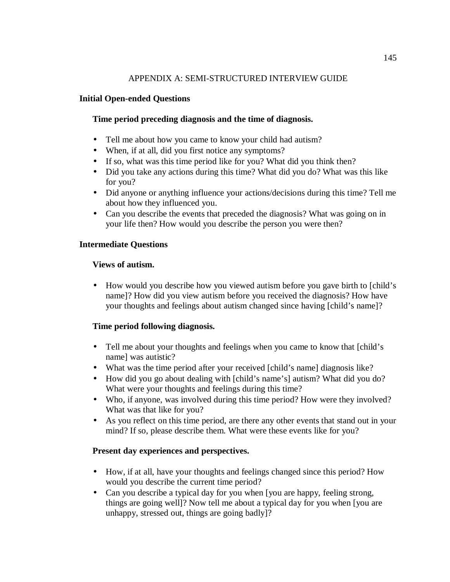# APPENDIX A: SEMI-STRUCTURED INTERVIEW GUIDE

## **Initial Open-ended Questions**

# **Time period preceding diagnosis and the time of diagnosis.**

- Tell me about how you came to know your child had autism?
- When, if at all, did you first notice any symptoms?
- If so, what was this time period like for you? What did you think then?
- Did you take any actions during this time? What did you do? What was this like for you?
- Did anyone or anything influence your actions/decisions during this time? Tell me about how they influenced you.
- Can you describe the events that preceded the diagnosis? What was going on in your life then? How would you describe the person you were then?

### **Intermediate Questions**

### **Views of autism.**

• How would you describe how you viewed autism before you gave birth to [child's name]? How did you view autism before you received the diagnosis? How have your thoughts and feelings about autism changed since having [child's name]?

### **Time period following diagnosis.**

- Tell me about your thoughts and feelings when you came to know that [child's name] was autistic?
- What was the time period after your received [child's name] diagnosis like?
- How did you go about dealing with [child's name's] autism? What did you do? What were your thoughts and feelings during this time?
- Who, if anyone, was involved during this time period? How were they involved? What was that like for you?
- As you reflect on this time period, are there any other events that stand out in your mind? If so, please describe them. What were these events like for you?

### **Present day experiences and perspectives.**

- How, if at all, have your thoughts and feelings changed since this period? How would you describe the current time period?
- Can you describe a typical day for you when [you are happy, feeling strong, things are going well]? Now tell me about a typical day for you when [you are unhappy, stressed out, things are going badly]?